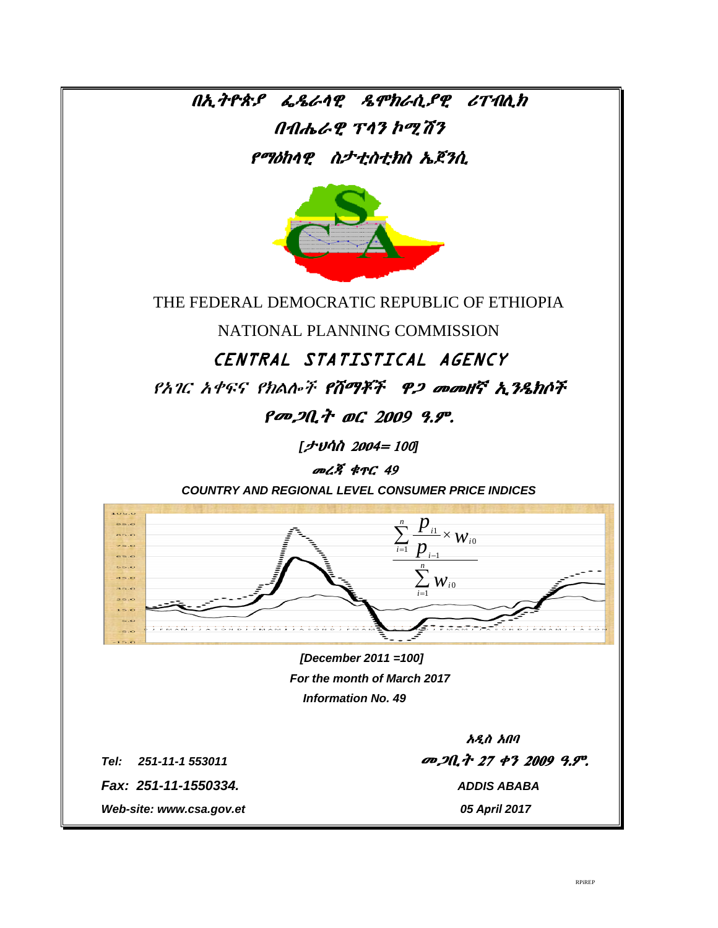በኢትዮጵያ ፌዴራሳዊ ዴሞክራሲያዊ ሪፐብሲክ  $0$ ብሔራዊ ፕሳን ኮሚሽን የማዕከላዊ ስታቲስቲክስ ኤጀንሲ



THE FEDERAL DEMOCRATIC REPUBLIC OF ETHIOPIA

NATIONAL PLANNING COMMISSION

CENTRAL STATISTICAL AGENCY

የአገር አቀፍና የክልሎች የሸማቾች ዋ*ጋ መመ*ዘኛ ኢንዴክሶች

የመጋቢት ወር 2009 ዓ.ም.

[ታህሳስ 2004= 100]

መረጃ ቁዋር 49

**COUNTRY AND REGIONAL LEVEL CONSUMER PRICE INDICES** 



[December 2011 = 100] For the month of March 2017 **Information No. 49** 

Tel: 251-11-1 553011 Fax: 251-11-1550334.

Web-site: www.csa.gov.et

አዲስ አበባ መጋቢት 27 ቀን 2009 ዓ.ም. **ADDIS ABABA** 05 April 2017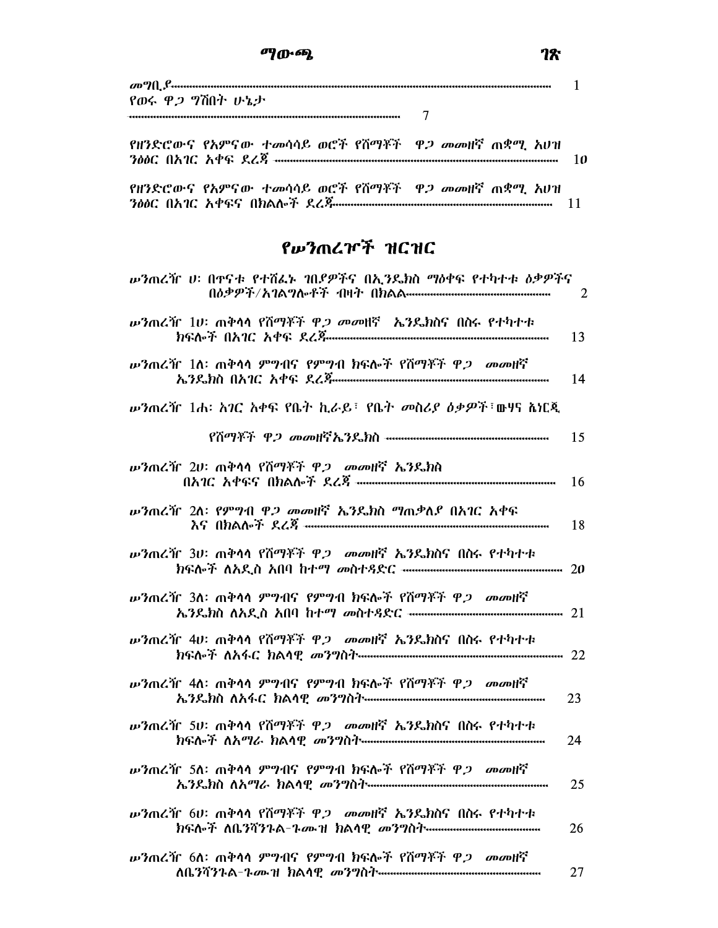|  | የዘንድሮውና የአምናው ተመሳሳይ ወሮች የሽማቾች ዋ <i>ጋ መ</i> መዘኛ ጠቋሚ አሆዝ<br>300C 067C 60G 868 mmmmmmmmmmmmmmmmmmmmmmmmmmmmmmmm<br>የዘንድሮውና የአምናው ተመሳሳይ ወሮች የሽማቾች ዋ <i>ጋ መ</i> መዘኛ ጠቋሚ አሆዝ |
|--|------------------------------------------------------------------------------------------------------------------------------------------------------------------------|

# የሥንጠረዦች ዝርዝር

| <i>ν</i> ንጠረዥ υ፡ በዋናቱ የተሽፈኑ ገበደዎችና በኢንዴክስ ማስቀፍ የተካተቱ ስቃዎችና                                                                          | 2  |
|-------------------------------------------------------------------------------------------------------------------------------------|----|
| <b>ωንጠረዥ 1ሀ</b> ፡ ጠቅሳሳ የሽማቾች ዋ <i>ጋ መወ</i> ዛኛ <i>ኤን</i> ዴክስና በስሩ የተካተቱ                                                              | 13 |
| <i>w'</i> ንጠረዥ 1ለ፡ ጠቅሳሳ ምግብና የምግብ ክፍሎች የሽማቾች ዋ <i>ጋ መመ</i> ዘኛ                                                                       | 14 |
| <i>wን</i> ጠረዥ 1ሐ፡ አገር አቀፍ የቤት ኪራይ፣ የቤት መስሪያ ዕቃዎች፣ <b>ውሃና ልነር</b> ጂ                                                                  |    |
|                                                                                                                                     | 15 |
| <i>w'</i> ንጠረዥ 2ሀ፡ ጠቅሳሳ የሽማቾች ዋ <i>ጋ መመ</i> ዘኛ ኤንዴክስ                                                                                | 16 |
| <i>w'</i> ንጠረዥ 2ለ፡ የምግብ ዋ <i>ጋ መ</i> መዘኛ ኤንዴክስ ግጠቃለ <i>ያ</i> በአገር አቀፍ                                                               | 18 |
| <i>w'</i> ንጠረዥ 3ሀ፡ ጠቅሳሳ የሽማቾች ዋ <i>ጋ መመ</i> ዘኛ ኤንዴክስና በስሩ የተካተቱ                                                                     |    |
| <i>w</i> ንጠረዥ 3ለ፡ ጠቅሳሳ ምግብና የምግብ ክፍሎች የሽማቾች ዋ <i>ጋ መመ</i> ዘኛ                                                                        |    |
| <i>w'</i> ንጠረዥ 4ሀ፡ ጠቅሳሳ የሽማቾች ዋ <i>ጋ መመ</i> ዘኛ ኤንዴክስና በስሩ የተካተቱ<br>ክፍሎች ለአፋር ክልሳዊ <i>መንግ</i> ስት <del>………………………………………………………</del> 22 |    |
| <i>w</i> ?ጠረዥ 4ለ፡ ጠቅሳሳ ምግብና የምግብ ክፍሎች የሽማቾች ዋ <i>ጋ መመ</i> ዘኛ                                                                        | 23 |
| <i>w'</i> ንጠረዥ 5ሀ፡ ጠቅሳሳ የሽማቾች ዋ <i>ጋ መመ</i> ዘኛ ኤንዴክስና በስሩ የተካተቱ                                                                     | 24 |
| <b>ιν</b> ንጠረዥ 5ለ፡ ጠቅሳሳ ምግብና የምግብ ክፍሎች የሽማቾች ዋ <i>ጋ መመ</i> ዘኛ                                                                       | 25 |
| <b>ω3mረዥ 6ሀ: ጠቅሳሳ የሽማቾች ዋ<i>ጋ መ</i>መዘኛ ኤንዴክስና በስሩ የ</b> ተካተቱ                                                                        | 26 |
| <b>ιν</b> ንጠረዥ 6ስ፡ ጠቅሳሳ ምግብና የምግብ ክፍሎች የሽማቾች ዋ <i>ጋ መመ</i> ዘኛ                                                                       | 27 |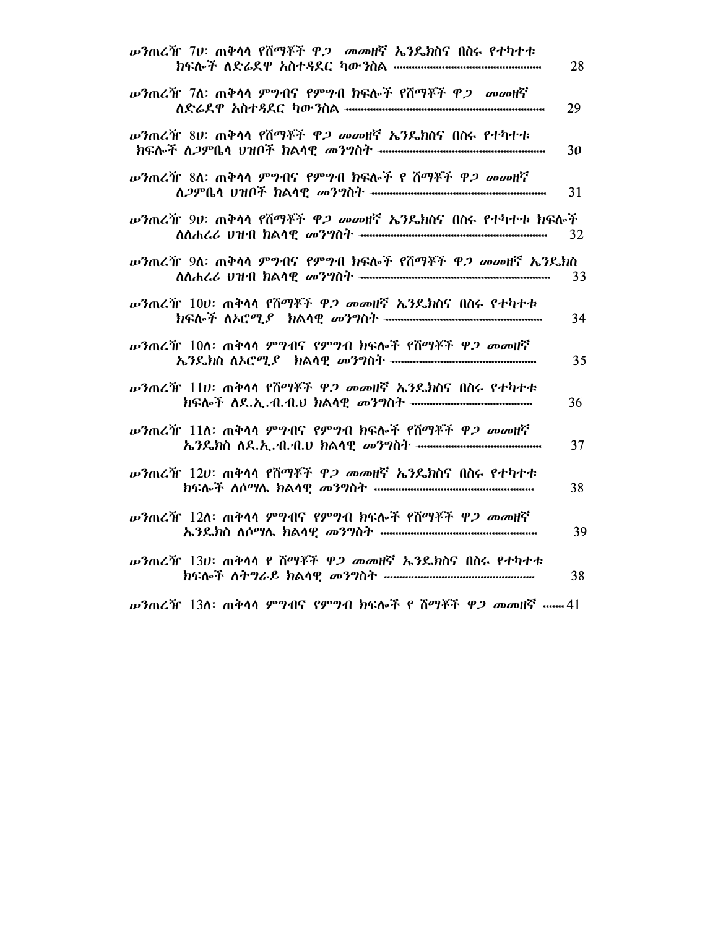| <b>ιν3ጠረዥ 7ሀ፡ ጠቅሳሳ የሽማቾች ዋ<i>ጋ መ</i>መዘኛ ኤ3</b> ይክስና በስሩ የተካተቱ               | 28 |
|-----------------------------------------------------------------------------|----|
| <i>w'</i> ንጠረዥ 7ለ፡ ጠቅሳሳ ምግብና የምግብ ክፍሎች የሽማቾች ዋ <i>ጋ መመ</i> ዘኛ               | 29 |
| <i>w'</i> ንጠረዥ 8ሀ፡ ጠቅሳሳ የሽማቾች ዋ <i>ጋ መመ</i> ዘኛ ኤንዴክስና በስሩ የተካተቱ             | 30 |
| <i>w'</i> ንጠረዥ 8ለ፡ ጠቅሳሳ ምግብና የምግብ ክፍሎች የ ሽማቾች ዋ <i>ጋ መመ</i> ዘኛ              | 31 |
| <i>w'</i> ንጠረዥ 9ሀ፡ ጠቅሳሳ የሽማቾች ዋ <i>ጋ መመ</i> ዘኛ ኤንዴክስና በስሩ የተካተቱ ክፍሎች        | 32 |
| <i>w'</i> ንጠረዥ 9ለ፡ ጠቅሳሳ ምግብና የምግብ ክፍሎች የሽማቾች ዋ <i>ጋ መመ</i> ዘኛ <i>ኤን</i> ዴክስ | 33 |
| <b>ω3 αι λή 100: mቅሳሳ የሽማቾች ዋ<i>ጋ መ</i>መዘኛ ኤንዴክስና በስሩ የ</b> ተካተቱ            | 34 |
| <i>w'</i> ንጠረዥ 10ለ፡ ጠቅሳሳ ምግብና የምግብ ክፍሎች የሽማቾች ዋ <i>ጋ መመ</i> ዘኛ              | 35 |
| <b>ω3 m Z if 110:</b> mቅሳሳ የሽማቾች ዋ <i>ጋ መመ</i> ዘኛ ኤንዴክስና በስሩ የተካተቱ          | 36 |
| <i>w'</i> ንጠረዥ 11ስ፡ ጠቅሳሳ ምግብና የምግብ ክፍሎች የሽማቾች ዋ <i>ጋ መመ</i> ዘኛ              | 37 |
| <i>w'</i> ንጠረዥ 12ሀ፡ ጠቅሳሳ የሽማቾች ዋ <i>ጋ መመ</i> ዘኛ ኤንዴክስና በስሩ የተካተቱ            | 38 |
| <i>w'</i> ንጠረዥ 12ለ: ጠቅሳሳ ምግብና የምግብ ክፍሎች የሽማቾች ዋ <i>ጋ መመ</i> ዘኛ              | 39 |
| <i>w'</i> }ጠረዥ 13ሀ፡ ጠቅሳሳ የ ሽማቾች ዋ <i>ጋ መመ</i> ዘኛ <i>ኤን</i> ዴክስና በስሩ የተካተቱ   | 38 |

**ω3 πረዥ 13ለ: ጠቅሳሳ ምግብና የምግብ ክፍሎች የ ሽማቾች ዋ***ጋ መመ***ዘኛ ······ 41**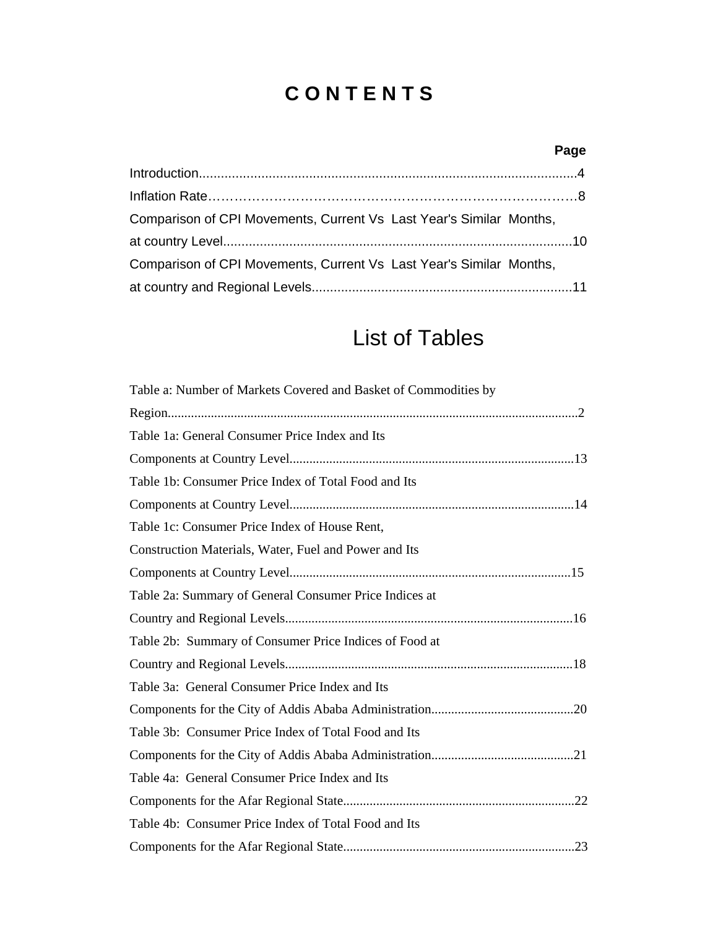# **C O N T E N T S**

## **Page**

| Comparison of CPI Movements, Current Vs Last Year's Similar Months, |  |
|---------------------------------------------------------------------|--|
|                                                                     |  |
| Comparison of CPI Movements, Current Vs Last Year's Similar Months, |  |
|                                                                     |  |

# List of Tables

| Table a: Number of Markets Covered and Basket of Commodities by |
|-----------------------------------------------------------------|
|                                                                 |
| Table 1a: General Consumer Price Index and Its                  |
|                                                                 |
| Table 1b: Consumer Price Index of Total Food and Its            |
|                                                                 |
| Table 1c: Consumer Price Index of House Rent,                   |
| Construction Materials, Water, Fuel and Power and Its           |
|                                                                 |
| Table 2a: Summary of General Consumer Price Indices at          |
|                                                                 |
| Table 2b: Summary of Consumer Price Indices of Food at          |
|                                                                 |
| Table 3a: General Consumer Price Index and Its                  |
|                                                                 |
| Table 3b: Consumer Price Index of Total Food and Its            |
|                                                                 |
| Table 4a: General Consumer Price Index and Its                  |
|                                                                 |
| Table 4b: Consumer Price Index of Total Food and Its            |
|                                                                 |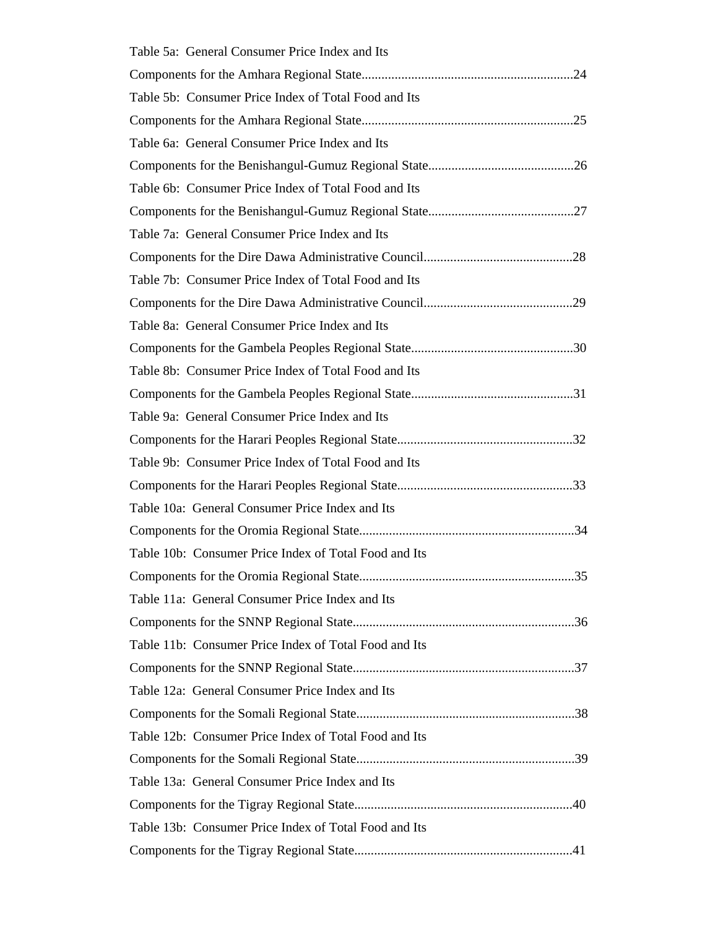| Table 5a: General Consumer Price Index and Its        |
|-------------------------------------------------------|
|                                                       |
| Table 5b: Consumer Price Index of Total Food and Its  |
|                                                       |
| Table 6a: General Consumer Price Index and Its        |
|                                                       |
| Table 6b: Consumer Price Index of Total Food and Its  |
|                                                       |
| Table 7a: General Consumer Price Index and Its        |
|                                                       |
| Table 7b: Consumer Price Index of Total Food and Its  |
|                                                       |
| Table 8a: General Consumer Price Index and Its        |
|                                                       |
| Table 8b: Consumer Price Index of Total Food and Its  |
|                                                       |
| Table 9a: General Consumer Price Index and Its        |
|                                                       |
| Table 9b: Consumer Price Index of Total Food and Its  |
|                                                       |
| Table 10a: General Consumer Price Index and Its       |
|                                                       |
| Table 10b: Consumer Price Index of Total Food and Its |
|                                                       |
| Table 11a: General Consumer Price Index and Its       |
|                                                       |
| Table 11b: Consumer Price Index of Total Food and Its |
|                                                       |
| Table 12a: General Consumer Price Index and Its       |
|                                                       |
| Table 12b: Consumer Price Index of Total Food and Its |
|                                                       |
| Table 13a: General Consumer Price Index and Its       |
|                                                       |
| Table 13b: Consumer Price Index of Total Food and Its |
|                                                       |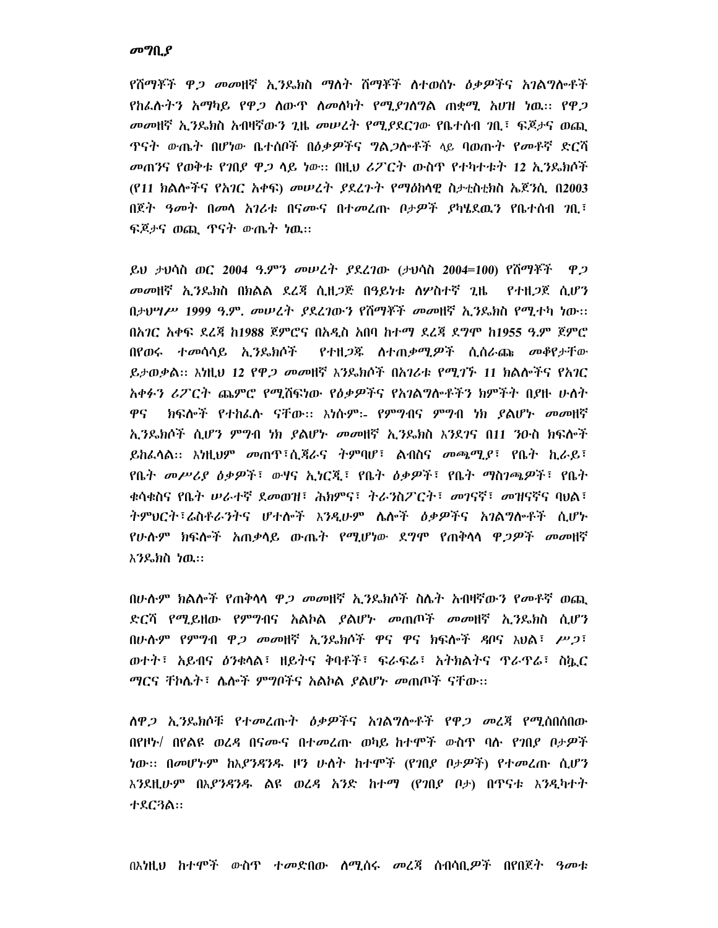### መግቢያ

የሽማቾች ዋ*ጋ መመ*ዘኛ ኢ*ን*ዴክስ ማለት ሽማቾች ለተወሰኑ *ዕቃዎች*ና አ*ገ*ልግሎቶች <u>የከፌሱትን አማካይ የዋ*ጋ* ለውጥ ስመለካት የሚደንስግል ጠቋሚ አሆዝ ነዉ። የዋ*ጋ*</u> መመዘኛ ኢንዴክስ አብዛኛውን ጊዜ መሠረት የሚያደርገው የቤተሰብ ገቢ፤ ፍጆታና ወጪ <u>ዋናት ውጤት በሆነው ቤተሰቦች በዕቃዎችና ግል*ጋ*ሎቶች ላይ ባወጡት የመቶኛ ድርሻ</u> መጠንና የወቅቱ የገበደ ዋ*ጋ* ላይ ነው። በዚህ ሪፖርት ውስጥ የተካተቱት 12 ኢንዴክሶች (የ11 ክልሎችና የአገር አቀፍ) መሠረት ያደረጉት የማዕከላዊ ስታቲስቲክስ ኤጀንሲ በ2003 በጀት *ዓመት* በመሳ አገሪቱ በናሙና በተመረጡ ቦታዎች ያካሄደዉን የቤተሰብ *ገ*ቢ፣ ፍጆታና ወጪ ጥናት ውጤት ነዉ።

ይህ ታህሳስ ወር 2004 ዓ.ምን መሠረት ያደረገው (ታህሳስ 2004=100) የሽማቾች ዋጋ መመዘኛ ኢንዴክስ በክልል ደረጃ ሲዘጋጅ በዓይነቱ ስሦስተኛ ጊዜ የተዘ*ጋ*ጀ ሲሆን በታህሣሥ 1999 ዓ.ም. መሠረት ያደረገውን የሽማቾች መመዘኛ ኢንዴክስ የሚተካ ነው፡፡ በአገር አቀፍ ደረጃ ከ1988 ጀምሮና በአዲስ አበባ ከተማ ደረጃ ደግሞ ከ1955 ዓ.ም ጀምሮ በየወሩ ተመሳሳይ ኢንዴክሶች የተዘ*ጋ*ጁ ስተጠቃሚ*ዎ*ች ሲሰራጩ መቆየታቸው ይታወቃል። እነዚህ 12 የዋ*ጋ መመ*ዘኛ እንዴክሶች በአገሪቱ የሚገኙ 11 ክልሎችና የአገር አቀፉን ሪፖርት ጨምሮ የሚሸፍነው የዕቃዎችና የአንልግሎቶችን ክምችት በያዙ ሁለት ክፍሎች የተከፌሱ ናቸው፡፡ እነሱም፡- የምግብና ምግብ ነክ ያልሆኑ መመዘኛ ዋና ኢንዴክሶች ሲሆን ምግብ ነክ ያልሆኑ መመዘኛ ኢንዴክስ እንደገና በ11 ንዑስ ክፍሎች ይከራሳል፡፡ እነዚህም መጠዋ፣ሲጃራና ትምባሆ፣ ልብስና መጫሚያ፣ የቤት ኪራይ፣ የቤት መሥሪያ ዕቃዎች፣ ውሃና ኢነርጂ፣ የቤት ዕቃዎች፣ የቤት ማስንጫዎች፣ የቤት ቁሳቁስና የቤት ሠራተኛ ደመወዝ፣ ሕክምና፣ ትራንስፖርት፣ መገናኛ፣ መዝናኛና ባህል፣ ትምህርት፣ሬስቶራንትና ሆተሎች እንዲሁም ሴሎች ዕቃዎችና አንልግሎቶች ሲሆኑ የሁሉም ክፍሎች አጠቃላይ ውጤት የሚሆነው ደ**ግሞ የጠቅ**ላላ ዋ*ጋዎች መመ*ዘኛ እንዴክስ ነዉ።

በሁሉም ክልሎች የጠቅሳሳ ዋ*ጋ መመ*ዘኛ ኢንዴክሶች ስሌት አብዛኛውን የ*መ*ቶኛ ወጪ ድርሻ የሚይዘው የምግብና አልኮል ያልሆኑ መጠጦች መመዘኛ ኢንዴክስ ሲሆን በሁሉም የምግብ ዋ*ጋ መወ*ዛኛ ኢንዴክሶች ዋና ዋና ክፍሎች ዳቦና አህል፣ *ሥጋ*፣ ወተት፣ አይብና ዕንቁላል፣ ዘይትና ቅባቶች፣ ፍራፍራ፣ አትክልትና ጥራጥራ፣ ስኬር ማርና ቸኮሌት፣ ሌሎች ምግቦችና አልኮል ያልሆኑ መጠጦች ናቸው፡፡

<u>ለዋ*ጋ ኢን*ዴክሶቹ የተመረጡት *ዕቃዎች*ና አገልግሎቶች የዋ*ጋ መ*ረጃ የሚሰበሰበው</u> በየዞኑ/ በየልዩ ወረዳ በናሙና በተመረጡ ወካይ ከተሞች ውስጥ ባሱ የገበደ ቦታዎች ነው፡፡ በመሆኑም ከእያንዳንዱ ዞን ሁለት ከተሞች (የገበያ ቦታዎች) የተመረጡ ሲሆን እንደዚሁም በእ*ያንዳንዱ* ልዩ ወሬዳ አንድ ከተማ (የንበደ ቦታ) በጥናቱ እንዲካተት ተደር3ል::

በእነዚህ ከተሞች ውስጥ ተመድበው ሰሜሰሩ መረጃ ሰብሳቢ*ዎች* በየበጀት ዓመቱ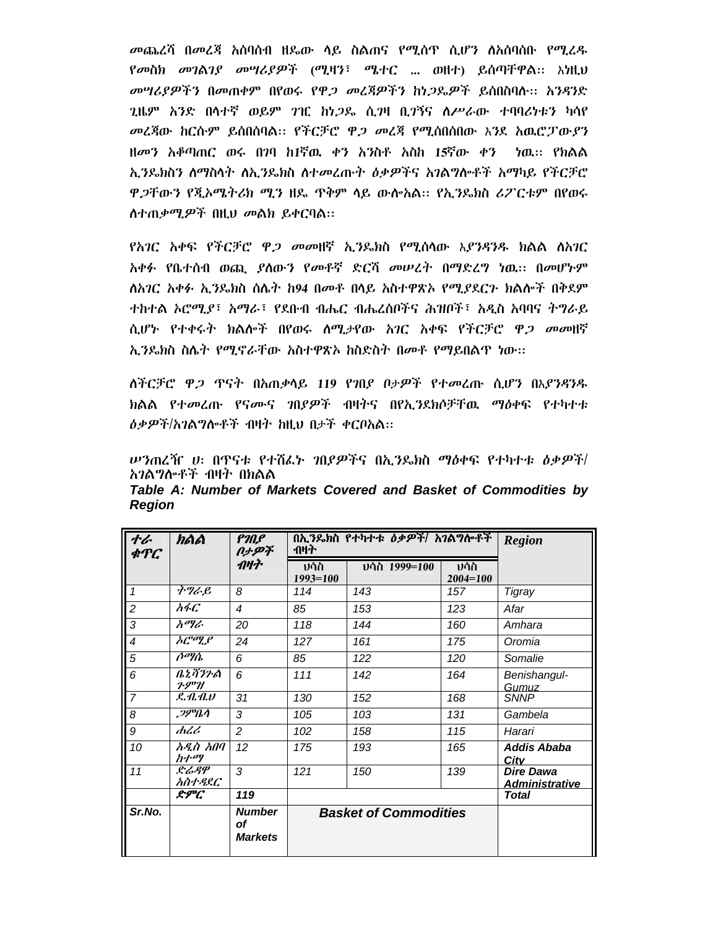*መ*ጨረሻ በመረጃ አሰባሰብ ዘዴው ሳይ ስልጠና የሚሰጥ ሲሆን ስአሰባሰቡ የሚረዱ የመስክ መገልገያ መሣሪያዎች (ሚዛን፣ ሜተር ... ወዘተ) ይሰጣቸዋል፡፡ እነዚህ መሣሪያዎችን በመጠቀም በየወሩ የዋ*ጋ መ*ረጃዎችን ከነ*ጋ*ዴዎች ይሰበስባስ፡፡ አንዳንድ *ጊ*ዜም አንድ በሳተኛ ወይም *ገ*ዢ ከነ*ጋ*ዴ ሲ*ገ*ዛ ቢ*ገ*ኝና ስሥራው ተባባሪነቱን ካሳየ *መ*ረጃው ከርሱም ይሰበሰባል። የችርቻሮ ዋ*ጋ መ*ረጃ የሚሰበሰበው እንደ አዉሮፓው*ያን* ዘመን አቆጣጠር ወሩ በገባ ከ1ኛዉ ቀን አንስቶ አስከ 15ኛው ቀን ነዉ። የክልል ኢንዴክስን ለማስላት ለኢንዴክስ ለተመረጡት ዕቃዎችና አንልግሎቶች አማካይ የችርቻሮ ዋ*ጋ*ቸውን የጂኦሜትሪክ ሚን ዘዴ ጥቅም ላይ ውሎአል። የኢንዴክስ ሪፖርቱም በየወሩ ስተጠቃሚዎች በዚህ መልክ ይቀርባል።

የአገር አቀፍ የችርቻሮ ዋ*ጋ መመ*ዘኛ ኢንዴክስ የሚሰላው እያንዳንዱ ክልል ስአገር አቀፉ የቤተሰብ ወጪ ያለውን የመቶኛ ድርሻ መሠረት በማድረግ ነዉ። በመሆኑም ለአባር አቀፉ ኢንዴክስ ሰሌት ከ94 በመቶ በላይ አስተዋጽኦ የሚያደርጉ ክልሎች በቅደም ተከተል ኦሮሚያ፣ አማራ፣ የደቡብ ብሔር ብሔረሰቦችና ሕዝቦች፣ አዲስ አባባና ትግራይ ሲሆኑ የተቀሩት ክልሎች በየወሩ ሰሚታየው አገር አቀፍ የችርቻሮ ዋ*ጋ መመ*ዘኛ ኢንዴክስ ስሌት የሚኖራቸው አስተዋጽኦ ከስድስት በመቶ የማይበልጥ ነው።

ለችርቻሮ ዋ*ጋ* ጥናት በአጠቃላይ 119 የገበያ ቦታዎች የተመረጡ ሲሆን በእ*ያንዳን*ዱ ክልል የተመረጡ የናሙና ንበያዎች ብዛትና በየኢንደክሶቻቸዉ ማዕቀፍ የተካተቱ *ዕቃዎች/አገ*ልግሎቶች ብዛት ከዚህ በታች ቀርቦአል።

*ሡን*ጠረዥ ሀ፡ በዋናቱ የተሸፌኑ *ገ*በያዎችና በኢንዴክስ ማዕቀፍ የተካተቱ ዕቃ*ዎች*/ አገልግሎቶች ብዛት በክልል

| ተራ<br>ቁዋር                | <i>haa</i>                               | በኢንዴክስ የተካተቱ ዕቃዎች/ አገልግሎቶች<br>Р'Л.Р<br>ብዛት<br>በታዎች |                     |                              |                     |                                           |  |
|--------------------------|------------------------------------------|----------------------------------------------------|---------------------|------------------------------|---------------------|-------------------------------------------|--|
|                          |                                          | ብዛት                                                | ህሳስ<br>$1993 = 100$ | ህሳስ 1999=100                 | ህሳስ<br>$2004 = 100$ |                                           |  |
| $\mathbf{1}$             | ትግራይ                                     | 8                                                  | 114                 | 143                          | 157                 | Tigray                                    |  |
| $\overline{2}$           | አፋር                                      | $\overline{\mathcal{A}}$                           | 85                  | 153                          | 123                 | Afar                                      |  |
| $\overline{3}$           | አማራ                                      | 20                                                 | 118                 | 144                          | 160                 | Amhara                                    |  |
| $\overline{\mathcal{A}}$ | $\overline{\mathcal{h}\mathcal{C}^{op}}$ | 24                                                 | 127                 | 161                          | 175                 | Oromia                                    |  |
| $\overline{5}$           | ሶማሴ                                      | 6                                                  | 85                  | 122                          | 120                 | Somalie                                   |  |
| 6                        | ቤኒሻንጉል<br>$2.9^{\mathrm{p}}$ H           | 6                                                  | 111                 | 142                          | 164                 | Benishangul-<br>Gumuz                     |  |
| $\overline{7}$           | L.A.A.V                                  | 31                                                 | 130                 | 152                          | 168                 | <b>SNNP</b>                               |  |
| $\overline{8}$           | <i>ጋምቤሳ</i>                              | 3                                                  | 105                 | 103                          | 131                 | Gambela                                   |  |
| 9                        | ሐረሪ                                      | $\mathcal{P}$                                      | 102                 | 158                          | 115                 | Harari                                    |  |
| 10                       | አዲስ አበባ<br>ከተማ                           | 12                                                 | 175                 | 193                          | 165                 | Addis Ababa<br>City                       |  |
| $\overline{11}$          | ድሬዳዋ<br>አስተዳደር                           | 3                                                  | 121                 | 150                          | 139                 | <b>Dire Dawa</b><br><u>Administrative</u> |  |
|                          | ድምር                                      | 119                                                |                     |                              |                     | <b>Total</b>                              |  |
| Sr.No.                   |                                          | <b>Number</b><br>of<br><b>Markets</b>              |                     | <b>Basket of Commodities</b> |                     |                                           |  |

Table A: Number of Markets Covered and Basket of Commodities by **Region**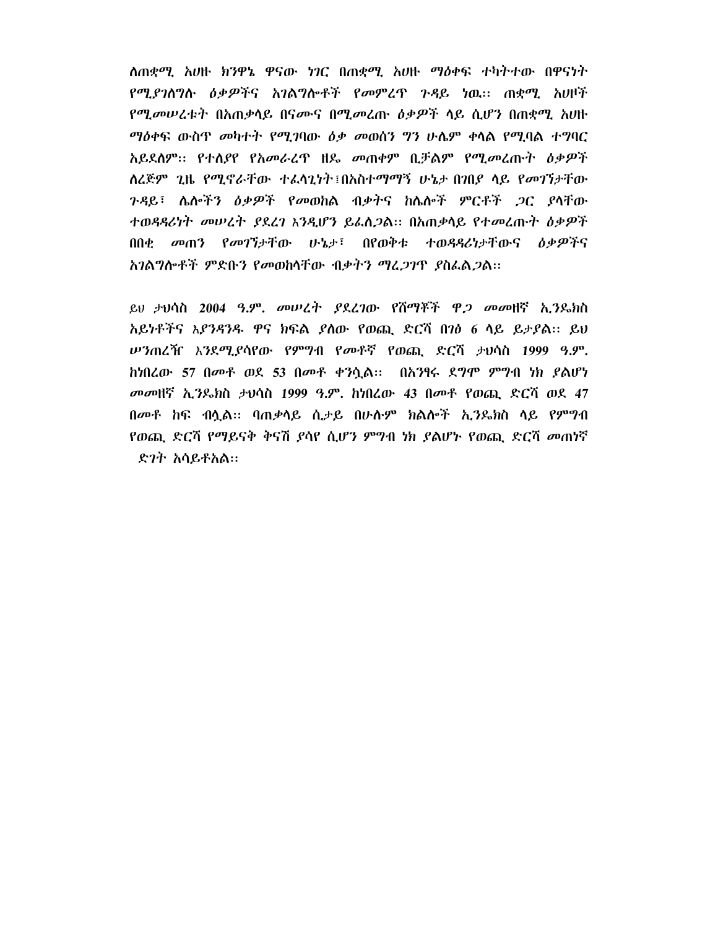ለጠቋሚ አሀዙ ክንዋኔ ዋናው ነገር በጠቋሚ አሀዙ ማዕቀፍ ተካትተው በዋናነት የሚደንለግሉ ዕቃዎችና አንልግሎቶች የመምረጥ ንዳይ ነዉ። ጠቋሚ አሀዞች *የሚመሠረቱት* በአጠቃሳይ በናሙና በሚ*መ*ረጡ *ዕቃዎች* ሳይ ሲሆን በጠቋሚ አሀዙ *ማዕቀ*ፍ ውስጥ *መካተት የሚገ*ባው *ዕቃ መ*ወሰን ግን ሁሴም ቀላል የሚባል ተግባር አይደለም፡፡ የተሰያየ የአመራረጥ ዘዴ መጠቀም ቢቻልም የሚመረጡት ዕቃዎች ለረጅም ጊዜ የሚኖራቸው ተፈላጊነት፤በአስተማማኝ ሁኔታ በገበያ ላይ የመገኘታቸው *ጉዳ*ይ፣ ሌሎችን *ዕቃዎች የመ*ወከል ብቃትና ከሌሎች ምርቶች *ጋ*ር ያላቸው ተወዳዳሪነት መሠረት ያደረገ እንዲሆን ይፌስጋል። በአጠቃላይ የተመረጡት ዕቃዎች በበቂ መጠን የመገኘታቸው ሁኔታ፣ በየወቅቱ ተወዳዳሪነታቸውና ዕቃዎችና አገልግሎቶች ምድቡን የመወከላቸው ብቃትን ማፈ*ጋገ*ጥ ያስፌል*ጋ*ል፡፡

ይህ ታህሳስ 2004 ዓ.ም. መሠረት ያደረገው የሽማቾች ዋ*ጋ መመ*ዘኛ ኢንዱክስ አይነቶችና እ*ያንዳንዱ* ዋና ክፍል ያለው የወጪ ድርሻ በ*ነፅ 6* ላይ ይታያል። ይህ *ሡን*ጠረዥ እንደሚያሳየው የምግብ የመቶኛ የወጪ ድርሻ ታህሳስ 1999 ዓ.ም. ከነበረው 57 በመቶ ወደ 53 በመቶ ቀንሷል:: በአንፃሩ ደግሞ ምግብ ነክ ያልሆነ *መመ*ዘኛ ኢ*ን*ጼክስ ታህሳስ 1999 ዓ.ም. ከነበረው 43 በመቶ የወጪ ድርሻ ወደ 47 በመቶ ከፍ ብሏል፡፡ ባጠቃሳይ ሲታይ በሁሉም ክልሎች ኢንዴክስ ላይ የምግብ የወጪ ድርሻ የማይናቅ ቅናሽ *ያ*ሳየ ሲሆን ምግብ ነክ *ያ*ልሆኑ የወጪ ድርሻ *መ*ጠነኛ ድ*ገ*ት አሳይቶአል።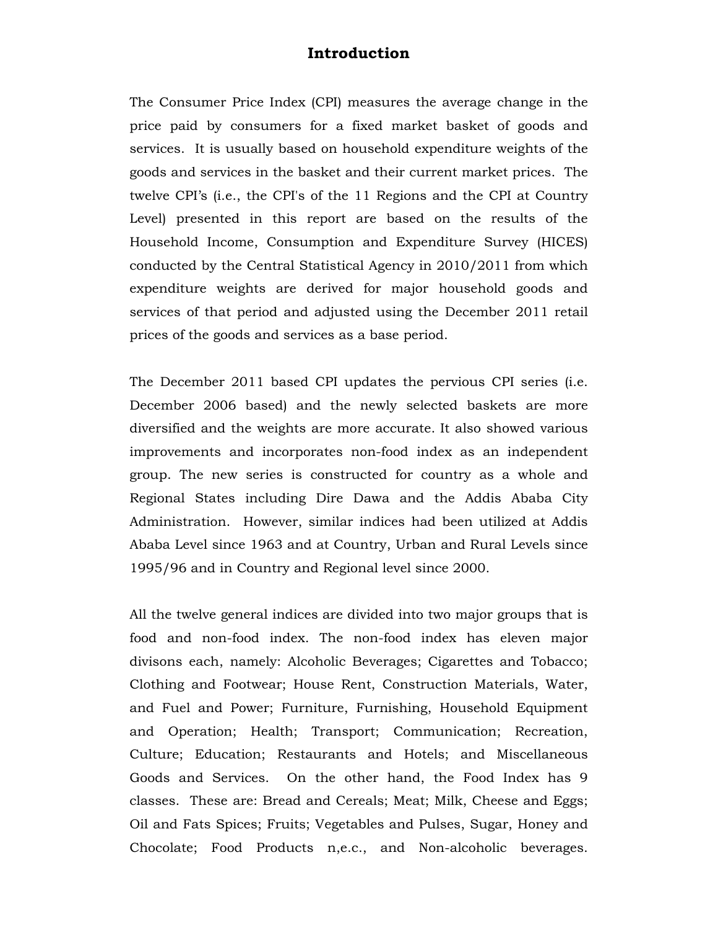## **Introduction**

The Consumer Price Index (CPI) measures the average change in the price paid by consumers for a fixed market basket of goods and services. It is usually based on household expenditure weights of the goods and services in the basket and their current market prices. The twelve CPI's (i.e., the CPI's of the 11 Regions and the CPI at Country Level) presented in this report are based on the results of the Household Income, Consumption and Expenditure Survey (HICES) conducted by the Central Statistical Agency in 2010/2011 from which expenditure weights are derived for major household goods and services of that period and adjusted using the December 2011 retail prices of the goods and services as a base period.

The December 2011 based CPI updates the pervious CPI series (i.e. December 2006 based) and the newly selected baskets are more diversified and the weights are more accurate. It also showed various improvements and incorporates non-food index as an independent group. The new series is constructed for country as a whole and Regional States including Dire Dawa and the Addis Ababa City Administration. However, similar indices had been utilized at Addis Ababa Level since 1963 and at Country, Urban and Rural Levels since 1995/96 and in Country and Regional level since 2000.

All the twelve general indices are divided into two major groups that is food and non-food index. The non-food index has eleven major divisons each, namely: Alcoholic Beverages; Cigarettes and Tobacco; Clothing and Footwear; House Rent, Construction Materials, Water, and Fuel and Power; Furniture, Furnishing, Household Equipment and Operation; Health; Transport; Communication; Recreation, Culture; Education; Restaurants and Hotels; and Miscellaneous Goods and Services. On the other hand, the Food Index has 9 classes. These are: Bread and Cereals; Meat; Milk, Cheese and Eggs; Oil and Fats Spices; Fruits; Vegetables and Pulses, Sugar, Honey and Chocolate; Food Products n,e.c., and Non-alcoholic beverages.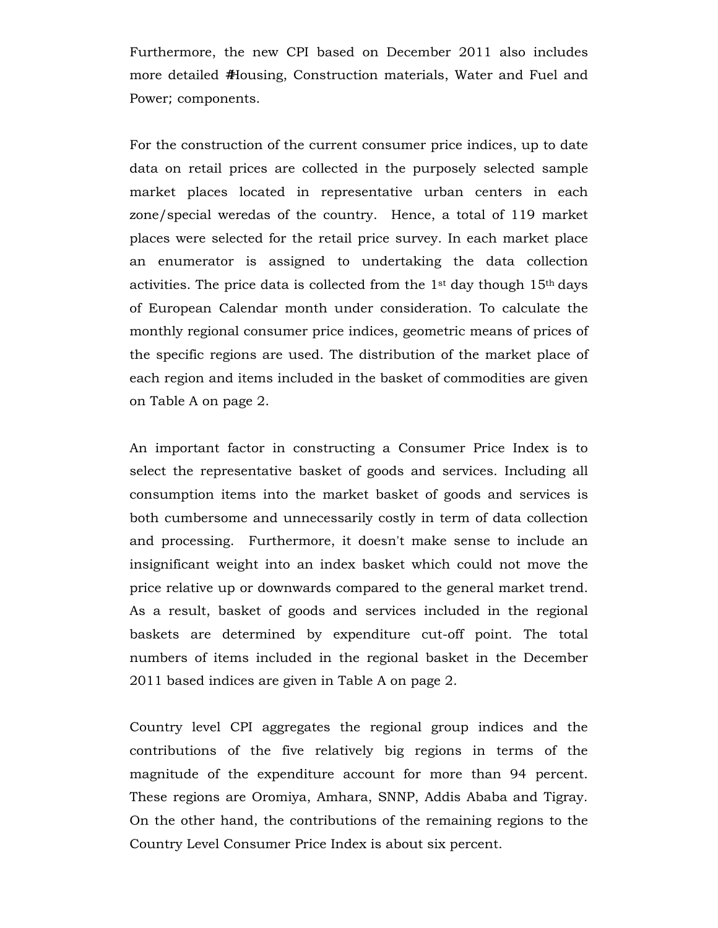Furthermore, the new CPI based on December 2011 also includes more detailed #Housing, Construction materials, Water and Fuel and Power; components.

For the construction of the current consumer price indices, up to date data on retail prices are collected in the purposely selected sample market places located in representative urban centers in each zone/special weredas of the country. Hence, a total of 119 market places were selected for the retail price survey. In each market place an enumerator is assigned to undertaking the data collection activities. The price data is collected from the  $1<sup>st</sup>$  day though  $15<sup>th</sup>$  days of European Calendar month under consideration. To calculate the monthly regional consumer price indices, geometric means of prices of the specific regions are used. The distribution of the market place of each region and items included in the basket of commodities are given on Table A on page 2.

An important factor in constructing a Consumer Price Index is to select the representative basket of goods and services. Including all consumption items into the market basket of goods and services is both cumbersome and unnecessarily costly in term of data collection and processing. Furthermore, it doesn't make sense to include an insignificant weight into an index basket which could not move the price relative up or downwards compared to the general market trend. As a result, basket of goods and services included in the regional baskets are determined by expenditure cut-off point. The total numbers of items included in the regional basket in the December 2011 based indices are given in Table A on page 2.

Country level CPI aggregates the regional group indices and the contributions of the five relatively big regions in terms of the magnitude of the expenditure account for more than 94 percent. These regions are Oromiya, Amhara, SNNP, Addis Ababa and Tigray. On the other hand, the contributions of the remaining regions to the Country Level Consumer Price Index is about six percent.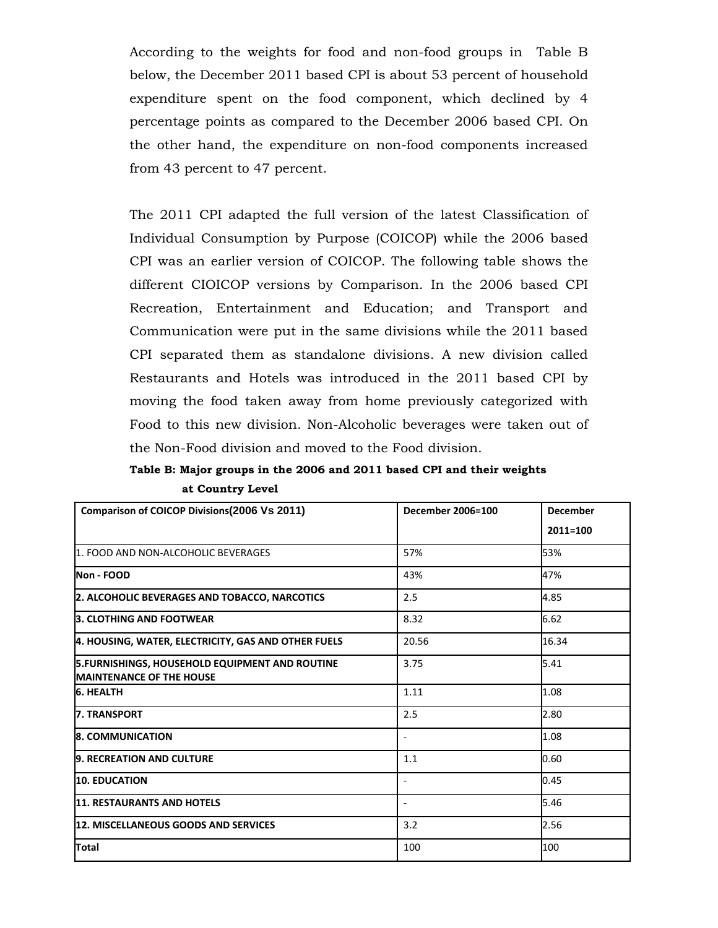According to the weights for food and non-food groups in Table B below, the December 2011 based CPI is about 53 percent of household expenditure spent on the food component, which declined by 4 percentage points as compared to the December 2006 based CPI. On the other hand, the expenditure on non-food components increased from 43 percent to 47 percent.

The 2011 CPI adapted the full version of the latest Classification of Individual Consumption by Purpose (COICOP) while the 2006 based CPI was an earlier version of COICOP. The following table shows the different CIOICOP versions by Comparison. In the 2006 based CPI Recreation, Entertainment and Education; and Transport and Communication were put in the same divisions while the 2011 based CPI separated them as standalone divisions. A new division called Restaurants and Hotels was introduced in the 2011 based CPI by moving the food taken away from home previously categorized with Food to this new division. Non-Alcoholic beverages were taken out of the Non-Food division and moved to the Food division.

**Table B: Major groups in the 2006 and 2011 based CPI and their weights at Country Level** 

| Comparison of COICOP Divisions(2006 Vs 2011)                                              | December 2006=100 | <b>December</b> |  |  |
|-------------------------------------------------------------------------------------------|-------------------|-----------------|--|--|
|                                                                                           |                   | 2011=100        |  |  |
| 1. FOOD AND NON-ALCOHOLIC BEVERAGES                                                       | 57%               | 53%             |  |  |
| Non - FOOD                                                                                | 43%               | 47%             |  |  |
| 2. ALCOHOLIC BEVERAGES AND TOBACCO, NARCOTICS                                             | 2.5               | 4.85            |  |  |
| <b>3. CLOTHING AND FOOTWEAR</b>                                                           | 8.32              | 6.62            |  |  |
| 4. HOUSING, WATER, ELECTRICITY, GAS AND OTHER FUELS                                       | 20.56             | 16.34           |  |  |
| <b>5. FURNISHINGS, HOUSEHOLD EQUIPMENT AND ROUTINE</b><br><b>MAINTENANCE OF THE HOUSE</b> | 3.75              | 5.41            |  |  |
| <b>6. HEALTH</b>                                                                          | 1.11              | 1.08            |  |  |
| 7. TRANSPORT                                                                              | 2.5               | 2.80            |  |  |
| <b>8. COMMUNICATION</b>                                                                   |                   | 1.08            |  |  |
| 9. RECREATION AND CULTURE                                                                 | 1.1               | 0.60            |  |  |
| <b>10. EDUCATION</b>                                                                      |                   | 0.45            |  |  |
| <b>11. RESTAURANTS AND HOTELS</b>                                                         |                   | 5.46            |  |  |
| 12. MISCELLANEOUS GOODS AND SERVICES                                                      | 3.2               | 2.56            |  |  |
| <b>Total</b>                                                                              | 100               | 100             |  |  |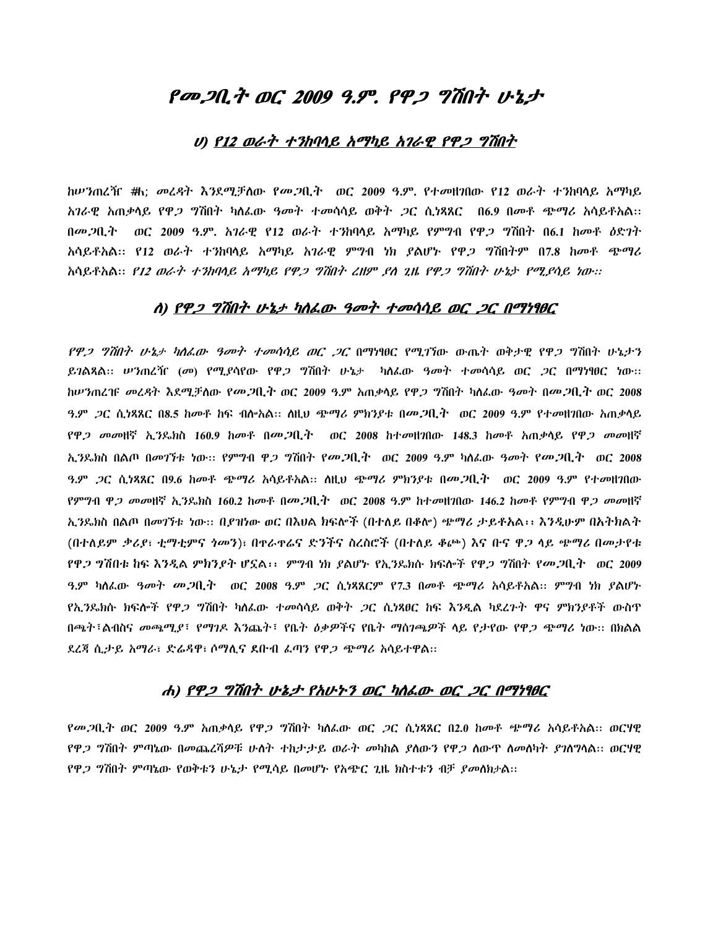## <u>የመጋቢት ወር 2009 ዓ.ም. የዋጋ ግሽበት ሁኔታ</u>

### U)  $P12$  ወራት ተንከባሳይ አማካይ አገራዊ የዋጋ ግሽበት

ከሥንጠረዥ **#**h; መረዳት እንደሚቻለው የመ*ጋ*ቢት ` ወር 2009 ዓ.ም. የተመዘገበው የ12 ወራት ተንከባላይ አማካይ እገራዊ አጠቃሳይ የዋ*ጋ* ግሽበት ካለፌው ዓ*መት ተመ*ሳሳይ ወቅት *ጋ*ር ሲነጻጸር በ6.9 በመቶ ጭማሪ አሳይቶአል። በመጋቢተ ¨ ወር 2009 ዓ.ም. አንራዊ የ12 ወራት ተንከባላይ አማካይ የምግብ የዋ*ጋ* ግሽበት በ6.1 ከመቶ *ዕ*ድንት አሳይቶአል:: የ12 ወራት ተ*ን*ከባላይ አማካይ አገራዊ ምግብ ነክ ያልሆኑ የዋ*ጋ* ግሽበትም በ7.8 ከመቶ ጭማሪ እሳይቶአል። *የ12 ወራት ተንከባሳይ አማካይ የዋጋ ግሽበት ረዘም ,የለ ጊዜ የዋጋ ግሽበት ሁኔታ የሚ,የሳይ ነው።* 

### ለ) የዋ*ጋ ግሽበት ሁኔታ ካለፌው ዓመት ተመሳሳይ ወር ጋር በማነፃፀር*

*የዋጋ ግሽበት ሁኔታ ካለፌው ዓመት ተመሳሳይ ወር ጋር* በማነፃፀር የሚገኘው ውጤት ወቅታዊ የዋ*ጋ ግ*ሽበት ሁኔታን ይገልጻል፡፡ *ሠን*ጠረዥ (መ) የሚያሳየው የዋ*ጋ ግ*ሽበት ሁኔታ "ካለፌው ዓመት ተመሳሳይ ወር *ጋ*ር በማነፃፀር ነው፡፡ ከሥንጠረዡ *መረዳ*ት እደሚቻለው የ*መጋ*ቢት ወር 2009 ዓ.ም አጠቃላይ የዋ*ጋ* ግሽበት ካለፌው ዓመት በመ*ጋ*ቢት ወር 2008 ን.ም *ጋ*ር ሲነጻጸር በ8.5 ከመቶ ከፍ ብሎአል፡፡ ስዚህ ጭማሪ ምክንያቱ በመ*ጋ*ቢት ወር 2009 ዓ.ም የተመዘንበው አጠቃላይ  $P$ ዋጋ መመዘኛ ኢንዴክስ 160.9 ከመቶ በመ.ጋቢ.ት ወር 2008 ከተመዘገበው 148.3 ከመቶ አጠቃላይ የዋ*ጋ መመ*ዘኛ ኢንዴክስ በልጦ በመገኘቱ ነው፡፡ የምግብ ዋ*ጋ ግ*ሽበት የመ*ጋ*ቢት ¨ ወር 2009 ዓ.ም ካለፌው *ዓመት የመጋ*ቢት ¨ ወር 2008  $3.9^{\circ}$  *ጋ*ር ሲ*ነጻጸር* በ9.6 ከመቶ ጭማሪ አሳይቶአል፡፡ ስዚህ ጭማሪ ምክንያቱ በመ*ጋ*ቢ*ት* ¨ ወር 2009 ዓ.ም የተመዘገበው የምግብ ዋ*ጋ መመ*ዘኛ ኢንዱክስ 160.2 ከመቶ በመ*ጋ*ቢት ¨ወር 2008 ዓ.ም ከተመዘገበው 146.2 ከመቶ የምግብ ዋ*ጋ መመ*ዘኛ ኢንዴክስ በልጦ በመገኘቱ ነው፡፡ በያዝነው ወር በእህል ክፍሎች (በተለይ በቆሎ) ጭማሪ ታይቶአል፡፡ እንዲሁም በአተክልት (በተለይም ቃሪያ፣ ቲማቲምና ጎመን)፣ በዋራዋሬና ድንችና ስረስሮች (በተለይ ቆጮ) እና ቡና ዋጋ ላይ ጭማሪ በመታየቱ የዋ*ጋ* ግሽበቱ ከፍ እንዲል ምክንያት ሆኗል፡፡ ምግብ ነክ ያልሆኑ የኢንዴክሱ ክፍሎች የዋ*ጋ* ግሽበት የመ*ጋ*ቢት ወር 2009 ዓ.ም ካለፌው *ዓመት መ.ጋ*ቢ.ት ፤ወር 2008 ዓ.ም *ጋ*ር ሲነጻጸርም የ7.3 በመቶ ጭማሪ አሳይቶአል። ምንብ ነክ ያልሆኑ <u>የኢን</u>ዴክሱ ክፍሎች የዋ*ጋ* ግሽበት ካለፌው ተመሳሳይ ወቅት *ጋ*ር ሲነጻፀር ከፍ እንዲል ካደረጉት ዋና ምክንያቶች ውስዋ በጫት፣ልብስና *መጫሚያ*፣ የማገዶ እንጨት፣ የቤት *ዕቃዎች*ና የቤት−ማሰገጫ*ዎች* ላይ የታየው የዋ*ጋ ጭግ*ሪ ነው። በክልል ደረጃ ሲታይ አማራ፣ ድሬዳዋ፣ ሶማሲና ደቡብ ፌጣን የዋ*ጋ ጭማሪ* አሳይተዋል።

### ሐ) የዋ*ጋ ግሽበት ሁኔታ የአሁኑን ወር ካለፌው ወር ጋር በማነፃፀር*

የ*መጋ*ቢት ወር 2009 ዓ.ም አጠቃሳይ የዋ*ጋ* ግሽበት ካስፌው ወር *ጋ*ር ሲነጻጸር በ2.0 ከመቶ ጭማሪ አሳይቶአል። ወርሃዊ የዋ*ጋ ግ*ሽበት ምጣኔው በመጨረሻዎቹ ሁለት ተከታታይ ወራት *መ*ካከል ያለውን የዋ*ጋ* ለውዋ ለመለካት ያገለግላል። ወርሃዊ የዋ*ጋ ግ*ሽበት ምጣኔው የወቅቱን ሁኔታ የሚሳይ በመሆኑ የአጭር ጊዜ ክስተቱን ብቻ *ያመ*ለክታል::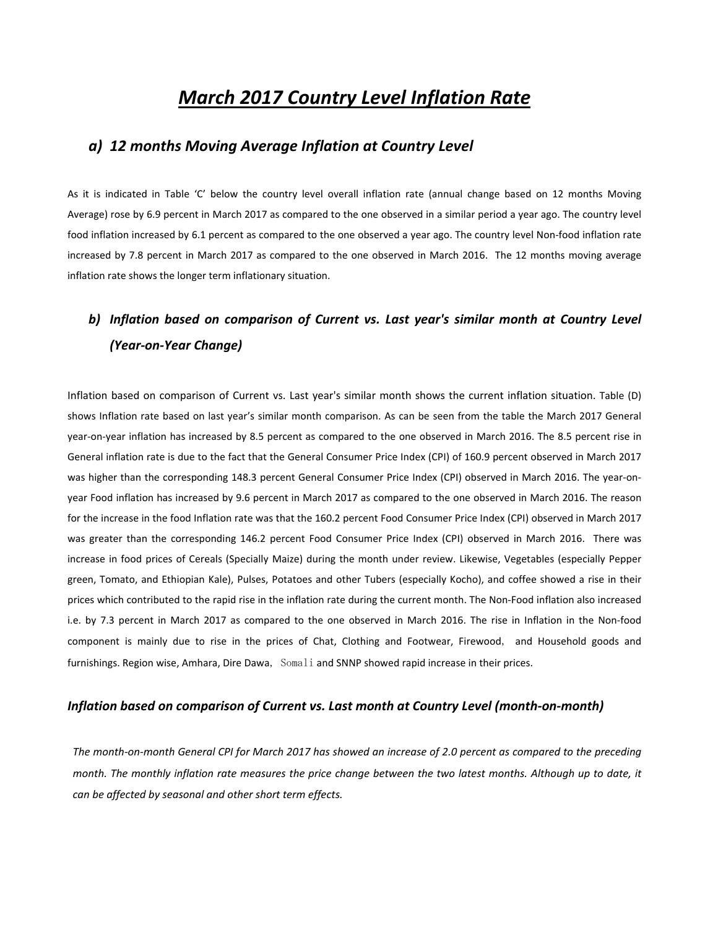# *March 2017 Country Level Inflation Rate*

## *a) 12 months Moving Average Inflation at Country Level*

As it is indicated in Table 'C' below the country level overall inflation rate (annual change based on 12 months Moving Average) rose by 6.9 percent in March 2017 as compared to the one observed in a similar period a year ago. The country level food inflation increased by 6.1 percent as compared to the one observed a year ago. The country level Non-food inflation rate increased by 7.8 percent in March 2017 as compared to the one observed in March 2016. The 12 months moving average inflation rate shows the longer term inflationary situation.

## *b) Inflation based on comparison of Current vs. Last year's similar month at Country Level (Year‐on‐Year Change)*

Inflation based on comparison of Current vs. Last year's similar month shows the current inflation situation. Table (D) shows Inflation rate based on last year's similar month comparison. As can be seen from the table the March 2017 General year‐on‐year inflation has increased by 8.5 percent as compared to the one observed in March 2016. The 8.5 percent rise in General inflation rate is due to the fact that the General Consumer Price Index (CPI) of 160.9 percent observed in March 2017 was higher than the corresponding 148.3 percent General Consumer Price Index (CPI) observed in March 2016. The year-onyear Food inflation has increased by 9.6 percent in March 2017 as compared to the one observed in March 2016. The reason for the increase in the food Inflation rate was that the 160.2 percent Food Consumer Price Index (CPI) observed in March 2017 was greater than the corresponding 146.2 percent Food Consumer Price Index (CPI) observed in March 2016. There was increase in food prices of Cereals (Specially Maize) during the month under review. Likewise, Vegetables (especially Pepper green, Tomato, and Ethiopian Kale), Pulses, Potatoes and other Tubers (especially Kocho), and coffee showed a rise in their prices which contributed to the rapid rise in the inflation rate during the current month. The Non‐Food inflation also increased i.e. by 7.3 percent in March 2017 as compared to the one observed in March 2016. The rise in Inflation in the Non‐food component is mainly due to rise in the prices of Chat, Clothing and Footwear, Firewood, and Household goods and furnishings. Region wise, Amhara, Dire Dawa, Somali and SNNP showed rapid increase in their prices.

### *Inflation based on comparison of Current vs. Last month at Country Level (month‐on‐month)*

The month-on-month General CPI for March 2017 has showed an increase of 2.0 percent as compared to the preceding month. The monthly inflation rate measures the price change between the two latest months. Although up to date, it *can be affected by seasonal and other short term effects.*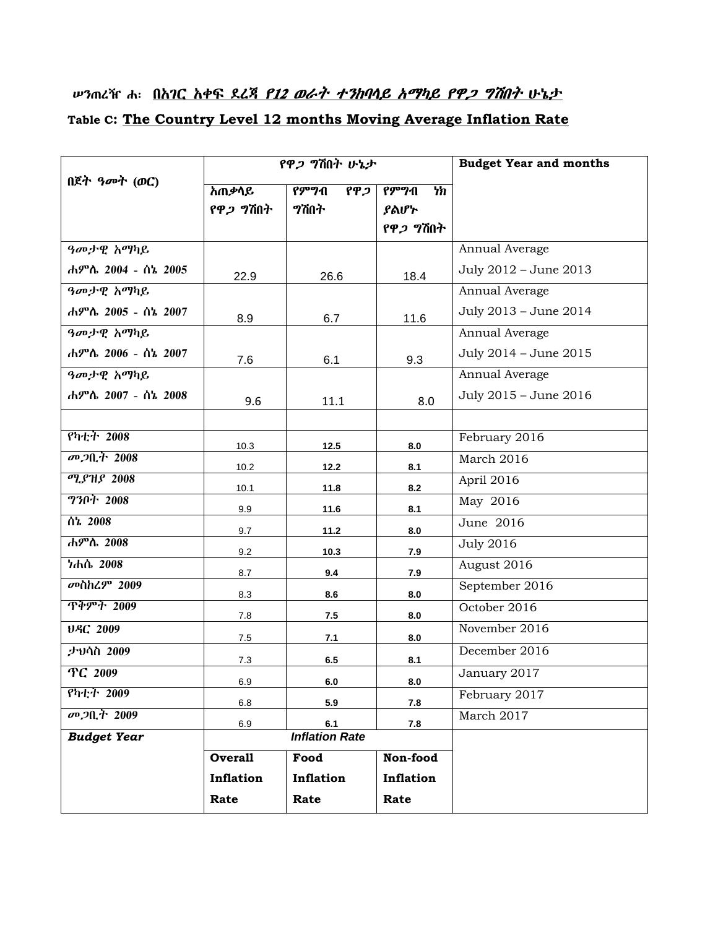# ሥንጠረዥ ሐ፡ በ<u>አገር አቀፍ ደረጃ *የ12 ወራት ተንከባሳይ አማካይ የዋጋ ግሽበት* ሁኔታ</u> **Table C: The Country Level 12 months Moving Average Inflation Rate**

|                    |                  | የዋ <i>ጋ</i> ግሽበት ሁኔታ                   | <b>Budget Year and months</b> |                       |  |  |  |  |
|--------------------|------------------|----------------------------------------|-------------------------------|-----------------------|--|--|--|--|
| በጀት ዓመት (ወር)       | <u>አጠቃሳይ</u>     | $P^{\text{proj}}$ ብ<br>$\overline{PP}$ | የምግብ<br>$\overline{h}$        |                       |  |  |  |  |
|                    | የዋ <i>ጋ</i> ግሽበት | ግሽበት                                   | ያልሆኮ                          |                       |  |  |  |  |
|                    |                  |                                        | የዋ <i>ጋ</i> ግሽበት              |                       |  |  |  |  |
| ዓመታዊ አማካይ          |                  |                                        |                               | Annual Average        |  |  |  |  |
| ሐምሌ 2004 - ሰኔ 2005 | 22.9             | 26.6                                   | 18.4                          | July 2012 - June 2013 |  |  |  |  |
| ዓመታዊ አማካይ          |                  |                                        |                               | Annual Average        |  |  |  |  |
| ሐምሌ 2005 - ሰኔ 2007 | 8.9              | 6.7                                    | 11.6                          | July 2013 - June 2014 |  |  |  |  |
| ዓመታዊ አማካይ          |                  |                                        |                               | Annual Average        |  |  |  |  |
| ሐምሌ 2006 - ሰኔ 2007 | 7.6              | 6.1                                    | 9.3                           | July 2014 - June 2015 |  |  |  |  |
| ዓመታዊ አማካይ          |                  |                                        |                               | Annual Average        |  |  |  |  |
| ሐምሌ 2007 - ሰኔ 2008 | 9.6              | 11.1                                   | 8.0                           | July 2015 - June 2016 |  |  |  |  |
|                    |                  |                                        |                               |                       |  |  |  |  |
| የካቲት 2008          | 10.3             | 12.5                                   | 8.0                           | February 2016         |  |  |  |  |
| መ <i>ጋ</i> ቢት 2008 | 10.2             | 12.2                                   | 8.1                           | March 2016            |  |  |  |  |
| ሚያዝያ 2008          | 10.1             | 11.8                                   | 8.2                           | April 2016            |  |  |  |  |
| ግንቦት 2008          | 9.9              | 11.6                                   | 8.1                           | May 2016              |  |  |  |  |
| ሰኔ 2008            | 9.7              | 11.2                                   | 8.0                           | June 2016             |  |  |  |  |
| ሐምሌ 2008           | 9.2              | 10.3                                   | 7.9                           | <b>July 2016</b>      |  |  |  |  |
| ነሐሴ 2008           | 8.7              | 9.4                                    | 7.9                           | August 2016           |  |  |  |  |
| <b>መስከረም 2009</b>  | 8.3              | 8.6                                    | 8.0                           | September 2016        |  |  |  |  |
| <u> ጥቅምት 2009</u>  | 7.8              | 7.5                                    | 8.0                           | October 2016          |  |  |  |  |
| UAC 2009           | 7.5              | 7.1                                    | 8.0                           | November 2016         |  |  |  |  |
| ታህሳስ 2009          | 7.3              | 6.5                                    | 8.1                           | December 2016         |  |  |  |  |
| TC 2009            | 6.9              | $\bf 6.0$                              | 8.0                           | January 2017          |  |  |  |  |
| የካቲት 2009          | 6.8              | 5.9                                    | 7.8                           | February 2017         |  |  |  |  |
| መጋቢት 2009          | 6.9              | 6.1                                    | 7.8                           | March 2017            |  |  |  |  |
| <b>Budget Year</b> |                  | <b>Inflation Rate</b>                  |                               |                       |  |  |  |  |
|                    | <b>Overall</b>   | Food                                   | Non-food                      |                       |  |  |  |  |
|                    | Inflation        | Inflation                              | Inflation                     |                       |  |  |  |  |
|                    | Rate             | Rate                                   | Rate                          |                       |  |  |  |  |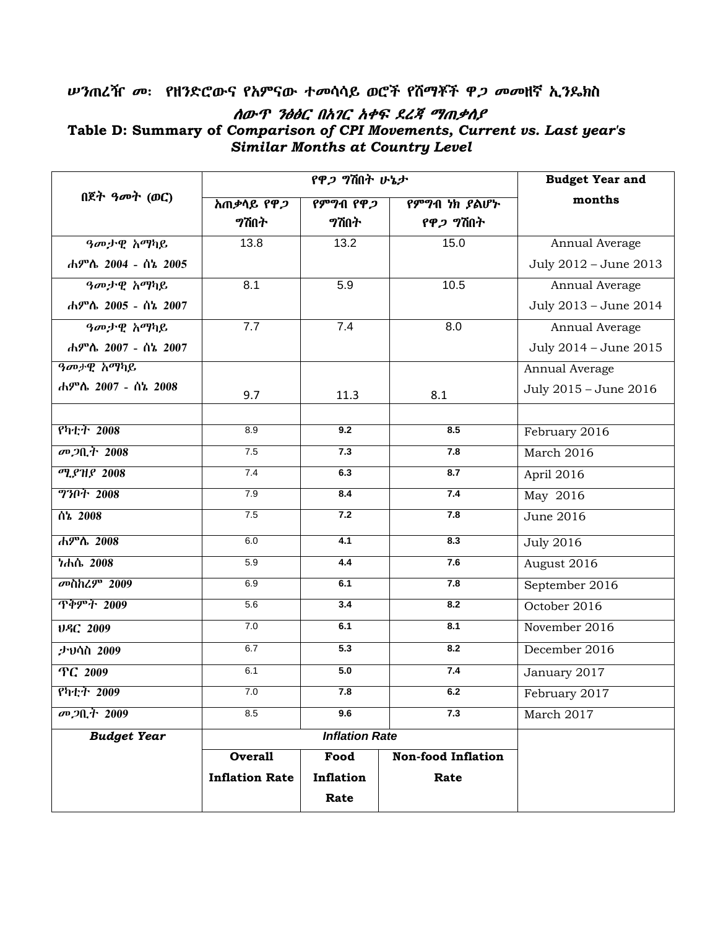## ሥንጠረዥ መ፡ የዘንድሮውና የአምናው ተመሳሳይ ወሮች የሽማቾች ዋ*ጋ መመ*ዘኛ ኢን**ዴ**ክስ ለውዋ ንፅፅር በአገር አቀፍ ደረጃ ማጠቃለያ Table D: Summary of Comparison of CPI Movements, Current vs. Last year's **Similar Months at Country Level**

|                         |                         | የዋ <i>ጋ ግ</i> ሽበት ሁኔታ | <b>Budget Year and</b>    |                       |  |
|-------------------------|-------------------------|-----------------------|---------------------------|-----------------------|--|
| በጀት ዓመት (ወር)            | <u>አጠቃሳይ የዋ<i>ጋ</i></u> | የምግብ የዋ <i>ጋ</i>      | የምግብ ነክ ያልሆኑ              | months                |  |
|                         | <b>ግሽበ</b> ት            | <b>?ሽበት</b>           | የዋ <i>ጋ</i> ግሽበት          |                       |  |
| ዓመታዊ አማካይ               | 13.8                    | 13.2                  | 15.0                      | Annual Average        |  |
| ሐምሌ 2004 - ሰኔ 2005      |                         |                       |                           | July 2012 - June 2013 |  |
| ዓመታዊ አማካይ               | 8.1                     | 5.9                   | 10.5                      | Annual Average        |  |
| ሐምሌ 2005 - ሰኔ 2007      |                         |                       |                           | July 2013 - June 2014 |  |
| ዓመታዊ አማካይ               | 7.7                     | 7.4                   | 8.0                       | Annual Average        |  |
| ሐምሌ 2007 - ሰኔ 2007      |                         |                       |                           | July 2014 - June 2015 |  |
| ዓመታዊ አማካይ               |                         |                       |                           | Annual Average        |  |
| ሐምሌ 2007 - ሰኔ 2008      | 9.7                     | 11.3                  | 8.1                       | July 2015 - June 2016 |  |
|                         |                         |                       |                           |                       |  |
| የካቲት 2008               | 8.9                     | 9.2                   | 8.5                       | February 2016         |  |
| መጋቢት 2008               | 7.5                     | 7.3                   | 7.8                       | March 2016            |  |
| <b><i>ሚያዝያ 2008</i></b> | 7.4                     | 6.3                   | 8.7                       | April 2016            |  |
| <b>730ት 2008</b>        | 7.9                     | 8.4                   | 7.4                       | May 2016              |  |
| ሰኔ 2008                 | 7.5                     | 7.2                   | 7.8                       | <b>June 2016</b>      |  |
| ሐምሌ 2008                | 6.0                     | 4.1                   | 8.3                       | <b>July 2016</b>      |  |
| ነሐሴ 2008                | 5.9                     | 4.4                   | 7.6                       | August 2016           |  |
| <b>መስከረም 2009</b>       | 6.9                     | 6.1                   | 7.8                       | September 2016        |  |
| <b>ጥቅምት 2009</b>        | 5.6                     | 3.4                   | 8.2                       | October 2016          |  |
| ህዳር 2009                | 7.0                     | 6.1                   | 8.1                       | November 2016         |  |
| ታህሳስ 2009               | 6.7                     | $\overline{5.3}$      | 8.2                       | December 2016         |  |
| TC 2009                 | 6.1                     | 5.0                   | 7.4                       | January 2017          |  |
| የካቲት 2009               | 7.0                     | 7.8                   | 6.2                       | February 2017         |  |
| መ <i>ጋ</i> ቢት 2009      | 8.5<br>9.6<br>7.3       |                       |                           | March 2017            |  |
| <b>Budget Year</b>      |                         | <b>Inflation Rate</b> |                           |                       |  |
|                         | <b>Overall</b>          | Food                  | <b>Non-food Inflation</b> |                       |  |
|                         | <b>Inflation Rate</b>   | Inflation             | Rate                      |                       |  |
|                         |                         | Rate                  |                           |                       |  |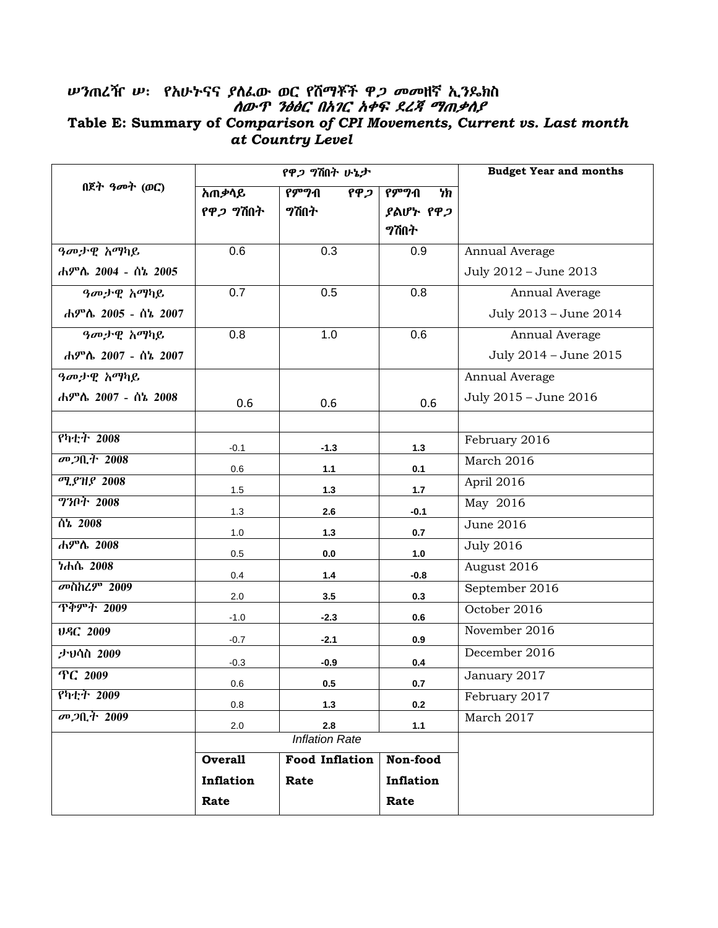# ሥንጠረዥ ሥ፡ የአሁትናና ያስፌው ወር የሽማቾች ዋ*ጋ መመ*ዘኛ ኢ*ን*ዶክስ<br>*ሰውጥ ንፅፅር በአገር አቀፍ ደረጃ ማጠቃለያ* Table E: Summary of Comparison of CPI Movements, Current vs. Last month at Country Level

|                         |                  | የዋ <i>ጋ</i> ግሽበት ሁኔታ              | <b>Budget Year and months</b> |                       |  |  |
|-------------------------|------------------|-----------------------------------|-------------------------------|-----------------------|--|--|
| በጀት ዓመት (ወር)            | አጠቃሳይ            | $\overline{P}$<br>$\overline{PP}$ | የምግብ<br>ካክ                    |                       |  |  |
|                         | የዋ <i>ጋ</i> ግሽበት | <b>ግሽበ</b> ት                      | ያልሆኑ የዋ <i>ጋ</i>              |                       |  |  |
|                         |                  |                                   | <b>ግሽበ</b> ት                  |                       |  |  |
| ዓመታዊ አማካይ               | 0.6              | 0.3                               | 0.9                           | Annual Average        |  |  |
| ሐምሌ 2004 - ሰኔ 2005      |                  |                                   |                               | July 2012 - June 2013 |  |  |
| ዓመታዊ አማካይ               | 0.7              | 0.5                               | 0.8                           | Annual Average        |  |  |
| ሐምሌ 2005 - ሰኔ 2007      |                  |                                   |                               | July 2013 - June 2014 |  |  |
| ዓመታዊ አማካይ               | 0.8              | 1.0                               | 0.6                           | Annual Average        |  |  |
| ሐምሌ 2007 - ሰኔ 2007      |                  |                                   |                               | July 2014 - June 2015 |  |  |
| ዓመታዊ አማካይ               |                  |                                   |                               | Annual Average        |  |  |
| ሐምሌ 2007 - ሰኔ 2008      | 0.6              | 0.6                               | 0.6                           | July 2015 - June 2016 |  |  |
|                         |                  |                                   |                               |                       |  |  |
| የካቲት 2008               | $-0.1$           | $-1.3$                            | $1.3$                         | February 2016         |  |  |
| መጋቢት 2008               | 0.6              | 1.1                               | 0.1                           | March 2016            |  |  |
| <b><i>ሚያዝያ 2008</i></b> | 1.5              | 1.3                               | 1.7                           | April 2016            |  |  |
| <b>ግንቦት 2008</b>        | 1.3              | 2.6                               | $-0.1$                        | May 2016              |  |  |
| $\overline{0h}$ 2008    | 1.0              | 1.3                               | 0.7                           | June 2016             |  |  |
| ሐምሌ 2008                | 0.5              | 0.0                               | 1.0                           | <b>July 2016</b>      |  |  |
| ነሐሴ 2008                | 0.4              | $1.4$                             | $-0.8$                        | August 2016           |  |  |
| <b>መስከረም 2009</b>       | 2.0              | 3.5                               | 0.3                           | September 2016        |  |  |
| <u> ጥቅምት 2009</u>       | $-1.0$           | $-2.3$                            | 0.6                           | October 2016          |  |  |
| USC 2009                | $-0.7$           | $-2.1$                            | 0.9                           | November 2016         |  |  |
| ታህሳስ 2009               | $-0.3$           | $-0.9$                            | 0.4                           | December 2016         |  |  |
| TC 2009                 | 0.6              | 0.5                               | 0.7                           | January 2017          |  |  |
| የካቲት 2009               | 0.8              | 1.3                               | 0.2                           | February 2017         |  |  |
| መጋቢት 2009               | 2.8<br>2.0       |                                   | $1.1$                         | March 2017            |  |  |
|                         |                  | <b>Inflation Rate</b>             |                               |                       |  |  |
|                         | <b>Overall</b>   | <b>Food Inflation</b>             | Non-food                      |                       |  |  |
|                         | Inflation        | Rate                              | Inflation                     |                       |  |  |
|                         | Rate             |                                   | Rate                          |                       |  |  |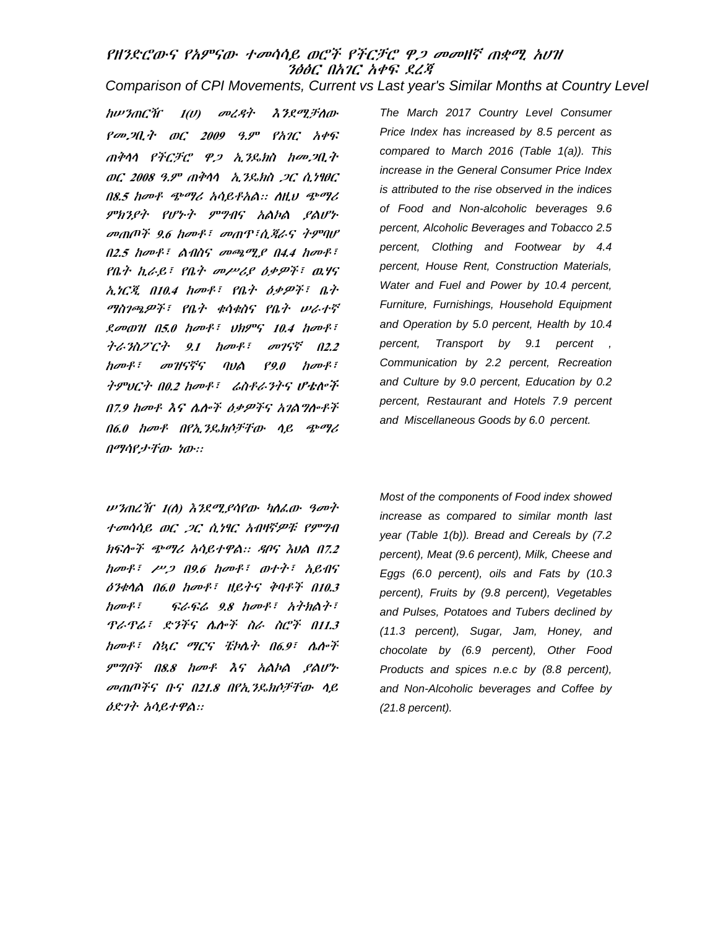## የዘንድርውና የአምናው ተመሳሳይ ወሮች የችርቻር ዋ*ጋ መመ*ዘኛ ጠቋሚ አሀዝ ንፅፅር በአገር አቀፍ ደረጃ

Comparison of CPI Movements, Current vs Last year's Similar Months at Country Level

hwንጠርዥ  $I(U)$  መረዳት እንደሚቻለው የመ, 20, ት ወር 2009 ዓ.ም የአገር አቀፍ ጠቅሳሳ የችርቻሮ ዋጋ ኢንዴክስ ከመጋቢት ወር 2008 ዓ.ም ጠቅሳሳ አ.ንዴክስ 2C ሲነፃፀር በ8.5 ከመቶ ጭማሪ አሳይቶአል። ስዚህ ጭማሪ ምክንያት የሆኑት ምግብና አልኮል ያልሆኑ መጠጦች 9.6 ከመቶ፣ መጠዋ፣ሲጃራና ትምባሆ  $0.2.5$  have  $\ell$  . A that average and  $0.4$  have  $\ell$ . የቤት ኪራይ፣ የቤት መሥሪያ ዕቃዎች፣ ዉሃና ኢነርጂ በ10.4 ከመቶ፣ የቤት ዕቃዎች፣ ቤት ማስገጫዎች፣ የቤት ቁሳቁስና የቤት ሥራተኛ Rough A5.0 house the SAP Anos ትራንስፖርት 9.1 ከመቶ፣ መገናኛ በ2.2 ከመቶ፣ መዝናኛና ባህል  $P9.0$  hover ትምህርት በ0.2 ከመቶ፣ ሬስቶራንትና ሆቴሎች በ7.9 ከመቶ እና ሌሎች ዕቃዎችና አገልግሎቶች በ6.0 ከመቶ በየኢንዴክሶቻቸው ሳይ ጭማሪ በማሳየታቸው ነው።

*w ንጠረች*ና *1(ለ) እንደሚያሳየው ካለፌው ዓመት* ተመሳሳይ ወር *ጋር ሲነፃር አብዛኛዎቹ የምግብ* ክፍሎች ጭማሪ አሳይተዋል። ዳቦና እህል በ7.2 horf!  $\mu$ 2 09.6 horf! orti hens ዕንቁሳል በ6.0 ከመቶ፣ ዘይትና ቅባቶች በ10.3  $h$ ov $f$ :  $9.8$  harts hindrs ዋራዋሬ፣ ድንችና ሴሎች ስራ ስሮች በ11.3 ከመቶ፣ ስኳር ማርና ቼኮሴት በ6.9፣ ሴሎች ምግቦች በ8.8 ከመቶ እና አልኮል ያልሆኑ መጠጦችና ቡና በ21.8 በየኢንዴክሶቻቸው ሳይ ዕድንት አሳይተዋል።

The March 2017 Country Level Consumer Price Index has increased by 8.5 percent as compared to March 2016 (Table 1(a)). This increase in the General Consumer Price Index is attributed to the rise observed in the indices of Food and Non-alcoholic beverages 9.6 percent, Alcoholic Beverages and Tobacco 2.5 percent, Clothing and Footwear by 4.4 percent, House Rent, Construction Materials, Water and Fuel and Power by 10.4 percent. Furniture, Furnishings, Household Equipment and Operation by 5.0 percent, Health by 10.4 percent, Transport by 9.1 percent, Communication by 2.2 percent, Recreation and Culture by 9.0 percent, Education by 0.2 percent, Restaurant and Hotels 7.9 percent and Miscellaneous Goods by 6.0 percent.

Most of the components of Food index showed increase as compared to similar month last year (Table 1(b)). Bread and Cereals by (7.2 percent), Meat (9.6 percent), Milk, Cheese and Eggs (6.0 percent), oils and Fats by (10.3 percent), Fruits by (9.8 percent), Vegetables and Pulses, Potatoes and Tubers declined by (11.3 percent), Sugar, Jam, Honey, and chocolate by (6.9 percent), Other Food Products and spices n.e.c by (8.8 percent), and Non-Alcoholic beverages and Coffee by  $(21.8$  percent).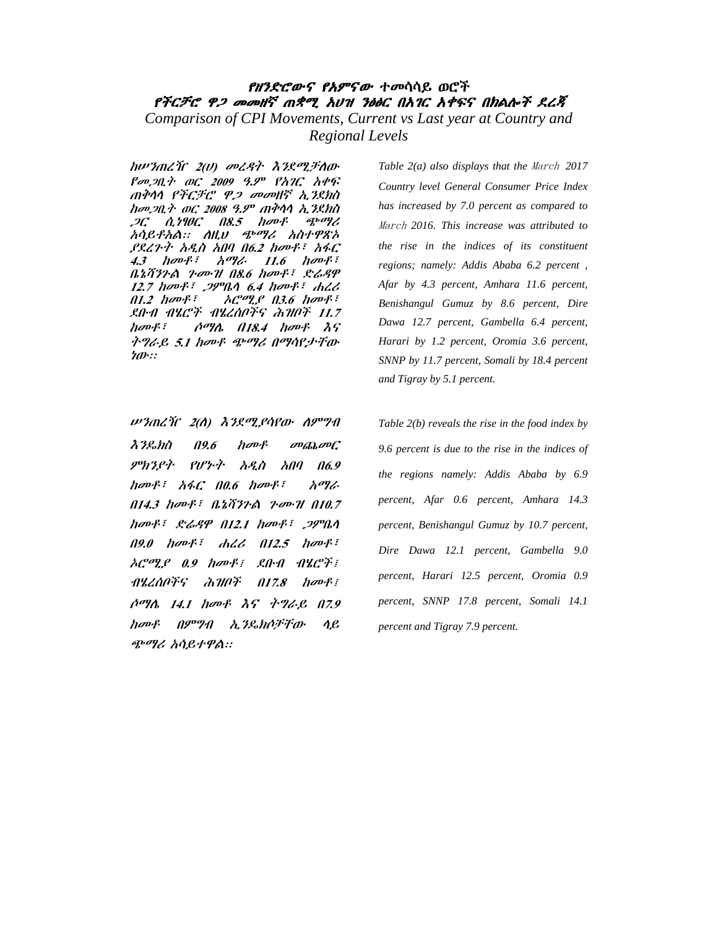## *የዘንድሮውና የአምናው ተመ*ሳሳይ ወሮች የችርቻሮ ዋ*ጋ መመዘኛ* ጠቋሚ አሀዝ ንፅፅር በአ*ገ*ር አቀፍና በክልሎ*ች ደረጃ* Comparison of CPI Movements, Current vs Last year at Country and Regional Levels

ከሥንጠረዥ 2(ሀ) መረዳት እንደሚቻለው Pop<sub>20</sub> } ac 2009 9.9 PAIC APS ጠቅሳሳ የችርቻሮ ዋ*ጋ መመ*ዘኛ ኢ*ን*ደክስ ከመጋቢት ወር 2008 ዓ.ም ጠቅሳሳ ኢንደክስ  $2C$   $\Lambda$ ,  $2\theta$  $C$   $\eta$  $8.5$   $h$   $\sigma$  $P$ ጭማሪ አሳይቶአል። ለዚህ ጭማሪ አስተዋጽኦ ,የደረጉተ አዲስ አበባ በ6.2 ከመቶ፣ አፋር  $4.3$  hover. አማራ  $11.6$  have  $\frac{1}{2}$ ቤኔቫንጉል ጉሙዝ በ8.6 ከመቶ፣ ድሬዳዋ  $12.7$  horf:  $29^\circ 0.4$  horf: dll  $01.2$  have  $\mathbf{F}$  $AC^{op}$   $C^{op}$   $C^{op}$   $D^{op}$   $D^{op}$   $D^{op}$ ደቡብ ብሄሮች ብሄረሰቦችና ሕዝቦች 11.7  $h$ <sub>*r*</sub> $m$ <sup>2</sup> $i$ *ሶማሴ በ18.4 ከመቶ እና* ትግራይ 5.1 ከመቶ ጭማሪ በማሳየታቸው ነው።

ሥንጠረዥ 2(ለ) እንደሚያሳየው ለምግብ  $\lambda$   $3$   $\ell$   $\delta$   $\eta$  $19.6$  $h$ ov $f$  $\omega_{\text{th}}\omega C$ ምክንያት የሆነ∙ት  $A \mathcal{L} \dot{\theta} = A \theta \dot{\theta} + A \dot{\theta}$ አማራ  $0.14.3$  have  $\bar{t}$   $0.2572$   $\alpha$   $2.401$   $0.7$ ከመቶ፣ ድሬዳዋ በ12.1 ከመቶ፣ ጋምቤሳ  $AC^{op}$   $C^{op}$   $D^{op}$   $D^{op}$   $D^{op}$   $D^{op}$   $D^{op}$   $D^{op}$   $D^{op}$   $D^{op}$   $D^{op}$   $D^{op}$   $D^{op}$   $D^{op}$   $D^{op}$   $D^{op}$   $D^{op}$   $D^{op}$   $D^{op}$   $D^{op}$   $D^{op}$   $D^{op}$   $D^{op}$   $D^{op}$   $D^{op}$   $D^{op}$   $D^{op}$   $D^{op}$   $D^{op}$   $D^{op}$   $D^{op}$   $D^{op$  $\frac{1}{2}$   $\frac{1}{2}$   $\frac{1}{2}$   $\frac{1}{2}$   $\frac{1}{2}$   $\frac{1}{2}$   $\frac{1}{2}$   $\frac{1}{2}$   $\frac{1}{2}$   $\frac{1}{2}$   $\frac{1}{2}$   $\frac{1}{2}$   $\frac{1}{2}$   $\frac{1}{2}$   $\frac{1}{2}$   $\frac{1}{2}$   $\frac{1}{2}$   $\frac{1}{2}$   $\frac{1}{2}$   $\frac{1}{2}$   $\frac{1}{2}$   $\frac{1}{2}$  ሶማሴ 14.1 ከመቶ እና ትግራይ በ7.9 ከመቶ በምግብ ኢንዴክሶቻቸው  $\eta_{\mathcal{L}}$ ጭማሪ አሳይተዋል።

Table  $2(a)$  also displays that the March 2017 Country level General Consumer Price Index has increased by 7.0 percent as compared to March 2016. This increase was attributed to the rise in the indices of its constituent regions; namely: Addis Ababa 6.2 percent, Afar by 4.3 percent, Amhara 11.6 percent, Benishangul Gumuz by 8.6 percent, Dire Dawa 12.7 percent, Gambella 6.4 percent, Harari by 1.2 percent, Oromia 3.6 percent, SNNP by 11.7 percent, Somali by 18.4 percent and Tigray by 5.1 percent.

Table  $2(b)$  reveals the rise in the food index by 9.6 percent is due to the rise in the indices of the regions namely: Addis Ababa by 6.9 percent, Afar 0.6 percent, Amhara 14.3 percent, Benishangul Gumuz by 10.7 percent, Dire Dawa 12.1 percent, Gambella 9.0 percent, Harari 12.5 percent, Oromia 0.9 percent, SNNP 17.8 percent, Somali 14.1 percent and Tigray 7.9 percent.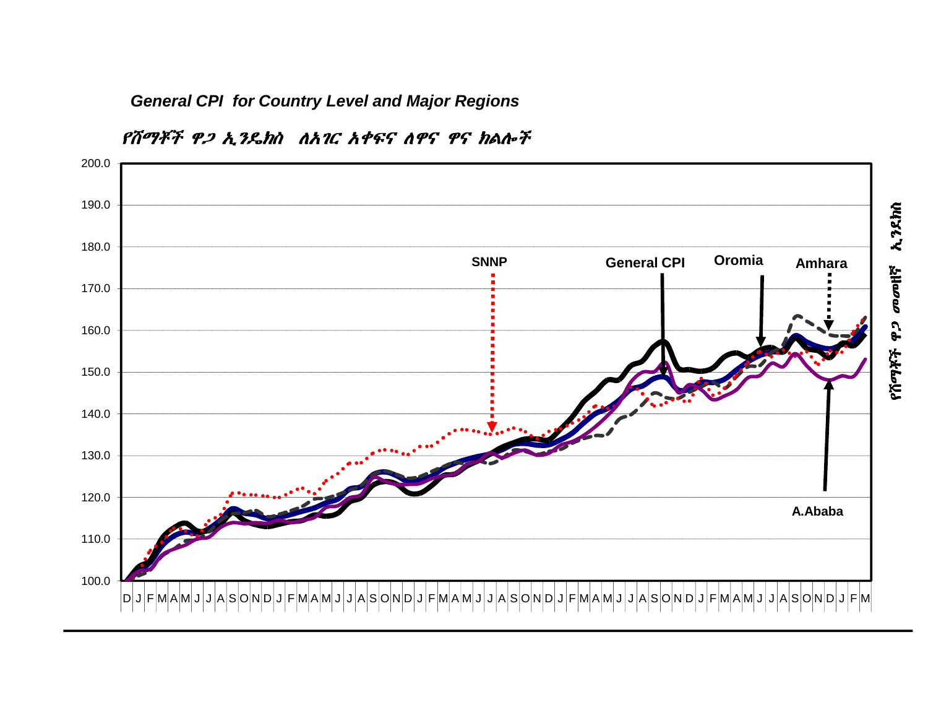**General CPI for Country Level and Major Regions** 



የሽማቾች ዋጋ ኢንዴክስ ለአገር አቀፍና ለዋና ዋና ክልሎች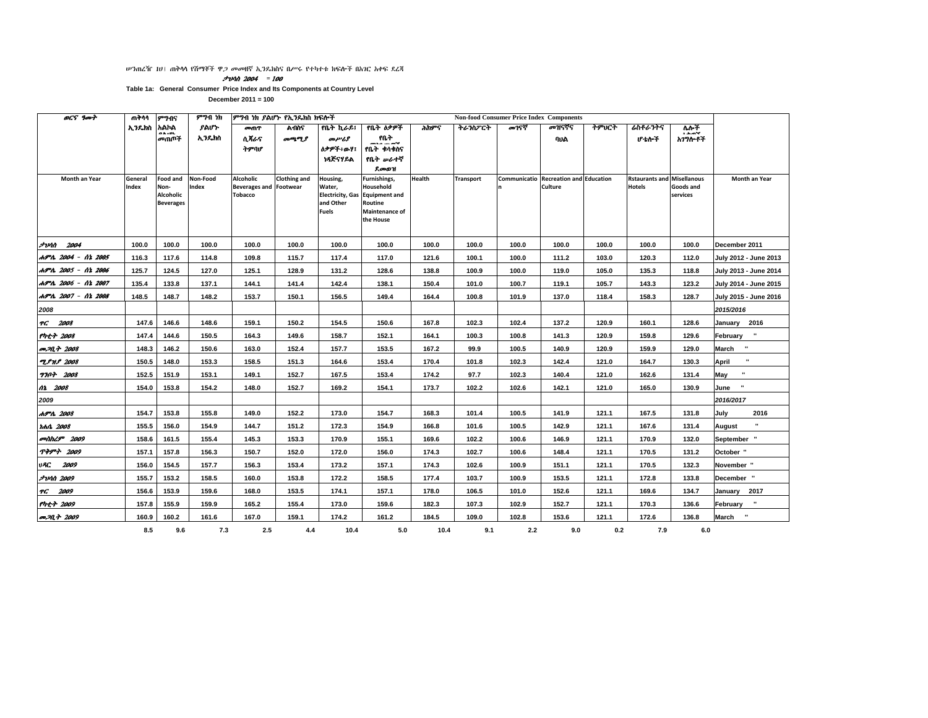#### *ሠን*ጠረዥ 10፤ ጠቅላላ የሽማቾች ዋ*ጋ መመ*ዘኛ ኢንዴክስና በሥሩ የተካተቱ ክፍሎች በአገር አቀፍ ደረጃ

 $\frac{1}{2}$ vnn 2004 = 100

Table 1a: General Consumer Price Index and Its Components at Country Level

| <b>OCS</b> 9007         | ጠቅሳሳ             | ምንብና              | ምንብ ነክ            | ምግብ ነክ ያልሆኑ የኢንዴክስ ክፍሎች<br><b>Non-food Consumer Price Index Components</b> |                     |                                   |                             |        |                  |       |                                                  |       |                                                    |                |                                 |
|-------------------------|------------------|-------------------|-------------------|----------------------------------------------------------------------------|---------------------|-----------------------------------|-----------------------------|--------|------------------|-------|--------------------------------------------------|-------|----------------------------------------------------|----------------|---------------------------------|
|                         | ኢንዴክስ አልኮል       | 0 A . OL          | ያልሆኑ              | መጠዋ                                                                        | ልብስና                | የቤት ኪራይ፤                          | የቤት ለቃዎች                    | ሕክዎና   | ትራንስፖርት          | መገናኛ  | መዝናኛና                                            | ትምህርት | ሬስቶራንትና                                            | ሌሎች<br>فأستقده |                                 |
|                         |                  | መጠሞች              | ኢንዴክስ             | ሰጻራና                                                                       | መጫሚያ                | መሥሪያ                              | የቤት<br>man mark             |        |                  |       | ባህል                                              |       | ሀ ቴሎች                                              | አገንሎቶች         |                                 |
|                         |                  |                   |                   | ትምባሆ                                                                       |                     | ስቃዎች፥ውሃ፤                          | የቤት ቀሳቀስና                   |        |                  |       |                                                  |       |                                                    |                |                                 |
|                         |                  |                   |                   |                                                                            |                     | ነጻጅናሃይል                           | የቤት ቃራተኛ                    |        |                  |       |                                                  |       |                                                    |                |                                 |
|                         |                  |                   |                   |                                                                            |                     |                                   | ደመወዝ                        |        |                  |       |                                                  |       |                                                    |                |                                 |
| Month an Year           | General<br>Index | Food and          | Non-Food<br>Index | <b>Alcoholic</b>                                                           | <b>Clothing and</b> | Housing,                          | Furnishings,<br>Household   | Health | <b>Transport</b> |       | Communicatio Recreation and Education<br>Culture |       | <b>Rstaurants and Misellanous</b><br><b>Hotels</b> | Goods and      | <b>Month an Year</b>            |
|                         |                  | Non-<br>Alcoholic |                   | <b>Beverages and Footwear</b><br><b>Tobacco</b>                            |                     | Water,<br><b>Electricity, Gas</b> | <b>Equipment and</b>        |        |                  |       |                                                  |       |                                                    | services       |                                 |
|                         |                  | <b>Beverages</b>  |                   |                                                                            |                     | and Other                         | Routine                     |        |                  |       |                                                  |       |                                                    |                |                                 |
|                         |                  |                   |                   |                                                                            |                     | <b>Fuels</b>                      | Maintenance of<br>the House |        |                  |       |                                                  |       |                                                    |                |                                 |
|                         |                  |                   |                   |                                                                            |                     |                                   |                             |        |                  |       |                                                  |       |                                                    |                |                                 |
| <i>2004 - 2004</i>      | 100.0            | 100.0             | 100.0             | 100.0                                                                      | 100.0               | 100.0                             | 100.0                       | 100.0  | 100.0            | 100.0 | 100.0                                            | 100.0 | 100.0                                              | 100.0          | December 2011                   |
|                         |                  |                   |                   |                                                                            |                     |                                   |                             |        |                  |       |                                                  |       |                                                    |                |                                 |
| ሐምሌ 2004 - ሰኔ 2005      | 116.3            | 117.6             | 114.8             | 109.8                                                                      | 115.7               | 117.4                             | 117.0                       | 121.6  | 100.1            | 100.0 | 111.2                                            | 103.0 | 120.3                                              | 112.0          | July 2012 - June 2013           |
| ሐምሌ 2005 - ሰኔ 2006      | 125.7            | 124.5             | 127.0             | 125.1                                                                      | 128.9               | 131.2                             | 128.6                       | 138.8  | 100.9            | 100.0 | 119.0                                            | 105.0 | 135.3                                              | 118.8          | July 2013 - June 2014           |
| ሐምሌ 2006 - ሰኔ 2007      | 135.4            | 133.8             | 137.1             | 144.1                                                                      | 141.4               | 142.4                             | 138.1                       | 150.4  | 101.0            | 100.7 | 119.1                                            | 105.7 | 143.3                                              | 123.2          | July 2014 - June 2015           |
| ሐምሌ 2007 - ሰኔ 2008      | 148.5            | 148.7             | 148.2             | 153.7                                                                      | 150.1               | 156.5                             | 149.4                       | 164.4  | 100.8            | 101.9 | 137.0                                            | 118.4 | 158.3                                              | 128.7          | July 2015 - June 2016           |
| 2008                    |                  |                   |                   |                                                                            |                     |                                   |                             |        |                  |       |                                                  |       |                                                    |                | 2015/2016                       |
| TG 2008                 | 147.6            | 146.6             | 148.6             | 159.1                                                                      | 150.2               | 154.5                             | 150.6                       | 167.8  | 102.3            | 102.4 | 137.2                                            | 120.9 | 160.1                                              | 128.6          | January 2016                    |
| የካቲት 2008               | 147.4            | 144.6             | 150.5             | 164.3                                                                      | 149.6               | 158.7                             | 152.1                       | 164.1  | 100.3            | 100.8 | 141.3                                            | 120.9 | 159.8                                              | 129.6          | February "                      |
| <i>መጋቢት 2008</i>        | 148.3            | 146.2             | 150.6             | 163.0                                                                      | 152.4               | 157.7                             | 153.5                       | 167.2  | 99.9             | 100.5 | 140.9                                            | 120.9 | 159.9                                              | 129.0          | $\cdot$<br>March                |
| <b>TPMP</b> 2008        | 150.5            | 148.0             | 153.3             | 158.5                                                                      | 151.3               | 164.6                             | 153.4                       | 170.4  | 101.8            | 102.3 | 142.4                                            | 121.0 | 164.7                                              | 130.3          | April                           |
| 7707 2008               | 152.5            | 151.9             | 153.1             | 149.1                                                                      | 152.7               | 167.5                             | 153.4                       | 174.2  | 97.7             | 102.3 | 140.4                                            | 121.0 | 162.6                                              | 131.4          | $\mathbf{u}$<br>May             |
| 12 2008                 | 154.0            | 153.8             | 154.2             | 148.0                                                                      | 152.7               | 169.2                             | 154.1                       | 173.7  | 102.2            | 102.6 | 142.1                                            | 121.0 | 165.0                                              | 130.9          | June                            |
| 2009                    |                  |                   |                   |                                                                            |                     |                                   |                             |        |                  |       |                                                  |       |                                                    |                | 2016/2017                       |
| ሐምሌ 2008                | 154.7            | 153.8             | 155.8             | 149.0                                                                      | 152.2               | 173.0                             | 154.7                       | 168.3  | 101.4            | 100.5 | 141.9                                            | 121.1 | 167.5                                              | 131.8          | July<br>2016                    |
| <i>rhn</i> 2008         | 155.5            | 156.0             | 154.9             | 144.7                                                                      | 151.2               | 172.3                             | 154.9                       | 166.8  | 101.6            | 100.5 | 142.9                                            | 121.1 | 167.6                                              | 131.4          | $\blacksquare$<br><b>August</b> |
| <i>antihL9</i> 2009     | 158.6            | 161.5             | 155.4             | 145.3                                                                      | 153.3               | 170.9                             | 155.1                       | 169.6  | 102.2            | 100.6 | 146.9                                            | 121.1 | 170.9                                              | 132.0          | September "                     |
| <b>ጥቅምተ 2009</b>        | 157.1            | 157.8             | 156.3             | 150.7                                                                      | 152.0               | 172.0                             | 156.0                       | 174.3  | 102.7            | 100.6 | 148.4                                            | 121.1 | 170.5                                              | 131.2          | October "                       |
| <b>URC</b> 2009         | 156.0            | 154.5             | 157.7             | 156.3                                                                      | 153.4               | 173.2                             | 157.1                       | 174.3  | 102.6            | 100.9 | 151.1                                            | 121.1 | 170.5                                              | 132.3          | November "                      |
| <i><b>JUAN 2009</b></i> | 155.7            | 153.2             | 158.5             | 160.0                                                                      | 153.8               | 172.2                             | 158.5                       | 177.4  | 103.7            | 100.9 | 153.5                                            | 121.1 | 172.8                                              | 133.8          | December "                      |
| TC 2009                 | 156.6            | 153.9             | 159.6             | 168.0                                                                      | 153.5               | 174.1                             | 157.1                       | 178.0  | 106.5            | 101.0 | 152.6                                            | 121.1 | 169.6                                              | 134.7          | January 2017                    |
| <b>Pht+ 2009</b>        | 157.8            | 155.9             | 159.9             | 165.2                                                                      | 155.4               | 173.0                             | 159.6                       | 182.3  | 107.3            | 102.9 | 152.7                                            | 121.1 | 170.3                                              | 136.6          | February "                      |
| መጋቢት 2009               | 160.9            | 160.2             | 161.6             | 167.0                                                                      | 159.1               | 174.2                             | 161.2                       | 184.5  | 109.0            | 102.8 | 153.6                                            | 121.1 | 172.6                                              | 136.8          | March<br>$\cdot$                |
|                         | 8.5              | 9.6               | 7.3               | 2.5                                                                        | 4.4                 | 10.4                              | 5.0                         | 10.4   | 9.1              | 2.2   | 9.0                                              | 0.2   | 7.9                                                | 6.0            |                                 |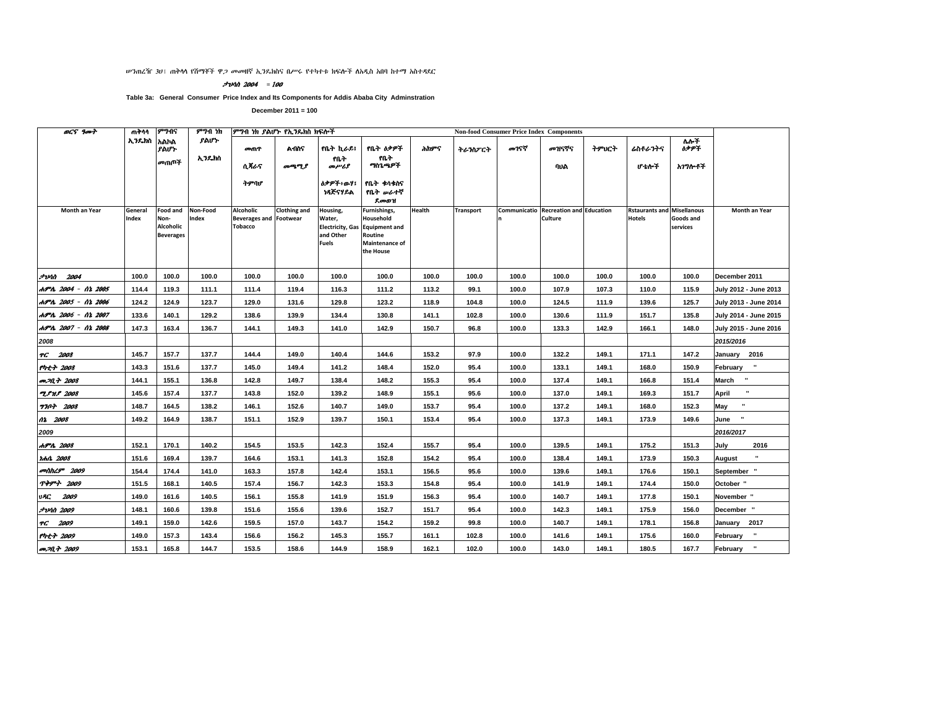ሥንጠረዥ 30፤ ጠቅሳሳ የሽማቾች ዋ*ጋ መመ*ዘኛ ኢንዴክስና በሥሩ የተካተቱ ክፍሎች ስአዲስ አበባ ከተማ አስተዳደር

#### **לוטיל - 2004** - 200

Table 3a: General Consumer Price Index and Its Components for Addis Ababa City Adminstration

| ወርና ዓመት                 | ጠቅሳሳ             | ምንብና                                              | ምንብ ነክ            | ምንብ ነክ ያልሆኑ የኢንዴክስ ክፍሎች                                      |              |                                                 |                                                                                                       |        | <b>Non-food Consumer Price Index Components</b> |       |                                                                |       |                                                    |                       |                          |
|-------------------------|------------------|---------------------------------------------------|-------------------|--------------------------------------------------------------|--------------|-------------------------------------------------|-------------------------------------------------------------------------------------------------------|--------|-------------------------------------------------|-------|----------------------------------------------------------------|-------|----------------------------------------------------|-----------------------|--------------------------|
|                         | ኢንዴክስ            | አልኮል<br>ያልሆኑ                                      | ያልሆኑ              | መጠዋ                                                          | ልብስና         | የቤት ኪራይ፤                                        | የቤት ዕቃዎች                                                                                              | ሕክዎና   | ትራንስፖርት                                         | መገናኛ  | መዝናኛና                                                          | ትምህርት | ሬስቶራንትና                                            | <b>M+T</b><br>ስቃዎች    |                          |
|                         |                  | መጠቦች                                              | ኢንዴክስ             | ሲ ጻራና                                                        | መጫሚያ         | የቤት<br>መሥሪያ                                     | የቤት<br>ግስጌጫዎች                                                                                         |        |                                                 |       | ባህል                                                            |       | ሆ ቴሎች                                              | አገግሎቶች                |                          |
|                         |                  |                                                   |                   | ትምባሆ                                                         |              | <b>ስቃዎች÷ውሃ፤</b><br>ነጻጅናሃዶል                      | የቤት ቁሳቁስና<br>የቤት <i>ው</i> ራተኛ<br>ደመወዝ                                                                 |        |                                                 |       |                                                                |       |                                                    |                       |                          |
| Month an Year           | General<br>Index | Food and<br>Non-<br>Alcoholic<br><b>Beverages</b> | Non-Food<br>Index | Alcoholic<br><b>Beverages and Footwear</b><br><b>Tobacco</b> | Clothing and | Housing,<br>Water,<br>and Other<br><b>Fuels</b> | Furnishings,<br>Household<br>Electricity, Gas Equipment and<br>Routine<br>Maintenance of<br>the House | Health | <b>Transport</b>                                |       | <b>Communicatio Recreation and Education</b><br><b>Culture</b> |       | <b>Rstaurants and Misellanous</b><br><b>Hotels</b> | Goods and<br>services | Month an Year            |
| <b>2004</b> 2004        | 100.0            | 100.0                                             | 100.0             | 100.0                                                        | 100.0        | 100.0                                           | 100.0                                                                                                 | 100.0  | 100.0                                           | 100.0 | 100.0                                                          | 100.0 | 100.0                                              | 100.0                 | December 2011            |
| ሐምሌ 2004 - ሰኔ 2005      | 114.4            | 119.3                                             | 111.1             | 111.4                                                        | 119.4        | 116.3                                           | 111.2                                                                                                 | 113.2  | 99.1                                            | 100.0 | 107.9                                                          | 107.3 | 110.0                                              | 115.9                 | July 2012 - June 2013    |
| ሐምሌ 2005 - ሰኔ 2006      | 124.2            | 124.9                                             | 123.7             | 129.0                                                        | 131.6        | 129.8                                           | 123.2                                                                                                 | 118.9  | 104.8                                           | 100.0 | 124.5                                                          | 111.9 | 139.6                                              | 125.7                 | July 2013 - June 2014    |
| ሐምሌ 2006 - ሰኔ 2007      | 133.6            | 140.1                                             | 129.2             | 138.6                                                        | 139.9        | 134.4                                           | 130.8                                                                                                 | 141.1  | 102.8                                           | 100.0 | 130.6                                                          | 111.9 | 151.7                                              | 135.8                 | July 2014 - June 2015    |
| ሐምሌ 2007 - ሰኔ 2008      | 147.3            | 163.4                                             | 136.7             | 144.1                                                        | 149.3        | 141.0                                           | 142.9                                                                                                 | 150.7  | 96.8                                            | 100.0 | 133.3                                                          | 142.9 | 166.1                                              | 148.0                 | July 2015 - June 2016    |
| 2008                    |                  |                                                   |                   |                                                              |              |                                                 |                                                                                                       |        |                                                 |       |                                                                |       |                                                    |                       | 2015/2016                |
| TG 2008                 | 145.7            | 157.7                                             | 137.7             | 144.4                                                        | 149.0        | 140.4                                           | 144.6                                                                                                 | 153.2  | 97.9                                            | 100.0 | 132.2                                                          | 149.1 | 171.1                                              | 147.2                 | January 2016             |
| የካቲት 2008               | 143.3            | 151.6                                             | 137.7             | 145.0                                                        | 149.4        | 141.2                                           | 148.4                                                                                                 | 152.0  | 95.4                                            | 100.0 | 133.1                                                          | 149.1 | 168.0                                              | 150.9                 | February "               |
| መጋቢት 2008               | 144.1            | 155.1                                             | 136.8             | 142.8                                                        | 149.7        | 138.4                                           | 148.2                                                                                                 | 155.3  | 95.4                                            | 100.0 | 137.4                                                          | 149.1 | 166.8                                              | 151.4                 | March<br>$\mathbf{u}$    |
| <b>TPHP</b> 2008        | 145.6            | 157.4                                             | 137.7             | 143.8                                                        | 152.0        | 139.2                                           | 148.9                                                                                                 | 155.1  | 95.6                                            | 100.0 | 137.0                                                          | 149.1 | 169.3                                              | 151.7                 | $\blacksquare$<br>April  |
| <b>770+ 2008</b>        | 148.7            | 164.5                                             | 138.2             | 146.1                                                        | 152.6        | 140.7                                           | 149.0                                                                                                 | 153.7  | 95.4                                            | 100.0 | 137.2                                                          | 149.1 | 168.0                                              | 152.3                 | May                      |
| 02 2008                 | 149.2            | 164.9                                             | 138.7             | 151.1                                                        | 152.9        | 139.7                                           | 150.1                                                                                                 | 153.4  | 95.4                                            | 100.0 | 137.3                                                          | 149.1 | 173.9                                              | 149.6                 | $\cdot$<br>June          |
| 2009                    |                  |                                                   |                   |                                                              |              |                                                 |                                                                                                       |        |                                                 |       |                                                                |       |                                                    |                       | 2016/2017                |
| ሐምሌ 2008                | 152.1            | 170.1                                             | 140.2             | 154.5                                                        | 153.5        | 142.3                                           | 152.4                                                                                                 | 155.7  | 95.4                                            | 100.0 | 139.5                                                          | 149.1 | 175.2                                              | 151.3                 | July<br>2016             |
| <i><b>thn. 2008</b></i> | 151.6            | 169.4                                             | 139.7             | 164.6                                                        | 153.1        | 141.3                                           | 152.8                                                                                                 | 154.2  | 95.4                                            | 100.0 | 138.4                                                          | 149.1 | 173.9                                              | 150.3                 | August                   |
| መስከረም 2009              | 154.4            | 174.4                                             | 141.0             | 163.3                                                        | 157.8        | 142.4                                           | 153.1                                                                                                 | 156.5  | 95.6                                            | 100.0 | 139.6                                                          | 149.1 | 176.6                                              | 150.1                 | September                |
| <b>ጥቅምት 2009</b>        | 151.5            | 168.1                                             | 140.5             | 157.4                                                        | 156.7        | 142.3                                           | 153.3                                                                                                 | 154.8  | 95.4                                            | 100.0 | 141.9                                                          | 149.1 | 174.4                                              | 150.0                 | October "                |
| 2009<br>vAC             | 149.0            | 161.6                                             | 140.5             | 156.1                                                        | 155.8        | 141.9                                           | 151.9                                                                                                 | 156.3  | 95.4                                            | 100.0 | 140.7                                                          | 149.1 | 177.8                                              | 150.1                 | November "               |
| <i><b>JUAN 2009</b></i> | 148.1            | 160.6                                             | 139.8             | 151.6                                                        | 155.6        | 139.6                                           | 152.7                                                                                                 | 151.7  | 95.4                                            | 100.0 | 142.3                                                          | 149.1 | 175.9                                              | 156.0                 | December "               |
| TG 2009                 | 149.1            | 159.0                                             | 142.6             | 159.5                                                        | 157.0        | 143.7                                           | 154.2                                                                                                 | 159.2  | 99.8                                            | 100.0 | 140.7                                                          | 149.1 | 178.1                                              | 156.8                 | 2017<br>January          |
| የካቲት 2009               | 149.0            | 157.3                                             | 143.4             | 156.6                                                        | 156.2        | 145.3                                           | 155.7                                                                                                 | 161.1  | 102.8                                           | 100.0 | 141.6                                                          | 149.1 | 175.6                                              | 160.0                 | $\mathbf{u}$<br>February |
| <i>መጋቢት 2009</i>        | 153.1            | 165.8                                             | 144.7             | 153.5                                                        | 158.6        | 144.9                                           | 158.9                                                                                                 | 162.1  | 102.0                                           | 100.0 | 143.0                                                          | 149.1 | 180.5                                              | 167.7                 | $\mathbf{u}$<br>February |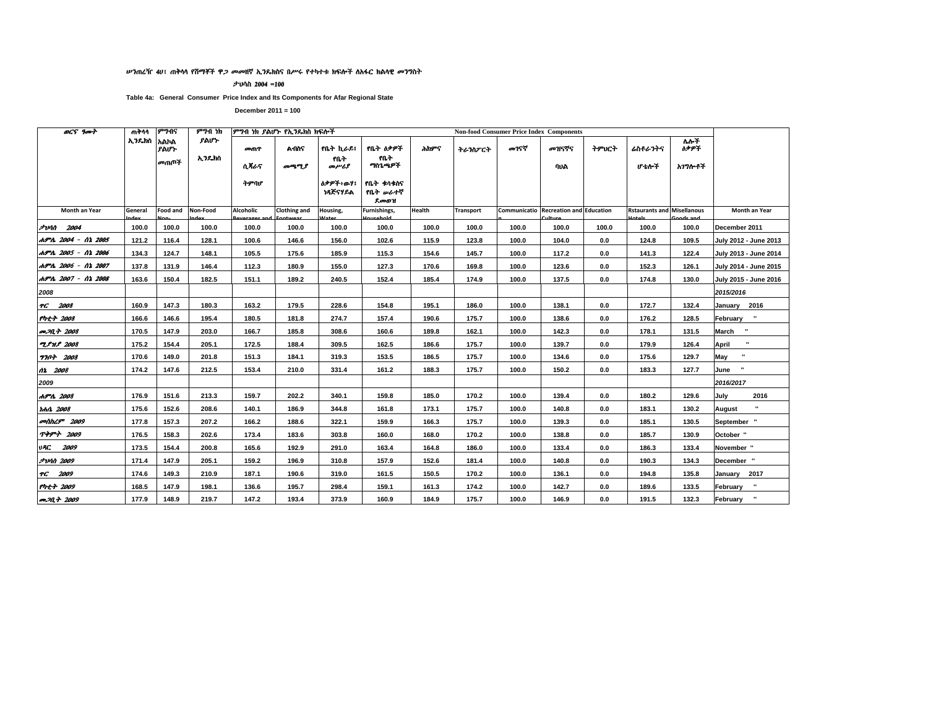#### ሥንጠረዥ 40፤ ጠቅሳሳ የሽማቾች ዋ*ጋ መመ*ዘኛ ኢንዴክስና በሥሩ የተካተቱ ክፍሎች ስአፋር ክልሳዊ *መን*ግስት

ታህሳስ 2004 =100

Table 4a: General Consumer Price Index and Its Components for Afar Regional State

| <b>OCS</b> 9007            | ጠቅሳሳ       | ምንብና                | ምንብ ነክ        |             | ምንብ ነክ ያልሆኑ የኢንዴክስ ክፍሎች |                             |                               |        |                  |       | <b>Non-food Consumer Price Index Components</b> |       |                                   |                    |                                      |
|----------------------------|------------|---------------------|---------------|-------------|-------------------------|-----------------------------|-------------------------------|--------|------------------|-------|-------------------------------------------------|-------|-----------------------------------|--------------------|--------------------------------------|
|                            | አንዴክስ አልክል | ያልሆኑ<br><b>መጠጦች</b> | ያልሆኑ<br>ኢንዴክስ | መጠዋ<br>ሲጻራና | <b>A</b> በስና            | የቤት ኪራይ፤<br>የቤት             | የቤት ዕቃዎች<br>የቤት<br>ግስጌ ዓዎች    | ሕክዎና   | ትራንስፖርት          | መገናኛ  | መዝናኛና                                           | ትምህርት | ሬስቶራንትና                           | ሌሎች<br><b>ስቃዎች</b> |                                      |
|                            |            |                     |               | ትምባሆ        | መማሚያ                    | መሥሪያ<br>ስቃዎች፥ወሃ፤<br>ነጻጅናሃይል | የቤት ቀሳቀስና<br>የቤት ሥራተኛ<br>ደመወዝ |        |                  |       | ባህል                                             |       | ሆ ቴሎች                             | አ <i>ገግ</i> ሎቶች    |                                      |
| Month an Year              | General    | <b>Food and</b>     | Non-Food      | Alcoholic   | <b>Clothing and</b>     | Housing,                    | Furnishings,<br><b>Enhold</b> | Health | <b>Transport</b> |       | <b>Communicatio Recreation and Education</b>    |       | <b>Rstaurants and Misellanous</b> |                    | Month an Year                        |
| <b>JUM 2004</b>            | 100.0      | 100.0               | 100.0         | 100.0       | 100.0                   | 100.0                       | 100.0                         | 100.0  | 100.0            | 100.0 | 100.0                                           | 100.0 | 100.0                             | 100.0              | December 2011                        |
| ሐምሌ 2004 - ሰኔ 2005         | 121.2      | 116.4               | 128.1         | 100.6       | 146.6                   | 156.0                       | 102.6                         | 115.9  | 123.8            | 100.0 | 104.0                                           | 0.0   | 124.8                             | 109.5              | July 2012 - June 2013                |
| ሐምሌ 2005 - ሰኔ 2006         | 134.3      | 124.7               | 148.1         | 105.5       | 175.6                   | 185.9                       | 115.3                         | 154.6  | 145.7            | 100.0 | 117.2                                           | 0.0   | 141.3                             | 122.4              | July 2013 - June 2014                |
| ሐምሌ 2006 - ሰኔ 2007         | 137.8      | 131.9               | 146.4         | 112.3       | 180.9                   | 155.0                       | 127.3                         | 170.6  | 169.8            | 100.0 | 123.6                                           | 0.0   | 152.3                             | 126.1              | July 2014 - June 2015                |
| ሐምሌ 2007 - ሰኔ 2008         | 163.6      | 150.4               | 182.5         | 151.1       | 189.2                   | 240.5                       | 152.4                         | 185.4  | 174.9            | 100.0 | 137.5                                           | 0.0   | 174.8                             | 130.0              | July 2015 - June 2016                |
| 2008                       |            |                     |               |             |                         |                             |                               |        |                  |       |                                                 |       |                                   |                    | 2015/2016                            |
| TG 2008                    | 160.9      | 147.3               | 180.3         | 163.2       | 179.5                   | 228.6                       | 154.8                         | 195.1  | 186.0            | 100.0 | 138.1                                           | 0.0   | 172.7                             | 132.4              | January 2016                         |
| የካቲት 2008                  | 166.6      | 146.6               | 195.4         | 180.5       | 181.8                   | 274.7                       | 157.4                         | 190.6  | 175.7            | 100.0 | 138.6                                           | 0.0   | 176.2                             | 128.5              | $\cdot$<br>February                  |
| መጋቢት 2008                  | 170.5      | 147.9               | 203.0         | 166.7       | 185.8                   | 308.6                       | 160.6                         | 189.8  | 162.1            | 100.0 | 142.3                                           | 0.0   | 178.1                             | 131.5              | March "                              |
| <b>TPHP</b> 2008           | 175.2      | 154.4               | 205.1         | 172.5       | 188.4                   | 309.5                       | 162.5                         | 186.6  | 175.7            | 100.0 | 139.7                                           | 0.0   | 179.9                             | 126.4              | April                                |
| <b>7707 2008</b>           | 170.6      | 149.0               | 201.8         | 151.3       | 184.1                   | 319.3                       | 153.5                         | 186.5  | 175.7            | 100.0 | 134.6                                           | 0.0   | 175.6                             | 129.7              | $\blacksquare$<br>May                |
| 02 2008                    | 174.2      | 147.6               | 212.5         | 153.4       | 210.0                   | 331.4                       | 161.2                         | 188.3  | 175.7            | 100.0 | 150.2                                           | 0.0   | 183.3                             | 127.7              | June                                 |
| 2009                       |            |                     |               |             |                         |                             |                               |        |                  |       |                                                 |       |                                   |                    | 2016/2017                            |
| ሐምሌ 2008                   | 176.9      | 151.6               | 213.3         | 159.7       | 202.2                   | 340.1                       | 159.8                         | 185.0  | 170.2            | 100.0 | 139.4                                           | 0.0   | 180.2                             | 129.6              | 2016<br>July                         |
| <b>the 2008</b>            | 175.6      | 152.6               | 208.6         | 140.1       | 186.9                   | 344.8                       | 161.8                         | 173.1  | 175.7            | 100.0 | 140.8                                           | 0.0   | 183.1                             | 130.2              | August                               |
| <b><i>contact 2009</i></b> | 177.8      | 157.3               | 207.2         | 166.2       | 188.6                   | 322.1                       | 159.9                         | 166.3  | 175.7            | 100.0 | 139.3                                           | 0.0   | 185.1                             | 130.5              | September "                          |
| TPPT 2009                  | 176.5      | 158.3               | 202.6         | 173.4       | 183.6                   | 303.8                       | 160.0                         | 168.0  | 170.2            | 100.0 | 138.8                                           | 0.0   | 185.7                             | 130.9              | October "                            |
| <b>UAC 2009</b>            | 173.5      | 154.4               | 200.8         | 165.6       | 192.9                   | 291.0                       | 163.4                         | 164.8  | 186.0            | 100.0 | 133.4                                           | 0.0   | 186.3                             | 133.4              | November "                           |
| <b>JUM 2009</b>            | 171.4      | 147.9               | 205.1         | 159.2       | 196.9                   | 310.8                       | 157.9                         | 152.6  | 181.4            | 100.0 | 140.8                                           | 0.0   | 190.3                             | 134.3              | December "                           |
| TG 2009                    | 174.6      | 149.3               | 210.9         | 187.1       | 190.6                   | 319.0                       | 161.5                         | 150.5  | 170.2            | 100.0 | 136.1                                           | 0.0   | 194.8                             | 135.8              | January 2017                         |
| የካቲት 2009                  | 168.5      | 147.9               | 198.1         | 136.6       | 195.7                   | 298.4                       | 159.1                         | 161.3  | 174.2            | 100.0 | 142.7                                           | 0.0   | 189.6                             | 133.5              | $\overline{\phantom{a}}$<br>February |
| <b>P.M.+ 2009</b>          | 177.9      | 148.9               | 219.7         | 147.2       | 193.4                   | 373.9                       | 160.9                         | 184.9  | 175.7            | 100.0 | 146.9                                           | 0.0   | 191.5                             | 132.3              | February "                           |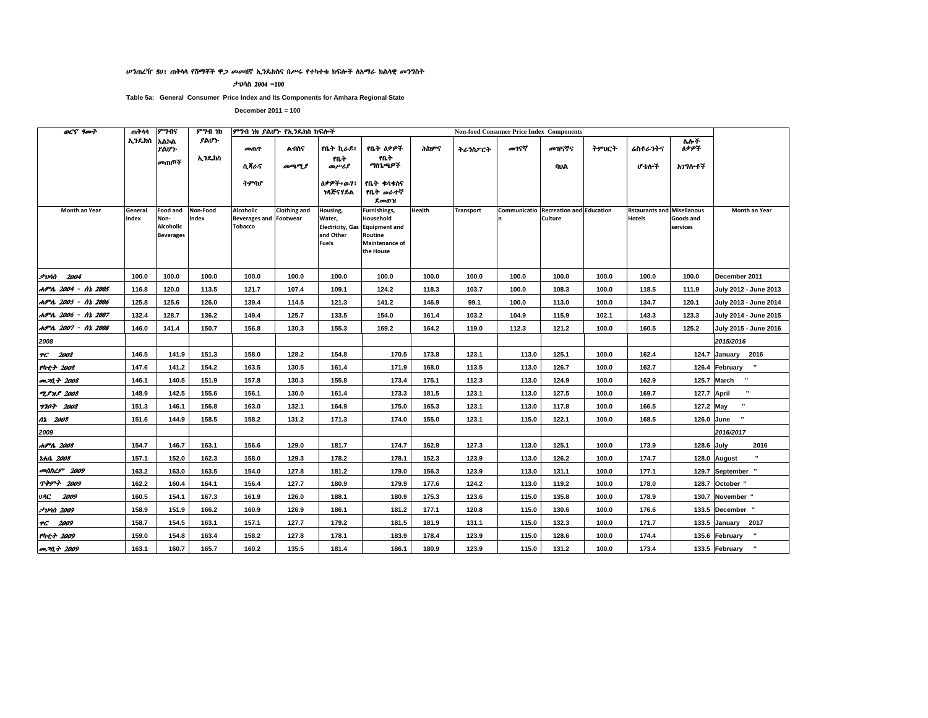#### ሥንጠረዥ 50፣ ጠቅሳሳ የሽማቾች ዋ*ጋ መመ*ዘኛ ኢንዴክስና በሥሩ የተካተቱ ክፍሎች ስአማራ ክልሳዊ *መን*ግስት

ታህሳስ 2004 =100

Table 5a: General Consumer Price Index and Its Components for Amhara Regional State

| <b>OCS</b> 9007            | ጠቅሳሳ             | ምንብና                                                     | ምንብ ነክ            | ምግብ ነክ ያልሆኑ የኢንዴክስ ክፍሎች                                      |                     |                                                                            |                                                                                             |        |                  |       | <b>Non-food Consumer Price Index Components</b>  |       |                                                    |                       |                                |
|----------------------------|------------------|----------------------------------------------------------|-------------------|--------------------------------------------------------------|---------------------|----------------------------------------------------------------------------|---------------------------------------------------------------------------------------------|--------|------------------|-------|--------------------------------------------------|-------|----------------------------------------------------|-----------------------|--------------------------------|
|                            | ኢንዴክስ            | አልኮል<br>ያልሆኑ                                             | ያልሆነ·             | መጠዋ                                                          | <b>A105</b>         | የቤት ኪራይ፤                                                                   | የቤት ዕቃዎች                                                                                    | ሕክዎና   | ትራንስፖርት          | መገናኛ  | መዝናኛና                                            | ትምህርት | ሬስቶራንትና                                            | ለሎች<br><b>ስቃዎች</b>    |                                |
|                            |                  | መጠጡች                                                     | ኢንዴክስ             | ሲጻራና                                                         | መጫሚያ                | የቤት<br>محرمسرهم                                                            | የቤት<br>ግስጌጫዎች                                                                               |        |                  |       | ባህል                                              |       | ሆ ቴሎች                                              | አገግሎቶች                |                                |
|                            |                  |                                                          |                   | ትምባሆ                                                         |                     | <b>ስቃዎች፥ውሃ፤</b><br>ነጻጅናሃይል                                                 | የቤት ቁሳቁስና<br>የቤት <i>ው</i> ራተኛ<br>ደመወዝ                                                       |        |                  |       |                                                  |       |                                                    |                       |                                |
| Month an Year              | General<br>Index | <b>Food and</b><br>Non-<br>Alcoholic<br><b>Beverages</b> | Non-Food<br>Index | Alcoholic<br><b>Beverages and Footwear</b><br><b>Tobacco</b> | <b>Clothing and</b> | Housing,<br>Water,<br><b>Electricity, Gas</b><br>and Other<br><b>Fuels</b> | Furnishings,<br>Household<br><b>Equipment and</b><br>Routine<br>Maintenance of<br>the House | Health | <b>Transport</b> |       | Communicatio Recreation and Education<br>Culture |       | <b>Rstaurants and Misellanous</b><br><b>Hotels</b> | Goods and<br>services | Month an Year                  |
| $7$ <i>vin</i> $2004$      | 100.0            | 100.0                                                    | 100.0             | 100.0                                                        | 100.0               | 100.0                                                                      | 100.0                                                                                       | 100.0  | 100.0            | 100.0 | 100.0                                            | 100.0 | 100.0                                              | 100.0                 | December 2011                  |
| ሐምሌ 2004 - ሰኔ 2005         | 116.8            | 120.0                                                    | 113.5             | 121.7                                                        | 107.4               | 109.1                                                                      | 124.2                                                                                       | 118.3  | 103.7            | 100.0 | 108.3                                            | 100.0 | 118.5                                              | 111.9                 | July 2012 - June 2013          |
| ሐምሌ 2005 - ሰኔ 2006         | 125.8            | 125.6                                                    | 126.0             | 139.4                                                        | 114.5               | 121.3                                                                      | 141.2                                                                                       | 146.9  | 99.1             | 100.0 | 113.0                                            | 100.0 | 134.7                                              | 120.1                 | July 2013 - June 2014          |
| ሐምሌ 2006 - ሰኔ 2007         | 132.4            | 128.7                                                    | 136.2             | 149.4                                                        | 125.7               | 133.5                                                                      | 154.0                                                                                       | 161.4  | 103.2            | 104.9 | 115.9                                            | 102.1 | 143.3                                              | 123.3                 | July 2014 - June 2015          |
| ሐምሌ 2007 - ሰኔ 2008         | 146.0            | 141.4                                                    | 150.7             | 156.8                                                        | 130.3               | 155.3                                                                      | 169.2                                                                                       | 164.2  | 119.0            | 112.3 | 121.2                                            | 100.0 | 160.5                                              | 125.2                 | July 2015 - June 2016          |
| 2008                       |                  |                                                          |                   |                                                              |                     |                                                                            |                                                                                             |        |                  |       |                                                  |       |                                                    |                       | 2015/2016                      |
| TG 2008                    | 146.5            | 141.9                                                    | 151.3             | 158.0                                                        | 128.2               | 154.8                                                                      | 170.5                                                                                       | 173.8  | 123.1            | 113.0 | 125.1                                            | 100.0 | 162.4                                              |                       | 124.7 January 2016             |
| የካቲት 2008                  | 147.6            | 141.2                                                    | 154.2             | 163.5                                                        | 130.5               | 161.4                                                                      | 171.9                                                                                       | 168.0  | 113.5            | 113.0 | 126.7                                            | 100.0 | 162.7                                              |                       | 126.4 February "               |
| <b>መጋቢት 2008</b>           | 146.1            | 140.5                                                    | 151.9             | 157.8                                                        | 130.3               | 155.8                                                                      | 173.4                                                                                       | 175.1  | 112.3            | 113.0 | 124.9                                            | 100.0 | 162.9                                              |                       | 125.7 March "                  |
| <b>TPMP</b> 2008           | 148.9            | 142.5                                                    | 155.6             | 156.1                                                        | 130.0               | 161.4                                                                      | 173.3                                                                                       | 181.5  | 123.1            | 113.0 | 127.5                                            | 100.0 | 169.7                                              |                       | $\mathbf{u}$<br>127.7 April    |
| <b>7707 2008</b>           | 151.3            | 146.1                                                    | 156.8             | 163.0                                                        | 132.1               | 164.9                                                                      | 175.0                                                                                       | 165.3  | 123.1            | 113.0 | 117.8                                            | 100.0 | 166.5                                              | 127.2 May             |                                |
| 02 2008                    | 151.6            | 144.9                                                    | 158.5             | 158.2                                                        | 131.2               | 171.3                                                                      | 174.0                                                                                       | 155.0  | 123.1            | 115.0 | 122.1                                            | 100.0 | 168.5                                              |                       | 126.0 June                     |
| 2009                       |                  |                                                          |                   |                                                              |                     |                                                                            |                                                                                             |        |                  |       |                                                  |       |                                                    |                       | 2016/2017                      |
| ሐምሌ 2008                   | 154.7            | 146.7                                                    | 163.1             | 156.6                                                        | 129.0               | 181.7                                                                      | 174.7                                                                                       | 162.9  | 127.3            | 113.0 | 125.1                                            | 100.0 | 173.9                                              | 128.6 July            | 2016                           |
| <i><b>Idhit 2008</b></i>   | 157.1            | 152.0                                                    | 162.3             | 158.0                                                        | 129.3               | 178.2                                                                      | 178.1                                                                                       | 152.3  | 123.9            | 113.0 | 126.2                                            | 100.0 | 174.7                                              |                       | 128.0 August                   |
| <b><i>colthL9</i></b> 2009 | 163.2            | 163.0                                                    | 163.5             | 154.0                                                        | 127.8               | 181.2                                                                      | 179.0                                                                                       | 156.3  | 123.9            | 113.0 | 131.1                                            | 100.0 | 177.1                                              |                       | 129.7 September "              |
| <b>ጥቅምት 2009</b>           | 162.2            | 160.4                                                    | 164.1             | 156.4                                                        | 127.7               | 180.9                                                                      | 179.9                                                                                       | 177.6  | 124.2            | 113.0 | 119.2                                            | 100.0 | 178.0                                              |                       | 128.7 October "                |
| 2009<br>VAC.               | 160.5            | 154.1                                                    | 167.3             | 161.9                                                        | 126.0               | 188.1                                                                      | 180.9                                                                                       | 175.3  | 123.6            | 115.0 | 135.8                                            | 100.0 | 178.9                                              |                       | 130.7 November "               |
| <i><b>JvAN 2009</b></i>    | 158.9            | 151.9                                                    | 166.2             | 160.9                                                        | 126.9               | 186.1                                                                      | 181.2                                                                                       | 177.1  | 120.8            | 115.0 | 130.6                                            | 100.0 | 176.6                                              |                       | 133.5 December "               |
| TG 2009                    | 158.7            | 154.5                                                    | 163.1             | 157.1                                                        | 127.7               | 179.2                                                                      | 181.5                                                                                       | 181.9  | 131.1            | 115.0 | 132.3                                            | 100.0 | 171.7                                              |                       | 133.5 January<br>2017          |
| የካቲት 2009                  | 159.0            | 154.8                                                    | 163.4             | 158.2                                                        | 127.8               | 178.1                                                                      | 183.9                                                                                       | 178.4  | 123.9            | 115.0 | 128.6                                            | 100.0 | 174.4                                              |                       | $\mathbf{u}$<br>135.6 February |
| <b>መጋቢት 2009</b>           | 163.1            | 160.7                                                    | 165.7             | 160.2                                                        | 135.5               | 181.4                                                                      | 186.1                                                                                       | 180.9  | 123.9            | 115.0 | 131.2                                            | 100.0 | 173.4                                              |                       | $\mathbf{u}$<br>133.5 February |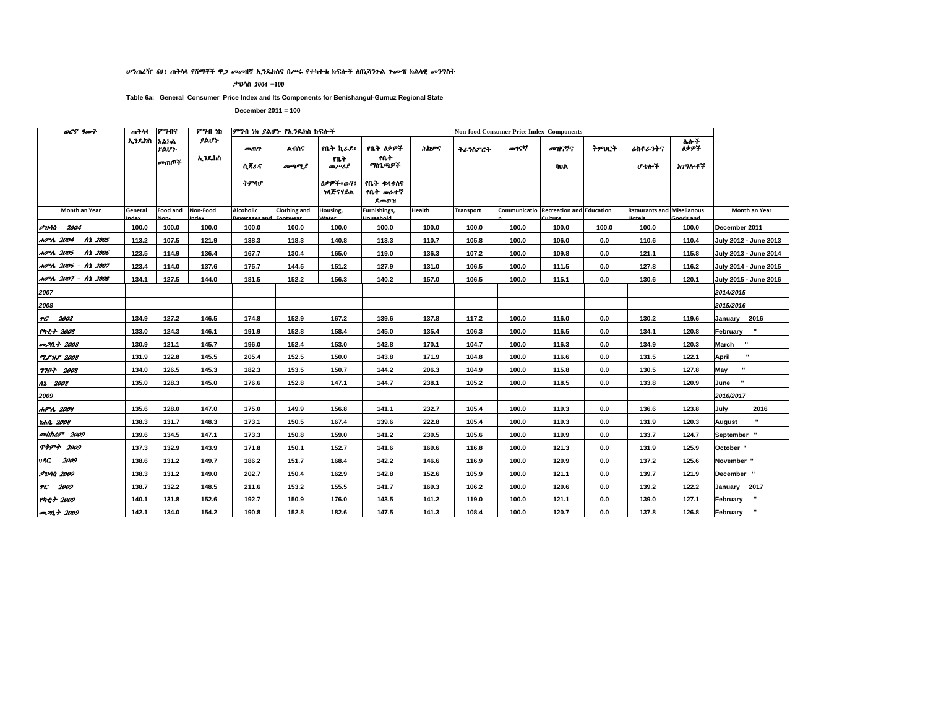#### ሥንጠረዥ 6U፣ ጠቅሳሳ የሽማቾች ዋ*ጋ መመ*ዘኛ ኢንዴክስና በሥሩ የተካተቱ ክፍሎች ለበኒሻንጉል ጉሙዝ ክልሳዊ መንግስት

ታህሳስ 2004 =100

Table 6a: General Consumer Price Index and Its Components for Benishangul-Gumuz Regional State

| <b>OCS</b> 9007                    | ጠቅሳሳ       | ምንብና            | ምንብ ነክ        |                  | ምንብ ነክ ያልሆኑ የኢንዴክስ ክፍሎች |                         |                                       |        |                  | <b>Non-food Consumer Price Index Components</b> |                                       |       |                                   |                                  |                       |
|------------------------------------|------------|-----------------|---------------|------------------|-------------------------|-------------------------|---------------------------------------|--------|------------------|-------------------------------------------------|---------------------------------------|-------|-----------------------------------|----------------------------------|-----------------------|
|                                    | ኢንዱክስ አልክል | ያልሆኑ<br>መጠጦች    | ያልሆኑ<br>ኢንዴክስ | መጠዋ<br>ሲጻራና      | ልብስና<br>መጫሚያ            | የቤት ኪራይ፤<br>የቤት<br>መሥሪያ | የቤት ዕቃዎች<br>የቤት<br>ግስጌ ዓዎች            | ሕክዎና   | ትራንስፖርት          | መገናኛ                                            | መዝናኛና<br>ባህል                          | ትምህርት | ሬስቶራንትና<br>ሆ ቴሎች                  | $\overline{M}$<br>ስቃዎች<br>አንግሎቶች |                       |
|                                    |            |                 |               | ትምባሆ             |                         | ስቃዎች፥ወሃ፤<br>ነጻጅናሃይል     | የቤት ቀሳቀስና<br>የቤት <i>ው</i> ራተኛ<br>ደመወዝ |        |                  |                                                 |                                       |       |                                   |                                  |                       |
| Month an Year                      | General    | <b>Food and</b> | Non-Food      | <b>Alcoholic</b> | <b>Clothing and</b>     | Housing,                | Furnishings,                          | Health | <b>Transport</b> |                                                 | Communicatio Recreation and Education |       | <b>Rstaurants and Misellanous</b> |                                  | <b>Month an Year</b>  |
| コンハロ<br>2004                       | 100.0      | 100.0           | 100.0         | 100.0            | 100.0                   | 100.0                   | 100.0                                 | 100.0  | 100.0            | 100.0                                           | 100.0                                 | 100.0 | 100.0                             | 100.0                            | December 2011         |
| ሐምሌ 2004 - ሰኔ 2005                 | 113.2      | 107.5           | 121.9         | 138.3            | 118.3                   | 140.8                   | 113.3                                 | 110.7  | 105.8            | 100.0                                           | 106.0                                 | 0.0   | 110.6                             | 110.4                            | July 2012 - June 2013 |
| ሐምሌ 2005 - ሰኔ 2006                 | 123.5      | 114.9           | 136.4         | 167.7            | 130.4                   | 165.0                   | 119.0                                 | 136.3  | 107.2            | 100.0                                           | 109.8                                 | 0.0   | 121.1                             | 115.8                            | July 2013 - June 2014 |
| ሐምሌ 2006 - ሰኔ 2007                 | 123.4      | 114.0           | 137.6         | 175.7            | 144.5                   | 151.2                   | 127.9                                 | 131.0  | 106.5            | 100.0                                           | 111.5                                 | 0.0   | 127.8                             | 116.2                            | July 2014 - June 2015 |
| ሐምሌ 2007 - ሰኔ 2008                 | 134.1      | 127.5           | 144.0         | 181.5            | 152.2                   | 156.3                   | 140.2                                 | 157.0  | 106.5            | 100.0                                           | 115.1                                 | 0.0   | 130.6                             | 120.1                            | July 2015 - June 2016 |
| 2007                               |            |                 |               |                  |                         |                         |                                       |        |                  |                                                 |                                       |       |                                   |                                  | 2014/2015             |
| 2008                               |            |                 |               |                  |                         |                         |                                       |        |                  |                                                 |                                       |       |                                   |                                  | 2015/2016             |
| TC 2008                            | 134.9      | 127.2           | 146.5         | 174.8            | 152.9                   | 167.2                   | 139.6                                 | 137.8  | 117.2            | 100.0                                           | 116.0                                 | 0.0   | 130.2                             | 119.6                            | January 2016          |
| የካቲት 2008                          | 133.0      | 124.3           | 146.1         | 191.9            | 152.8                   | 158.4                   | 145.0                                 | 135.4  | 106.3            | 100.0                                           | 116.5                                 | 0.0   | 134.1                             | 120.8                            | February "            |
| an 20, 4 2008                      | 130.9      | 121.1           | 145.7         | 196.0            | 152.4                   | 153.0                   | 142.8                                 | 170.1  | 104.7            | 100.0                                           | 116.3                                 | 0.0   | 134.9                             | 120.3                            | March "               |
| <b>TPHP</b> 2008                   | 131.9      | 122.8           | 145.5         | 205.4            | 152.5                   | 150.0                   | 143.8                                 | 171.9  | 104.8            | 100.0                                           | 116.6                                 | 0.0   | 131.5                             | 122.1                            | April                 |
| <b>7707 2008</b>                   | 134.0      | 126.5           | 145.3         | 182.3            | 153.5                   | 150.7                   | 144.2                                 | 206.3  | 104.9            | 100.0                                           | 115.8                                 | 0.0   | 130.5                             | 127.8                            | May                   |
| 02 2008                            | 135.0      | 128.3           | 145.0         | 176.6            | 152.8                   | 147.1                   | 144.7                                 | 238.1  | 105.2            | 100.0                                           | 118.5                                 | 0.0   | 133.8                             | 120.9                            | June                  |
| 2009                               |            |                 |               |                  |                         |                         |                                       |        |                  |                                                 |                                       |       |                                   |                                  | 2016/2017             |
| ሐምሌ 2008                           | 135.6      | 128.0           | 147.0         | 175.0            | 149.9                   | 156.8                   | 141.1                                 | 232.7  | 105.4            | 100.0                                           | 119.3                                 | 0.0   | 136.6                             | 123.8                            | 2016<br>July          |
| <i>rhit 2008</i>                   | 138.3      | 131.7           | 148.3         | 173.1            | 150.5                   | 167.4                   | 139.6                                 | 222.8  | 105.4            | 100.0                                           | 119.3                                 | 0.0   | 131.9                             | 120.3                            | August                |
| መስከረም 2009                         | 139.6      | 134.5           | 147.1         | 173.3            | 150.8                   | 159.0                   | 141.2                                 | 230.5  | 105.6            | 100.0                                           | 119.9                                 | 0.0   | 133.7                             | 124.7                            | September "           |
| <b>ጥቅምት 2009</b>                   | 137.3      | 132.9           | 143.9         | 171.8            | 150.1                   | 152.7                   | 141.6                                 | 169.6  | 116.8            | 100.0                                           | 121.3                                 | 0.0   | 131.9                             | 125.9                            | October "             |
| <b>URC 2009</b>                    | 138.6      | 131.2           | 149.7         | 186.2            | 151.7                   | 168.4                   | 142.2                                 | 146.6  | 116.9            | 100.0                                           | 120.9                                 | 0.0   | 137.2                             | 125.6                            | November "            |
| <i><b>FUAN 2009</b></i>            | 138.3      | 131.2           | 149.0         | 202.7            | 150.4                   | 162.9                   | 142.8                                 | 152.6  | 105.9            | 100.0                                           | 121.1                                 | 0.0   | 139.7                             | 121.9                            | December "            |
| TC 2009                            | 138.7      | 132.2           | 148.5         | 211.6            | 153.2                   | 155.5                   | 141.7                                 | 169.3  | 106.2            | 100.0                                           | 120.6                                 | 0.0   | 139.2                             | 122.2                            | January 2017          |
| የካቲት 2009                          | 140.1      | 131.8           | 152.6         | 192.7            | 150.9                   | 176.0                   | 143.5                                 | 141.2  | 119.0            | 100.0                                           | 121.1                                 | 0.0   | 139.0                             | 127.1                            | February "            |
| <b><i>m<sub>204</sub></i></b> 2009 | 142.1      | 134.0           | 154.2         | 190.8            | 152.8                   | 182.6                   | 147.5                                 | 141.3  | 108.4            | 100.0                                           | 120.7                                 | 0.0   | 137.8                             | 126.8                            | February "            |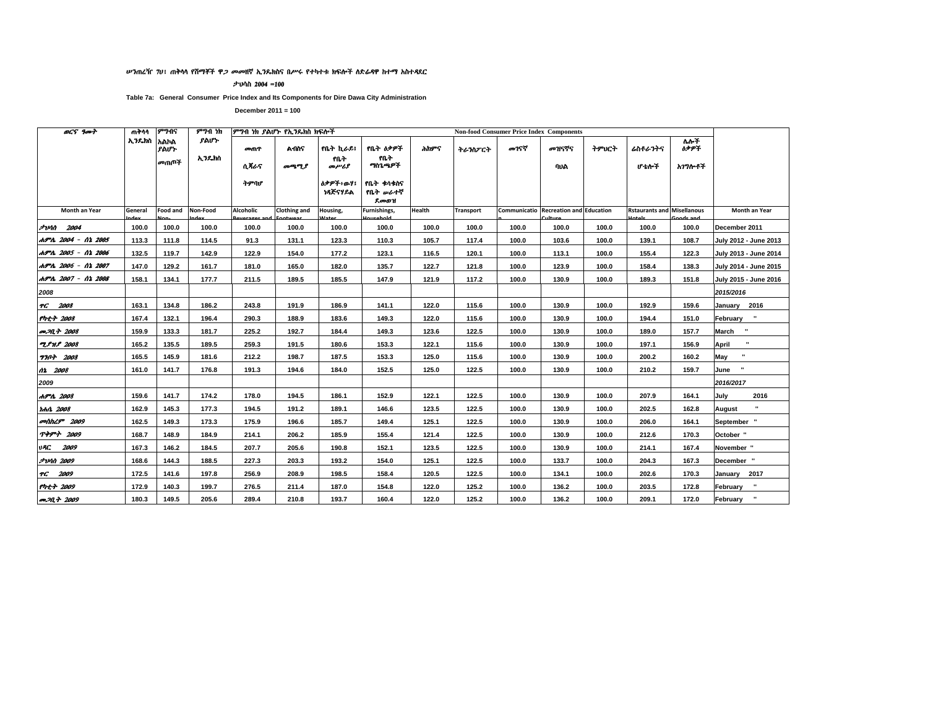#### ሥንጠረዥ 70፤ ጠቅሳሳ የሽማቾች ዋ*ጋ መመ*ዘኛ ኢንዴክስና በሥሩ የተካተቱ ክፍሎች ስድራዳዋ ከተማ አስተዳደር

ታህሳስ 2004 =100

Table 7a: General Consumer Price Index and Its Components for Dire Dawa City Administration

| <b>OCS</b> good            | ጠቅሳሳ       | ምንብና            | ምንብ ነክ        |              | ምንብ ነክ ያልሆኑ የኢንዴክስ ክፍሎች |                             |                                |        |                  |       | <b>Non-food Consumer Price Index Components</b> |       |                                   |                               |                          |
|----------------------------|------------|-----------------|---------------|--------------|-------------------------|-----------------------------|--------------------------------|--------|------------------|-------|-------------------------------------------------|-------|-----------------------------------|-------------------------------|--------------------------|
|                            | ኢንዱክስ አልክል | ያልሆኑ<br>መጠጡች    | ያልሆኑ<br>ኢንዴክስ | መጠዋ          | <b>A</b> በስና            | የቤት ኪራይ፤<br>የቤት             | የቤት ዕቃዎች<br>የቤት<br>ግስጌጫዎች      | ሕክዎና   | ትራንስፖርት          | መገናኛ  | መዝናኛና                                           | ትምህርት | ሬስቶራንትና                           | $\overline{M}$<br><b>69PT</b> |                          |
|                            |            |                 |               | ሲጻራና<br>ትምባሆ | መጫሚያ                    | መሥሪያ<br>ስቃዎች፥ውሃ፤<br>ነጻጅናሃይል | የቤት ቀሳቀስና<br>የቤት ሥራተኛ<br>ደመወዝ  |        |                  |       | ባህል                                             |       | ሆ ቴሎች                             | አገግሎቶች                        |                          |
| Month an Year              | General    | <b>Food and</b> | Non-Food      | Alcoholic    | Clothing and            | Housing,                    | Furnishings,<br>المراجع والمرد | Health | <b>Transport</b> |       | Communicatio Recreation and Education           |       | <b>Rstaurants and Misellanous</b> |                               | Month an Year            |
| <b>Juhn 2004</b>           | 100.0      | 100.0           | 100.0         | 100.0        | 100.0                   | 100.0                       | 100.0                          | 100.0  | 100.0            | 100.0 | 100.0                                           | 100.0 | 100.0                             | 100.0                         | December 2011            |
| ሐምሌ 2004 - ሰኔ 2005         | 113.3      | 111.8           | 114.5         | 91.3         | 131.1                   | 123.3                       | 110.3                          | 105.7  | 117.4            | 100.0 | 103.6                                           | 100.0 | 139.1                             | 108.7                         | July 2012 - June 2013    |
| ሐምሌ 2005 - ሰኔ 2006         | 132.5      | 119.7           | 142.9         | 122.9        | 154.0                   | 177.2                       | 123.1                          | 116.5  | 120.1            | 100.0 | 113.1                                           | 100.0 | 155.4                             | 122.3                         | July 2013 - June 2014    |
| ሐምሌ 2006 - ሰኔ 2007         | 147.0      | 129.2           | 161.7         | 181.0        | 165.0                   | 182.0                       | 135.7                          | 122.7  | 121.8            | 100.0 | 123.9                                           | 100.0 | 158.4                             | 138.3                         | July 2014 - June 2015    |
| ሐምሌ 2007 - ሰኔ 2008         | 158.1      | 134.1           | 177.7         | 211.5        | 189.5                   | 185.5                       | 147.9                          | 121.9  | 117.2            | 100.0 | 130.9                                           | 100.0 | 189.3                             | 151.8                         | July 2015 - June 2016    |
| 2008                       |            |                 |               |              |                         |                             |                                |        |                  |       |                                                 |       |                                   |                               | 2015/2016                |
| TC 2008                    | 163.1      | 134.8           | 186.2         | 243.8        | 191.9                   | 186.9                       | 141.1                          | 122.0  | 115.6            | 100.0 | 130.9                                           | 100.0 | 192.9                             | 159.6                         | January 2016             |
| የካቲት 2008                  | 167.4      | 132.1           | 196.4         | 290.3        | 188.9                   | 183.6                       | 149.3                          | 122.0  | 115.6            | 100.0 | 130.9                                           | 100.0 | 194.4                             | 151.0                         | $\mathbf{u}$<br>February |
| መጋቢት 2008                  | 159.9      | 133.3           | 181.7         | 225.2        | 192.7                   | 184.4                       | 149.3                          | 123.6  | 122.5            | 100.0 | 130.9                                           | 100.0 | 189.0                             | 157.7                         | March "                  |
| <b>ZPHP</b> 2008           | 165.2      | 135.5           | 189.5         | 259.3        | 191.5                   | 180.6                       | 153.3                          | 122.1  | 115.6            | 100.0 | 130.9                                           | 100.0 | 197.1                             | 156.9                         | April                    |
| <b>770+ 2008</b>           | 165.5      | 145.9           | 181.6         | 212.2        | 198.7                   | 187.5                       | 153.3                          | 125.0  | 115.6            | 100.0 | 130.9                                           | 100.0 | 200.2                             | 160.2                         | ×<br>May                 |
| 02 2008                    | 161.0      | 141.7           | 176.8         | 191.3        | 194.6                   | 184.0                       | 152.5                          | 125.0  | 122.5            | 100.0 | 130.9                                           | 100.0 | 210.2                             | 159.7                         | June                     |
| 2009                       |            |                 |               |              |                         |                             |                                |        |                  |       |                                                 |       |                                   |                               | 2016/2017                |
| ሐምሌ 2008                   | 159.6      | 141.7           | 174.2         | 178.0        | 194.5                   | 186.1                       | 152.9                          | 122.1  | 122.5            | 100.0 | 130.9                                           | 100.0 | 207.9                             | 164.1                         | 2016<br>July             |
| tota 2008                  | 162.9      | 145.3           | 177.3         | 194.5        | 191.2                   | 189.1                       | 146.6                          | 123.5  | 122.5            | 100.0 | 130.9                                           | 100.0 | 202.5                             | 162.8                         | August                   |
| <b><i>contact 2009</i></b> | 162.5      | 149.3           | 173.3         | 175.9        | 196.6                   | 185.7                       | 149.4                          | 125.1  | 122.5            | 100.0 | 130.9                                           | 100.0 | 206.0                             | 164.1                         | September "              |
| TPPT 2009                  | 168.7      | 148.9           | 184.9         | 214.1        | 206.2                   | 185.9                       | 155.4                          | 121.4  | 122.5            | 100.0 | 130.9                                           | 100.0 | 212.6                             | 170.3                         | October "                |
| <b>UAC</b> 2009            | 167.3      | 146.2           | 184.5         | 207.7        | 205.6                   | 190.8                       | 152.1                          | 123.5  | 122.5            | 100.0 | 130.9                                           | 100.0 | 214.1                             | 167.4                         | November "               |
| <b>JUM 2009</b>            | 168.6      | 144.3           | 188.5         | 227.3        | 203.3                   | 193.2                       | 154.0                          | 125.1  | 122.5            | 100.0 | 133.7                                           | 100.0 | 204.3                             | 167.3                         | December "               |
| TG 2009                    | 172.5      | 141.6           | 197.8         | 256.9        | 208.9                   | 198.5                       | 158.4                          | 120.5  | 122.5            | 100.0 | 134.1                                           | 100.0 | 202.6                             | 170.3                         | January 2017             |
| የካቲት 2009                  | 172.9      | 140.3           | 199.7         | 276.5        | 211.4                   | 187.0                       | 154.8                          | 122.0  | 125.2            | 100.0 | 136.2                                           | 100.0 | 203.5                             | 172.8                         | February                 |
| <b>P.M.+ 2009</b>          | 180.3      | 149.5           | 205.6         | 289.4        | 210.8                   | 193.7                       | 160.4                          | 122.0  | 125.2            | 100.0 | 136.2                                           | 100.0 | 209.1                             | 172.0                         | February "               |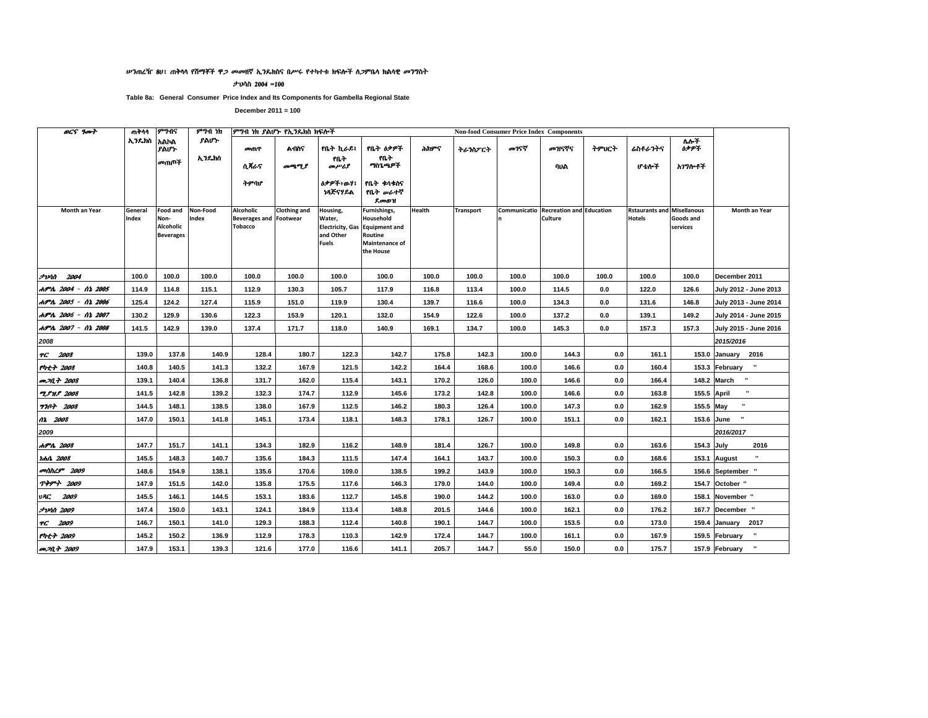#### ሥንጠረዥ 80፤ ጠቅሳሳ የሽማቾች ዋ*ጋ መመ*ዘኛ ኢንዴክስና በሥሩ የተካተቱ ክፍሎች ስ*ጋ*ምቤሳ ክልሳዊ *መን*ግስት

ታህሳስ 2004 =100

Table 8a: General Consumer Price Index and Its Components for Gambella Regional State

| <b>OCS</b> 9007            | ጠቅሳሳ             | ምንብና                                                     | ምንብ ነክ            |                                                              | ምግብ ነክ ያልሆኑ የኢንዴክስ ክፍሎች |                                                                            |                                                                                             |        |                  |       | <b>Non-food Consumer Price Index Components</b>  |       |                                                    |                       |                                |
|----------------------------|------------------|----------------------------------------------------------|-------------------|--------------------------------------------------------------|-------------------------|----------------------------------------------------------------------------|---------------------------------------------------------------------------------------------|--------|------------------|-------|--------------------------------------------------|-------|----------------------------------------------------|-----------------------|--------------------------------|
|                            | ኢንዴክስ            | አልኮል<br>ያልሆኑ                                             | ያልሆነ·             | መጠዋ                                                          | <b>A</b> በስና            | የቤት ኪራይ፤                                                                   | የቤት ዕቃዎች                                                                                    | ሕክዎና   | ትራንስፖርት          | መገናኛ  | መዝናኛና                                            | ትምህርት | ሬስቶራንትና                                            | ለሎች<br><b>ስቃዎች</b>    |                                |
|                            |                  | መጠጡች                                                     | ኢንዴክስ             | ሲጻራና                                                         | መጫሚያ                    | የቤት<br>መሥሪያ                                                                | የቤት<br>ግስጊጫዎች                                                                               |        |                  |       | ባህል                                              |       | ሆ ቴሎች                                              | አገግሎቶች                |                                |
|                            |                  |                                                          |                   | ትምባሆ                                                         |                         | <b>ስቃዎች፥ውሃ፤</b><br>ነጻጅናሃይል                                                 | የቤት ቁሳቁስና<br>የቤት <i>ው</i> ራተኛ<br>ደመወዝ                                                       |        |                  |       |                                                  |       |                                                    |                       |                                |
| Month an Year              | General<br>Index | <b>Food and</b><br>Non-<br>Alcoholic<br><b>Beverages</b> | Non-Food<br>Index | Alcoholic<br><b>Beverages and Footwear</b><br><b>Tobacco</b> | <b>Clothing and</b>     | Housing,<br>Water,<br><b>Electricity, Gas</b><br>and Other<br><b>Fuels</b> | Furnishings,<br>Household<br><b>Equipment and</b><br>Routine<br>Maintenance of<br>the House | Health | <b>Transport</b> |       | Communicatio Recreation and Education<br>Culture |       | <b>Rstaurants and Misellanous</b><br><b>Hotels</b> | Goods and<br>services | Month an Year                  |
| $7$ <i>vin</i> $2004$      | 100.0            | 100.0                                                    | 100.0             | 100.0                                                        | 100.0                   | 100.0                                                                      | 100.0                                                                                       | 100.0  | 100.0            | 100.0 | 100.0                                            | 100.0 | 100.0                                              | 100.0                 | December 2011                  |
| ሐምሌ 2004 - ሰኔ 2005         | 114.9            | 114.8                                                    | 115.1             | 112.9                                                        | 130.3                   | 105.7                                                                      | 117.9                                                                                       | 116.8  | 113.4            | 100.0 | 114.5                                            | 0.0   | 122.0                                              | 126.6                 | July 2012 - June 2013          |
| ሐምሌ 2005 - ሰኔ 2006         | 125.4            | 124.2                                                    | 127.4             | 115.9                                                        | 151.0                   | 119.9                                                                      | 130.4                                                                                       | 139.7  | 116.6            | 100.0 | 134.3                                            | 0.0   | 131.6                                              | 146.8                 | July 2013 - June 2014          |
| ሐምሌ 2006 - ሰኔ 2007         | 130.2            | 129.9                                                    | 130.6             | 122.3                                                        | 153.9                   | 120.1                                                                      | 132.0                                                                                       | 154.9  | 122.6            | 100.0 | 137.2                                            | 0.0   | 139.1                                              | 149.2                 | July 2014 - June 2015          |
| ሐምሌ 2007 - ሰኔ 2008         | 141.5            | 142.9                                                    | 139.0             | 137.4                                                        | 171.7                   | 118.0                                                                      | 140.9                                                                                       | 169.1  | 134.7            | 100.0 | 145.3                                            | 0.0   | 157.3                                              | 157.3                 | July 2015 - June 2016          |
| 2008                       |                  |                                                          |                   |                                                              |                         |                                                                            |                                                                                             |        |                  |       |                                                  |       |                                                    |                       | 2015/2016                      |
| TG 2008                    | 139.0            | 137.8                                                    | 140.9             | 128.4                                                        | 180.7                   | 122.3                                                                      | 142.7                                                                                       | 175.8  | 142.3            | 100.0 | 144.3                                            | 0.0   | 161.1                                              |                       | 153.0 January 2016             |
| የካቲት 2008                  | 140.8            | 140.5                                                    | 141.3             | 132.2                                                        | 167.9                   | 121.5                                                                      | 142.2                                                                                       | 164.4  | 168.6            | 100.0 | 146.6                                            | 0.0   | 160.4                                              |                       | 153.3 February "               |
| መጋቢት 2008                  | 139.1            | 140.4                                                    | 136.8             | 131.7                                                        | 162.0                   | 115.4                                                                      | 143.1                                                                                       | 170.2  | 126.0            | 100.0 | 146.6                                            | 0.0   | 166.4                                              |                       | 148.2 March "                  |
| <b>TPHP</b> 2008           | 141.5            | 142.8                                                    | 139.2             | 132.3                                                        | 174.7                   | 112.9                                                                      | 145.6                                                                                       | 173.2  | 142.8            | 100.0 | 146.6                                            | 0.0   | 163.8                                              | 155.5 April           | $\mathbf{u}$                   |
| <b>7707 2008</b>           | 144.5            | 148.1                                                    | 138.5             | 138.0                                                        | 167.9                   | 112.5                                                                      | 146.2                                                                                       | 180.3  | 126.4            | 100.0 | 147.3                                            | 0.0   | 162.9                                              | 155.5 May             |                                |
| 02 2008                    | 147.0            | 150.1                                                    | 141.8             | 145.1                                                        | 173.4                   | 118.1                                                                      | 148.3                                                                                       | 178.1  | 126.7            | 100.0 | 151.1                                            | 0.0   | 162.1                                              |                       | 153.6 June                     |
| 2009                       |                  |                                                          |                   |                                                              |                         |                                                                            |                                                                                             |        |                  |       |                                                  |       |                                                    |                       | 2016/2017                      |
| ሐምሌ 2008                   | 147.7            | 151.7                                                    | 141.1             | 134.3                                                        | 182.9                   | 116.2                                                                      | 148.9                                                                                       | 181.4  | 126.7            | 100.0 | 149.8                                            | 0.0   | 163.6                                              | 154.3 July            | 2016                           |
| <i><b>Idhit 2008</b></i>   | 145.5            | 148.3                                                    | 140.7             | 135.6                                                        | 184.3                   | 111.5                                                                      | 147.4                                                                                       | 164.1  | 143.7            | 100.0 | 150.3                                            | 0.0   | 168.6                                              |                       | 153.1 August                   |
| <b><i>colthL9</i></b> 2009 | 148.6            | 154.9                                                    | 138.1             | 135.6                                                        | 170.6                   | 109.0                                                                      | 138.5                                                                                       | 199.2  | 143.9            | 100.0 | 150.3                                            | 0.0   | 166.5                                              |                       | 156.6 September                |
| <b>ጥቅምት 2009</b>           | 147.9            | 151.5                                                    | 142.0             | 135.8                                                        | 175.5                   | 117.6                                                                      | 146.3                                                                                       | 179.0  | 144.0            | 100.0 | 149.4                                            | 0.0   | 169.2                                              |                       | 154.7 October "                |
| 2009<br>vAC                | 145.5            | 146.1                                                    | 144.5             | 153.1                                                        | 183.6                   | 112.7                                                                      | 145.8                                                                                       | 190.0  | 144.2            | 100.0 | 163.0                                            | 0.0   | 169.0                                              |                       | 158.1 November "               |
| <i><b>JvAN 2009</b></i>    | 147.4            | 150.0                                                    | 143.1             | 124.1                                                        | 184.9                   | 113.4                                                                      | 148.8                                                                                       | 201.5  | 144.6            | 100.0 | 162.1                                            | 0.0   | 176.2                                              |                       | 167.7 December "               |
| TG 2009                    | 146.7            | 150.1                                                    | 141.0             | 129.3                                                        | 188.3                   | 112.4                                                                      | 140.8                                                                                       | 190.1  | 144.7            | 100.0 | 153.5                                            | 0.0   | 173.0                                              |                       | 159.4 January<br>2017          |
| የካቲት 2009                  | 145.2            | 150.2                                                    | 136.9             | 112.9                                                        | 178.3                   | 110.3                                                                      | 142.9                                                                                       | 172.4  | 144.7            | 100.0 | 161.1                                            | 0.0   | 167.9                                              |                       | $\mathbf{u}$<br>159.5 February |
| <b>መጋቢት 2009</b>           | 147.9            | 153.1                                                    | 139.3             | 121.6                                                        | 177.0                   | 116.6                                                                      | 141.1                                                                                       | 205.7  | 144.7            | 55.0  | 150.0                                            | 0.0   | 175.7                                              |                       | 157.9 February                 |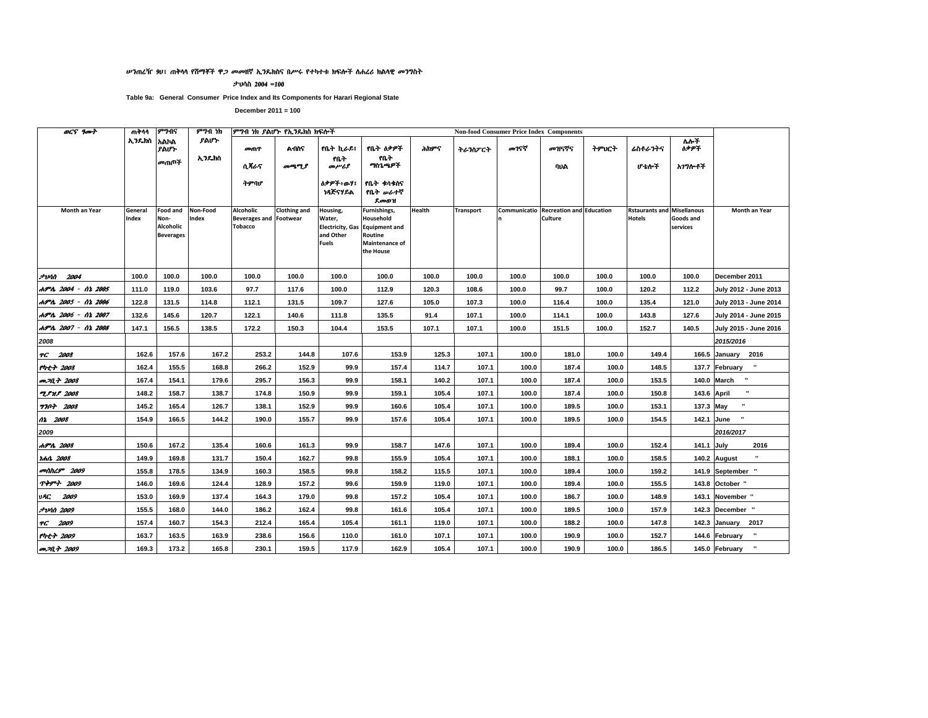#### ሥንጠረዥ 90፤ ጠቅሳሳ የሸማቾች ዋ*ጋ መመ*ዘኛ ኢንዴክስና በሥሩ የተካተቱ ክፍሎች ስሐረሪ ክልሳዊ መንግስት

ታህሳስ 2004 =100

Table 9a: General Consumer Price Index and Its Components for Harari Regional State

| <b>OCS</b> 9007         | ጠቅሳሳ             | ምንብና                                                     | ምንብ ነክ            |                                                              | ምግብ ነክ ያልሆኑ የኢንዴክስ ክፍሎች |                                                 |                                                                                                       |               |           |       | <b>Non-food Consumer Price Index Components</b>                |       |                                                    |                       |                                |
|-------------------------|------------------|----------------------------------------------------------|-------------------|--------------------------------------------------------------|-------------------------|-------------------------------------------------|-------------------------------------------------------------------------------------------------------|---------------|-----------|-------|----------------------------------------------------------------|-------|----------------------------------------------------|-----------------------|--------------------------------|
|                         | ኢንዴክስ            | አልኮል<br>ያልሆኑ                                             | ያልሆኑ              | መጠዋ                                                          | <b>A</b> በስና            | የቤት ኪራይ!                                        | የቤት ዕቃዎች                                                                                              | ሕክዎና          | ትራንስፖርት   | መገናኛ  | መዝናኛና                                                          | ትምህርት | ሬስቶራንትና                                            | ለሎች<br><b>ስቃዎች</b>    |                                |
|                         |                  | መጠቦች                                                     | ኢንዴክስ             | ሲ ጻራና                                                        | መጫሚያ                    | የቤት<br>መሥሪያ                                     | የቤት<br>ግስጊጫዎች                                                                                         |               |           |       | ባህል                                                            |       | ሆቴሎች                                               | አገግሎቶች                |                                |
|                         |                  |                                                          |                   | ትምባሆ                                                         |                         | ስቃዎች፥ውሃ፤<br>ነጻጅናሃይል                             | የቤት ቁሳቁስና<br>የቤት <i>ው</i> ራተኛ<br>ደመወዝ                                                                 |               |           |       |                                                                |       |                                                    |                       |                                |
| Month an Year           | General<br>Index | <b>Food and</b><br>Non-<br>Alcoholic<br><b>Beverages</b> | Non-Food<br>Index | Alcoholic<br><b>Beverages and Footwear</b><br><b>Tobacco</b> | <b>Clothing and</b>     | Housing,<br>Water,<br>and Other<br><b>Fuels</b> | Furnishings,<br>Household<br>Electricity, Gas Equipment and<br>Routine<br>Maintenance of<br>the House | <b>Health</b> | Transport |       | <b>Communicatio Recreation and Education</b><br><b>Culture</b> |       | <b>Rstaurants and Misellanous</b><br><b>Hotels</b> | Goods and<br>services | Month an Year                  |
| <b>JUAN 2004</b>        | 100.0            | 100.0                                                    | 100.0             | 100.0                                                        | 100.0                   | 100.0                                           | 100.0                                                                                                 | 100.0         | 100.0     | 100.0 | 100.0                                                          | 100.0 | 100.0                                              | 100.0                 | December 2011                  |
| ሐምሌ 2004 - ሰኔ 2005      | 111.0            | 119.0                                                    | 103.6             | 97.7                                                         | 117.6                   | 100.0                                           | 112.9                                                                                                 | 120.3         | 108.6     | 100.0 | 99.7                                                           | 100.0 | 120.2                                              | 112.2                 | July 2012 - June 2013          |
| ሐምሌ 2005 - ሰኔ 2006      | 122.8            | 131.5                                                    | 114.8             | 112.1                                                        | 131.5                   | 109.7                                           | 127.6                                                                                                 | 105.0         | 107.3     | 100.0 | 116.4                                                          | 100.0 | 135.4                                              | 121.0                 | July 2013 - June 2014          |
| ሐምሌ 2006 - ሰኔ 2007      | 132.6            | 145.6                                                    | 120.7             | 122.1                                                        | 140.6                   | 111.8                                           | 135.5                                                                                                 | 91.4          | 107.1     | 100.0 | 114.1                                                          | 100.0 | 143.8                                              | 127.6                 | July 2014 - June 2015          |
| ሐምሌ 2007 - ሰኔ 2008      | 147.1            | 156.5                                                    | 138.5             | 172.2                                                        | 150.3                   | 104.4                                           | 153.5                                                                                                 | 107.1         | 107.1     | 100.0 | 151.5                                                          | 100.0 | 152.7                                              | 140.5                 | July 2015 - June 2016          |
| 2008                    |                  |                                                          |                   |                                                              |                         |                                                 |                                                                                                       |               |           |       |                                                                |       |                                                    |                       | 2015/2016                      |
| TC 2008                 | 162.6            | 157.6                                                    | 167.2             | 253.2                                                        | 144.8                   | 107.6                                           | 153.9                                                                                                 | 125.3         | 107.1     | 100.0 | 181.0                                                          | 100.0 | 149.4                                              |                       | 166.5 January 2016             |
| የካቲት 2008               | 162.4            | 155.5                                                    | 168.8             | 266.2                                                        | 152.9                   | 99.9                                            | 157.4                                                                                                 | 114.7         | 107.1     | 100.0 | 187.4                                                          | 100.0 | 148.5                                              |                       | 137.7 February "               |
| መጋቢት 2008               | 167.4            | 154.1                                                    | 179.6             | 295.7                                                        | 156.3                   | 99.9                                            | 158.1                                                                                                 | 140.2         | 107.1     | 100.0 | 187.4                                                          | 100.0 | 153.5                                              |                       | 140.0 March "                  |
| <b>TPHP</b> 2008        | 148.2            | 158.7                                                    | 138.7             | 174.8                                                        | 150.9                   | 99.9                                            | 159.1                                                                                                 | 105.4         | 107.1     | 100.0 | 187.4                                                          | 100.0 | 150.8                                              | 143.6 April           | $\blacksquare$                 |
| <b>7707 2008</b>        | 145.2            | 165.4                                                    | 126.7             | 138.1                                                        | 152.9                   | 99.9                                            | 160.6                                                                                                 | 105.4         | 107.1     | 100.0 | 189.5                                                          | 100.0 | 153.1                                              | 137.3 May             |                                |
| 02 2008                 | 154.9            | 166.5                                                    | 144.2             | 190.0                                                        | 155.7                   | 99.9                                            | 157.6                                                                                                 | 105.4         | 107.1     | 100.0 | 189.5                                                          | 100.0 | 154.5                                              |                       | 142.1 June                     |
| 2009                    |                  |                                                          |                   |                                                              |                         |                                                 |                                                                                                       |               |           |       |                                                                |       |                                                    |                       | 2016/2017                      |
| ሐምሌ 2008                | 150.6            | 167.2                                                    | 135.4             | 160.6                                                        | 161.3                   | 99.9                                            | 158.7                                                                                                 | 147.6         | 107.1     | 100.0 | 189.4                                                          | 100.0 | 152.4                                              | 141.1 July            | 2016                           |
| ነሐሴ 2008                | 149.9            | 169.8                                                    | 131.7             | 150.4                                                        | 162.7                   | 99.8                                            | 155.9                                                                                                 | 105.4         | 107.1     | 100.0 | 188.1                                                          | 100.0 | 158.5                                              |                       | 140.2 August                   |
| <i>onthL9</i> 2009      | 155.8            | 178.5                                                    | 134.9             | 160.3                                                        | 158.5                   | 99.8                                            | 158.2                                                                                                 | 115.5         | 107.1     | 100.0 | 189.4                                                          | 100.0 | 159.2                                              |                       | 141.9 September "              |
| <b>ጥቅምት 2009</b>        | 146.0            | 169.6                                                    | 124.4             | 128.9                                                        | 157.2                   | 99.6                                            | 159.9                                                                                                 | 119.0         | 107.1     | 100.0 | 189.4                                                          | 100.0 | 155.5                                              |                       | 143.8 October "                |
| 2009<br>vAC             | 153.0            | 169.9                                                    | 137.4             | 164.3                                                        | 179.0                   | 99.8                                            | 157.2                                                                                                 | 105.4         | 107.1     | 100.0 | 186.7                                                          | 100.0 | 148.9                                              |                       | 143.1 November "               |
| <i><b>JUAN 2009</b></i> | 155.5            | 168.0                                                    | 144.0             | 186.2                                                        | 162.4                   | 99.8                                            | 161.6                                                                                                 | 105.4         | 107.1     | 100.0 | 189.5                                                          | 100.0 | 157.9                                              |                       | 142.3 December "               |
| TG 2009                 | 157.4            | 160.7                                                    | 154.3             | 212.4                                                        | 165.4                   | 105.4                                           | 161.1                                                                                                 | 119.0         | 107.1     | 100.0 | 188.2                                                          | 100.0 | 147.8                                              |                       | 142.3 January<br>2017          |
| $f h t + 2009$          | 163.7            | 163.5                                                    | 163.9             | 238.6                                                        | 156.6                   | 110.0                                           | 161.0                                                                                                 | 107.1         | 107.1     | 100.0 | 190.9                                                          | 100.0 | 152.7                                              |                       | $\mathbf{u}$<br>144.6 February |
| <i>መጋቢት 2009</i>        | 169.3            | 173.2                                                    | 165.8             | 230.1                                                        | 159.5                   | 117.9                                           | 162.9                                                                                                 | 105.4         | 107.1     | 100.0 | 190.9                                                          | 100.0 | 186.5                                              |                       | 145.0 February                 |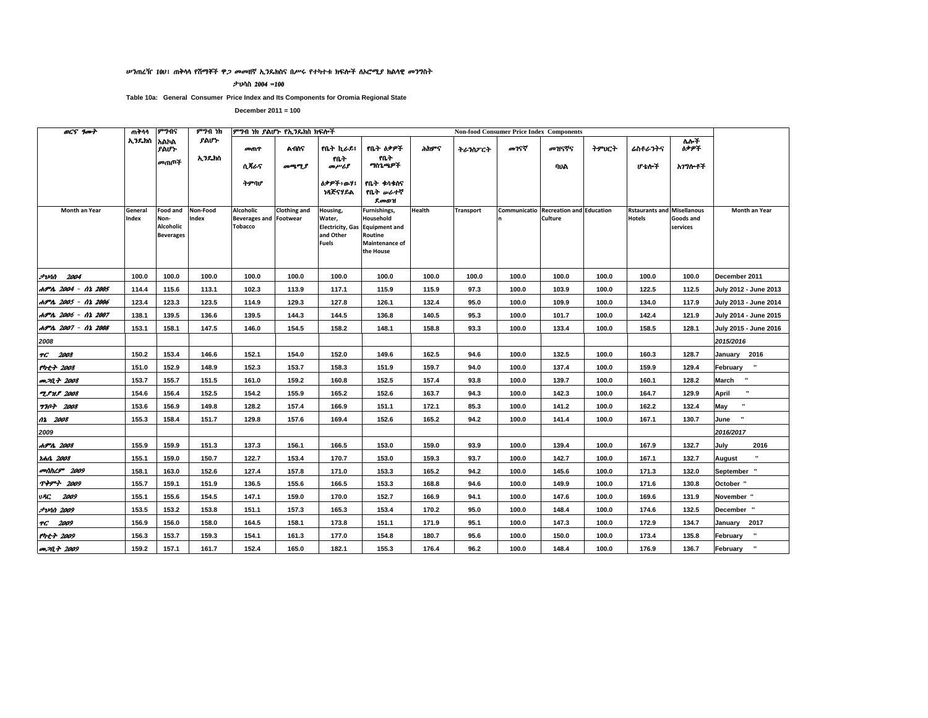#### ሥንጠረዥ 100፣ ጠቅሳሳ የሽማቾች ዋ*ጋ መመ*ዘኛ ኢንዴክስና በሥሩ የተካተቱ ክፍሎች ለኦሮሚ*ያ* ክልሳዊ መንግስት

ታህሳስ 2004 =100

Table 10a: General Consumer Price Index and Its Components for Oromia Regional State

| <b>OCS</b> 9007         | ጠቅሳሳ             | ምንብና                                                     | ምንብ ነክ            | ምፃብ ነክ ያልሆኑ የኢንዴክስ ክፍሎች                                      |                     |                                                                            |                                                                                             |        |                  |       | <b>Non-food Consumer Price Index Components</b>  |       |                                                    |                       |                       |
|-------------------------|------------------|----------------------------------------------------------|-------------------|--------------------------------------------------------------|---------------------|----------------------------------------------------------------------------|---------------------------------------------------------------------------------------------|--------|------------------|-------|--------------------------------------------------|-------|----------------------------------------------------|-----------------------|-----------------------|
|                         | አንዴክስ አልክል       | ያልሆኑ                                                     | ያልሆኑ              | መጠዋ                                                          | A MG                | የቤት ኪራይ፤                                                                   | የቤት ዕቃዎች                                                                                    | ሕክምና   | ትራንስፖርት          | መገናኛ  | መዝናኛና                                            | ትምህርት | ሬስቶራንትና                                            | ሌሎች<br>ስቃዎች           |                       |
|                         |                  | መጠቦች                                                     | ኢንዴክስ             | ሲ ጸራና                                                        | መጫሚያ                | የቤት<br>መሥሪያ                                                                | የቤት<br>ግስጌጫዎች                                                                               |        |                  |       | ባህል                                              |       | ሆ ቴሎች                                              | አገግሎቶች                |                       |
|                         |                  |                                                          |                   | ትምባሆ                                                         |                     | <b>ስቃዎች፥</b> ውሃ፤<br>ነጻጅናሃይል                                                | የቤት ቀሳቀስና<br>የቤት ሥራተኛ<br><b>Root</b>                                                        |        |                  |       |                                                  |       |                                                    |                       |                       |
| Month an Year           | General<br>Index | Food and<br>Non-<br><b>Alcoholic</b><br><b>Beverages</b> | Non-Food<br>Index | Alcoholic<br><b>Beverages and Footwear</b><br><b>Tobacco</b> | <b>Clothing and</b> | Housing,<br>Water,<br><b>Electricity, Gas</b><br>and Other<br><b>Fuels</b> | Furnishings,<br>Household<br><b>Equipment and</b><br>Routine<br>Maintenance of<br>the House | Health | <b>Transport</b> |       | Communicatio Recreation and Education<br>Culture |       | <b>Rstaurants and Misellanous</b><br><b>Hotels</b> | Goods and<br>services | Month an Year         |
| <b>2004</b> 2004        | 100.0            | 100.0                                                    | 100.0             | 100.0                                                        | 100.0               | 100.0                                                                      | 100.0                                                                                       | 100.0  | 100.0            | 100.0 | 100.0                                            | 100.0 | 100.0                                              | 100.0                 | December 2011         |
| ሐምሌ 2004 - ሰኔ 2005      | 114.4            | 115.6                                                    | 113.1             | 102.3                                                        | 113.9               | 117.1                                                                      | 115.9                                                                                       | 115.9  | 97.3             | 100.0 | 103.9                                            | 100.0 | 122.5                                              | 112.5                 | July 2012 - June 2013 |
| ሐምሌ 2005 - ሰኔ 2006      | 123.4            | 123.3                                                    | 123.5             | 114.9                                                        | 129.3               | 127.8                                                                      | 126.1                                                                                       | 132.4  | 95.0             | 100.0 | 109.9                                            | 100.0 | 134.0                                              | 117.9                 | July 2013 - June 2014 |
| ሐምሌ 2006 - ሰኔ 2007      | 138.1            | 139.5                                                    | 136.6             | 139.5                                                        | 144.3               | 144.5                                                                      | 136.8                                                                                       | 140.5  | 95.3             | 100.0 | 101.7                                            | 100.0 | 142.4                                              | 121.9                 | July 2014 - June 2015 |
| ሐምሌ 2007 - ሰኔ 2008      | 153.1            | 158.1                                                    | 147.5             | 146.0                                                        | 154.5               | 158.2                                                                      | 148.1                                                                                       | 158.8  | 93.3             | 100.0 | 133.4                                            | 100.0 | 158.5                                              | 128.1                 | July 2015 - June 2016 |
| 2008                    |                  |                                                          |                   |                                                              |                     |                                                                            |                                                                                             |        |                  |       |                                                  |       |                                                    |                       | 2015/2016             |
| TG 2008                 | 150.2            | 153.4                                                    | 146.6             | 152.1                                                        | 154.0               | 152.0                                                                      | 149.6                                                                                       | 162.5  | 94.6             | 100.0 | 132.5                                            | 100.0 | 160.3                                              | 128.7                 | January 2016          |
| የካቲት 2008               | 151.0            | 152.9                                                    | 148.9             | 152.3                                                        | 153.7               | 158.3                                                                      | 151.9                                                                                       | 159.7  | 94.0             | 100.0 | 137.4                                            | 100.0 | 159.9                                              | 129.4                 | February "            |
| መጋቢት 2008               | 153.7            | 155.7                                                    | 151.5             | 161.0                                                        | 159.2               | 160.8                                                                      | 152.5                                                                                       | 157.4  | 93.8             | 100.0 | 139.7                                            | 100.0 | 160.1                                              | 128.2                 | March "               |
| <b>2.PH.P 2008</b>      | 154.6            | 156.4                                                    | 152.5             | 154.2                                                        | 155.9               | 165.2                                                                      | 152.6                                                                                       | 163.7  | 94.3             | 100.0 | 142.3                                            | 100.0 | 164.7                                              | 129.9                 | April                 |
| <b>9707 2008</b>        | 153.6            | 156.9                                                    | 149.8             | 128.2                                                        | 157.4               | 166.9                                                                      | 151.1                                                                                       | 172.1  | 85.3             | 100.0 | 141.2                                            | 100.0 | 162.2                                              | 132.4                 | $\blacksquare$<br>May |
| 12 2008                 | 155.3            | 158.4                                                    | 151.7             | 129.8                                                        | 157.6               | 169.4                                                                      | 152.6                                                                                       | 165.2  | 94.2             | 100.0 | 141.4                                            | 100.0 | 167.1                                              | 130.7                 | June                  |
| 2009                    |                  |                                                          |                   |                                                              |                     |                                                                            |                                                                                             |        |                  |       |                                                  |       |                                                    |                       | 2016/2017             |
| ሐምሌ 2008                | 155.9            | 159.9                                                    | 151.3             | 137.3                                                        | 156.1               | 166.5                                                                      | 153.0                                                                                       | 159.0  | 93.9             | 100.0 | 139.4                                            | 100.0 | 167.9                                              | 132.7                 | July<br>2016          |
| rmA 2008                | 155.1            | 159.0                                                    | 150.7             | 122.7                                                        | 153.4               | 170.7                                                                      | 153.0                                                                                       | 159.3  | 93.7             | 100.0 | 142.7                                            | 100.0 | 167.1                                              | 132.7                 | August                |
| መስከረም 2009              | 158.1            | 163.0                                                    | 152.6             | 127.4                                                        | 157.8               | 171.0                                                                      | 153.3                                                                                       | 165.2  | 94.2             | 100.0 | 145.6                                            | 100.0 | 171.3                                              | 132.0                 | September "           |
| <b>ጥቅምት 2009</b>        | 155.7            | 159.1                                                    | 151.9             | 136.5                                                        | 155.6               | 166.5                                                                      | 153.3                                                                                       | 168.8  | 94.6             | 100.0 | 149.9                                            | 100.0 | 171.6                                              | 130.8                 | October "             |
| U <b>RC 2009</b>        | 155.1            | 155.6                                                    | 154.5             | 147.1                                                        | 159.0               | 170.0                                                                      | 152.7                                                                                       | 166.9  | 94.1             | 100.0 | 147.6                                            | 100.0 | 169.6                                              | 131.9                 | November "            |
| <i><b>JvAN 2009</b></i> | 153.5            | 153.2                                                    | 153.8             | 151.1                                                        | 157.3               | 165.3                                                                      | 153.4                                                                                       | 170.2  | 95.0             | 100.0 | 148.4                                            | 100.0 | 174.6                                              | 132.5                 | December "            |
| TG 2009                 | 156.9            | 156.0                                                    | 158.0             | 164.5                                                        | 158.1               | 173.8                                                                      | 151.1                                                                                       | 171.9  | 95.1             | 100.0 | 147.3                                            | 100.0 | 172.9                                              | 134.7                 | January 2017          |
| የካቲት 2009               | 156.3            | 153.7                                                    | 159.3             | 154.1                                                        | 161.3               | 177.0                                                                      | 154.8                                                                                       | 180.7  | 95.6             | 100.0 | 150.0                                            | 100.0 | 173.4                                              | 135.8                 | February "            |
| መጋቢት 2009               | 159.2            | 157.1                                                    | 161.7             | 152.4                                                        | 165.0               | 182.1                                                                      | 155.3                                                                                       | 176.4  | 96.2             | 100.0 | 148.4                                            | 100.0 | 176.9                                              | 136.7                 | February "            |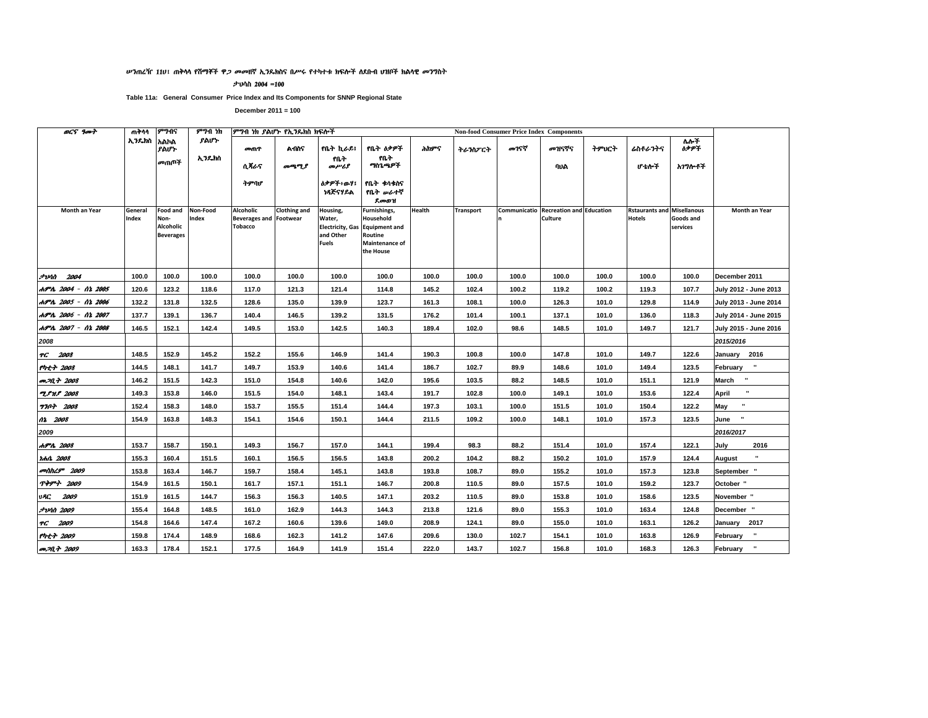#### ሥንጠረዥ 11ሀ፣ ጠቅሳሳ የሽማቾች ዋ*ጋ መመ*ዘኛ ኢንዴክስና በሥሩ የተካተቱ ክፍሎች ለደቡብ **ሀዝቦች ክል**ሳዊ *መገ*ግስት

ታህሳስ 2004 =100

Table 11a: General Consumer Price Index and Its Components for SNNP Regional State

| <b>OCS</b> 9007            | ጠቅሳሳ             | ምንብና                                                     | ምንብ ነክ            | ምግብ ነክ ያልሆኑ የኢንዴክስ ክፍሎች                                      |                     |                                                                            |                                                                                             |        |                  |       | <b>Non-food Consumer Price Index Components</b>  |       |                                                    |                       |                              |
|----------------------------|------------------|----------------------------------------------------------|-------------------|--------------------------------------------------------------|---------------------|----------------------------------------------------------------------------|---------------------------------------------------------------------------------------------|--------|------------------|-------|--------------------------------------------------|-------|----------------------------------------------------|-----------------------|------------------------------|
|                            | ኢንዴክስ            | አልኮል<br>ያልሆኑ                                             | ያልሆነ·             | መጠዋ                                                          | <b>A105</b>         | የቤት ኪራይ፤                                                                   | የቤት ዕቃዎች                                                                                    | ሕክዎና   | ትራንስፖርት          | መገናኛ  | መዝናኛና                                            | ትምህርት | ሬስቶራንትና                                            | ለሎች<br><b>ስቃዎች</b>    |                              |
|                            |                  | መጠጦች                                                     | ኢንዴክስ             | ሲጻራና                                                         | መጫሚያ                | የቤት<br>محرمسرهم                                                            | የቤት<br>ግስጌጫዎች                                                                               |        |                  |       | ባህል                                              |       | ሆ ቴሎች                                              | አገግሎቶች                |                              |
|                            |                  |                                                          |                   | ትምባሆ                                                         |                     | <b>ስቃዎች፥ውሃ፤</b><br>ነጻጅናሃይል                                                 | የቤት ቁሳቁስና<br>የቤት <i>ው</i> ራተኛ<br>ደመወዝ                                                       |        |                  |       |                                                  |       |                                                    |                       |                              |
| Month an Year              | General<br>Index | <b>Food and</b><br>Non-<br>Alcoholic<br><b>Beverages</b> | Non-Food<br>Index | Alcoholic<br><b>Beverages and Footwear</b><br><b>Tobacco</b> | <b>Clothing and</b> | Housing,<br>Water,<br><b>Electricity, Gas</b><br>and Other<br><b>Fuels</b> | Furnishings,<br>Household<br><b>Equipment and</b><br>Routine<br>Maintenance of<br>the House | Health | <b>Transport</b> |       | Communicatio Recreation and Education<br>Culture |       | <b>Rstaurants and Misellanous</b><br><b>Hotels</b> | Goods and<br>services | Month an Year                |
| $7$ <i>vin</i> $2004$      | 100.0            | 100.0                                                    | 100.0             | 100.0                                                        | 100.0               | 100.0                                                                      | 100.0                                                                                       | 100.0  | 100.0            | 100.0 | 100.0                                            | 100.0 | 100.0                                              | 100.0                 | December 2011                |
| ሐምሌ 2004 - ሰኔ 2005         | 120.6            | 123.2                                                    | 118.6             | 117.0                                                        | 121.3               | 121.4                                                                      | 114.8                                                                                       | 145.2  | 102.4            | 100.2 | 119.2                                            | 100.2 | 119.3                                              | 107.7                 | July 2012 - June 2013        |
| ሐምሌ 2005 - ሰኔ 2006         | 132.2            | 131.8                                                    | 132.5             | 128.6                                                        | 135.0               | 139.9                                                                      | 123.7                                                                                       | 161.3  | 108.1            | 100.0 | 126.3                                            | 101.0 | 129.8                                              | 114.9                 | July 2013 - June 2014        |
| ሐምሌ 2006 - ሰኔ 2007         | 137.7            | 139.1                                                    | 136.7             | 140.4                                                        | 146.5               | 139.2                                                                      | 131.5                                                                                       | 176.2  | 101.4            | 100.1 | 137.1                                            | 101.0 | 136.0                                              | 118.3                 | July 2014 - June 2015        |
| ሐምሌ 2007 - ሰኔ 2008         | 146.5            | 152.1                                                    | 142.4             | 149.5                                                        | 153.0               | 142.5                                                                      | 140.3                                                                                       | 189.4  | 102.0            | 98.6  | 148.5                                            | 101.0 | 149.7                                              | 121.7                 | July 2015 - June 2016        |
| 2008                       |                  |                                                          |                   |                                                              |                     |                                                                            |                                                                                             |        |                  |       |                                                  |       |                                                    |                       | 2015/2016                    |
| TG 2008                    | 148.5            | 152.9                                                    | 145.2             | 152.2                                                        | 155.6               | 146.9                                                                      | 141.4                                                                                       | 190.3  | 100.8            | 100.0 | 147.8                                            | 101.0 | 149.7                                              | 122.6                 | January 2016                 |
| የካቲት 2008                  | 144.5            | 148.1                                                    | 141.7             | 149.7                                                        | 153.9               | 140.6                                                                      | 141.4                                                                                       | 186.7  | 102.7            | 89.9  | 148.6                                            | 101.0 | 149.4                                              | 123.5                 | $\mathbf{u}$<br>February     |
| <b>PP.M.+ 2008</b>         | 146.2            | 151.5                                                    | 142.3             | 151.0                                                        | 154.8               | 140.6                                                                      | 142.0                                                                                       | 195.6  | 103.5            | 88.2  | 148.5                                            | 101.0 | 151.1                                              | 121.9                 | $\mathbf{u}$<br><b>March</b> |
| <b>TPHP</b> 2008           | 149.3            | 153.8                                                    | 146.0             | 151.5                                                        | 154.0               | 148.1                                                                      | 143.4                                                                                       | 191.7  | 102.8            | 100.0 | 149.1                                            | 101.0 | 153.6                                              | 122.4                 | $\mathbf{u}$<br>April        |
| <b>770+ 2008</b>           | 152.4            | 158.3                                                    | 148.0             | 153.7                                                        | 155.5               | 151.4                                                                      | 144.4                                                                                       | 197.3  | 103.1            | 100.0 | 151.5                                            | 101.0 | 150.4                                              | 122.2                 | $\mathbf{u}$<br>May          |
| 02 2008                    | 154.9            | 163.8                                                    | 148.3             | 154.1                                                        | 154.6               | 150.1                                                                      | 144.4                                                                                       | 211.5  | 109.2            | 100.0 | 148.1                                            | 101.0 | 157.3                                              | 123.5                 | $\cdot$<br>June              |
| 2009                       |                  |                                                          |                   |                                                              |                     |                                                                            |                                                                                             |        |                  |       |                                                  |       |                                                    |                       | 2016/2017                    |
| ሐምሌ 2008                   | 153.7            | 158.7                                                    | 150.1             | 149.3                                                        | 156.7               | 157.0                                                                      | 144.1                                                                                       | 199.4  | 98.3             | 88.2  | 151.4                                            | 101.0 | 157.4                                              | 122.1                 | July<br>2016                 |
| <i><b>Idhit 2008</b></i>   | 155.3            | 160.4                                                    | 151.5             | 160.1                                                        | 156.5               | 156.5                                                                      | 143.8                                                                                       | 200.2  | 104.2            | 88.2  | 150.2                                            | 101.0 | 157.9                                              | 124.4                 | $\blacksquare$<br>August     |
| <b><i>colthL9</i></b> 2009 | 153.8            | 163.4                                                    | 146.7             | 159.7                                                        | 158.4               | 145.1                                                                      | 143.8                                                                                       | 193.8  | 108.7            | 89.0  | 155.2                                            | 101.0 | 157.3                                              | 123.8                 | September                    |
| <b>ጥቅምት 2009</b>           | 154.9            | 161.5                                                    | 150.1             | 161.7                                                        | 157.1               | 151.1                                                                      | 146.7                                                                                       | 200.8  | 110.5            | 89.0  | 157.5                                            | 101.0 | 159.2                                              | 123.7                 | October "                    |
| 2009<br>VAC.               | 151.9            | 161.5                                                    | 144.7             | 156.3                                                        | 156.3               | 140.5                                                                      | 147.1                                                                                       | 203.2  | 110.5            | 89.0  | 153.8                                            | 101.0 | 158.6                                              | 123.5                 | November "                   |
| <i><b>JvAN 2009</b></i>    | 155.4            | 164.8                                                    | 148.5             | 161.0                                                        | 162.9               | 144.3                                                                      | 144.3                                                                                       | 213.8  | 121.6            | 89.0  | 155.3                                            | 101.0 | 163.4                                              | 124.8                 | December "                   |
| TG 2009                    | 154.8            | 164.6                                                    | 147.4             | 167.2                                                        | 160.6               | 139.6                                                                      | 149.0                                                                                       | 208.9  | 124.1            | 89.0  | 155.0                                            | 101.0 | 163.1                                              | 126.2                 | 2017<br>January              |
| የካቲት 2009                  | 159.8            | 174.4                                                    | 148.9             | 168.6                                                        | 162.3               | 141.2                                                                      | 147.6                                                                                       | 209.6  | 130.0            | 102.7 | 154.1                                            | 101.0 | 163.8                                              | 126.9                 | $\mathbf{u}$<br>February     |
| <i>መጋቢት 2009</i>           | 163.3            | 178.4                                                    | 152.1             | 177.5                                                        | 164.9               | 141.9                                                                      | 151.4                                                                                       | 222.0  | 143.7            | 102.7 | 156.8                                            | 101.0 | 168.3                                              | 126.3                 | $\mathbf{u}$<br>February     |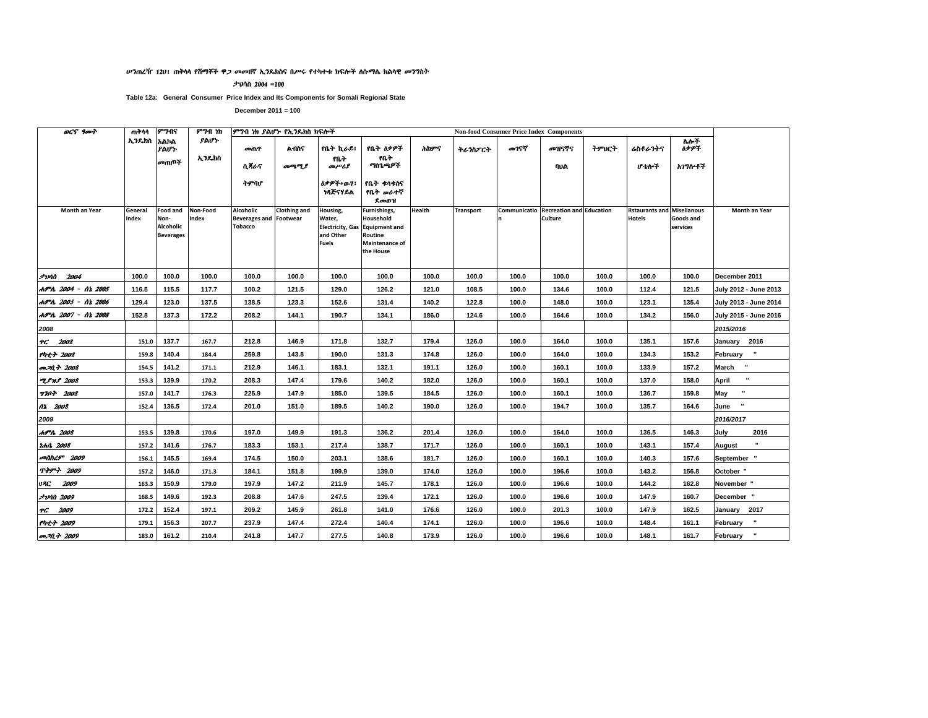#### ሥንጠረዥ 1201 ጠቅሳሳ የሽማቾች ዋ*ጋ መመ*ዘኛ ኢንዴክስና በሥሩ የተካተቱ ክፍሎች ስሱማሴ ክልሳዊ መንግስት

ታህሳስ 2004 =100

Table 12a: General Consumer Price Index and Its Components for Somali Regional State

| <b>OCS</b> 9007         | ጠቅሳሳ             | ምንብና                                                     | ምንብ ነክ            | ምግብ ነክ ያልሆኑ የኢንዴክስ ክፍሎች                                      |                     |                                                 |                                                                                                       |               | <b>Non-food Consumer Price Index Components</b> |       |                                                  |       |                                                    |                       |                          |
|-------------------------|------------------|----------------------------------------------------------|-------------------|--------------------------------------------------------------|---------------------|-------------------------------------------------|-------------------------------------------------------------------------------------------------------|---------------|-------------------------------------------------|-------|--------------------------------------------------|-------|----------------------------------------------------|-----------------------|--------------------------|
|                         | ኢንዴክስ            | አልኮል<br>ያልሆኑ                                             | ያልሆኑ              | መጠዋ                                                          | <b>A</b> በስና        | የቤት ኪራይ፤                                        | የቤት ዕቃዎች                                                                                              | ሕክዎና          | ትራንስፖርት                                         | መገናኛ  | መዝናኛና                                            | ትምህርት | ሬስቶራንትና                                            | <b>M+T</b><br>ስቃዎች    |                          |
|                         |                  | መጠቦች                                                     | ኢንዴክስ             | ሰ ጻራና                                                        | መጫሚያ                | የቤት<br>ær#l                                     | የቤት<br>ግስጌጫዎች                                                                                         |               |                                                 |       | ባህል                                              |       | ሆ ቴሎች                                              | አገግሎቶች                |                          |
|                         |                  |                                                          |                   | ትምባሆ                                                         |                     | ስቃዎች፥ውሃ፤<br>ነጻጅናሃይል                             | የቤት ቁሳቁስና<br>የቤት ሥራተኛ<br>ደመወዝ                                                                         |               |                                                 |       |                                                  |       |                                                    |                       |                          |
| Month an Year           | General<br>Index | <b>Food and</b><br>Non-<br>Alcoholic<br><b>Beverages</b> | Non-Food<br>Index | <b>Alcoholic</b><br><b>Beverages and Footwear</b><br>Tobacco | <b>Clothing and</b> | Housing,<br>Water,<br>and Other<br><b>Fuels</b> | Furnishings,<br>Household<br>Electricity, Gas Equipment and<br>Routine<br>Maintenance of<br>the House | <b>Health</b> | Transport                                       |       | Communicatio Recreation and Education<br>Culture |       | <b>Rstaurants and Misellanous</b><br><b>Hotels</b> | Goods and<br>services | Month an Year            |
| <i><b>Juhn 2004</b></i> | 100.0            | 100.0                                                    | 100.0             | 100.0                                                        | 100.0               | 100.0                                           | 100.0                                                                                                 | 100.0         | 100.0                                           | 100.0 | 100.0                                            | 100.0 | 100.0                                              | 100.0                 | December 2011            |
| ሐምሌ 2004 - ሰኔ 2005      | 116.5            | 115.5                                                    | 117.7             | 100.2                                                        | 121.5               | 129.0                                           | 126.2                                                                                                 | 121.0         | 108.5                                           | 100.0 | 134.6                                            | 100.0 | 112.4                                              | 121.5                 | July 2012 - June 2013    |
| ሐምሌ 2005 - ሰኔ 2006      | 129.4            | 123.0                                                    | 137.5             | 138.5                                                        | 123.3               | 152.6                                           | 131.4                                                                                                 | 140.2         | 122.8                                           | 100.0 | 148.0                                            | 100.0 | 123.1                                              | 135.4                 | July 2013 - June 2014    |
| ሐምሌ 2007 - ሰኔ 2008      | 152.8            | 137.3                                                    | 172.2             | 208.2                                                        | 144.1               | 190.7                                           | 134.1                                                                                                 | 186.0         | 124.6                                           | 100.0 | 164.6                                            | 100.0 | 134.2                                              | 156.0                 | July 2015 - June 2016    |
| 2008                    |                  |                                                          |                   |                                                              |                     |                                                 |                                                                                                       |               |                                                 |       |                                                  |       |                                                    |                       | 2015/2016                |
| TC 2008                 | 151.0            | 137.7                                                    | 167.7             | 212.8                                                        | 146.9               | 171.8                                           | 132.7                                                                                                 | 179.4         | 126.0                                           | 100.0 | 164.0                                            | 100.0 | 135.1                                              | 157.6                 | January 2016             |
| የካቲት 2008               | 159.8            | 140.4                                                    | 184.4             | 259.8                                                        | 143.8               | 190.0                                           | 131.3                                                                                                 | 174.8         | 126.0                                           | 100.0 | 164.0                                            | 100.0 | 134.3                                              | 153.2                 | $\mathbf{u}$<br>February |
| <i>መጋቢት 2008</i>        | 154.5            | 141.2                                                    | 171.1             | 212.9                                                        | 146.1               | 183.1                                           | 132.1                                                                                                 | 191.1         | 126.0                                           | 100.0 | 160.1                                            | 100.0 | 133.9                                              | 157.2                 | $\blacksquare$<br>March  |
| <b>TPMP</b> 2008        | 153.3            | 139.9                                                    | 170.2             | 208.3                                                        | 147.4               | 179.6                                           | 140.2                                                                                                 | 182.0         | 126.0                                           | 100.0 | 160.1                                            | 100.0 | 137.0                                              | 158.0                 | $\mathbf{u}$<br>April    |
| <b>7707 2008</b>        | 157.0            | 141.7                                                    | 176.3             | 225.9                                                        | 147.9               | 185.0                                           | 139.5                                                                                                 | 184.5         | 126.0                                           | 100.0 | 160.1                                            | 100.0 | 136.7                                              | 159.8                 | $\mathbf{u}$<br>May      |
| 12 2008                 | 152.4            | 136.5                                                    | 172.4             | 201.0                                                        | 151.0               | 189.5                                           | 140.2                                                                                                 | 190.0         | 126.0                                           | 100.0 | 194.7                                            | 100.0 | 135.7                                              | 164.6                 | ×<br>June                |
| 2009                    |                  |                                                          |                   |                                                              |                     |                                                 |                                                                                                       |               |                                                 |       |                                                  |       |                                                    |                       | 2016/2017                |
| ሐምሌ 2008                | 153.5            | 139.8                                                    | 170.6             | 197.0                                                        | 149.9               | 191.3                                           | 136.2                                                                                                 | 201.4         | 126.0                                           | 100.0 | 164.0                                            | 100.0 | 136.5                                              | 146.3                 | July<br>2016             |
| <i>rhn</i> 2008         | 157.2            | 141.6                                                    | 176.7             | 183.3                                                        | 153.1               | 217.4                                           | 138.7                                                                                                 | 171.7         | 126.0                                           | 100.0 | 160.1                                            | 100.0 | 143.1                                              | 157.4                 | <b>August</b>            |
| anthL9" 2009            | 156.1            | 145.5                                                    | 169.4             | 174.5                                                        | 150.0               | 203.1                                           | 138.6                                                                                                 | 181.7         | 126.0                                           | 100.0 | 160.1                                            | 100.0 | 140.3                                              | 157.6                 | September "              |
| <b>ጥቅም</b> 7 2009       | 157.2            | 146.0                                                    | 171.3             | 184.1                                                        | 151.8               | 199.9                                           | 139.0                                                                                                 | 174.0         | 126.0                                           | 100.0 | 196.6                                            | 100.0 | 143.2                                              | 156.8                 | October "                |
| <b>URC</b> 2009         | 163.3            | 150.9                                                    | 179.0             | 197.9                                                        | 147.2               | 211.9                                           | 145.7                                                                                                 | 178.1         | 126.0                                           | 100.0 | 196.6                                            | 100.0 | 144.2                                              | 162.8                 | November "               |
| <b>JUAN 2009</b>        | 168.5            | 149.6                                                    | 192.3             | 208.8                                                        | 147.6               | 247.5                                           | 139.4                                                                                                 | 172.1         | 126.0                                           | 100.0 | 196.6                                            | 100.0 | 147.9                                              | 160.7                 | December "               |
| TC 2009                 | 172.2            | 152.4                                                    | 197.1             | 209.2                                                        | 145.9               | 261.8                                           | 141.0                                                                                                 | 176.6         | 126.0                                           | 100.0 | 201.3                                            | 100.0 | 147.9                                              | 162.5                 | January 2017             |
| የካቲት 2009               | 179.1            | 156.3                                                    | 207.7             | 237.9                                                        | 147.4               | 272.4                                           | 140.4                                                                                                 | 174.1         | 126.0                                           | 100.0 | 196.6                                            | 100.0 | 148.4                                              | 161.1                 | $\sim$<br>February       |
| <b>PP.70.7</b> 2009     | 183.0            | 161.2                                                    | 210.4             | 241.8                                                        | 147.7               | 277.5                                           | 140.8                                                                                                 | 173.9         | 126.0                                           | 100.0 | 196.6                                            | 100.0 | 148.1                                              | 161.7                 | $\mathbf{u}$<br>February |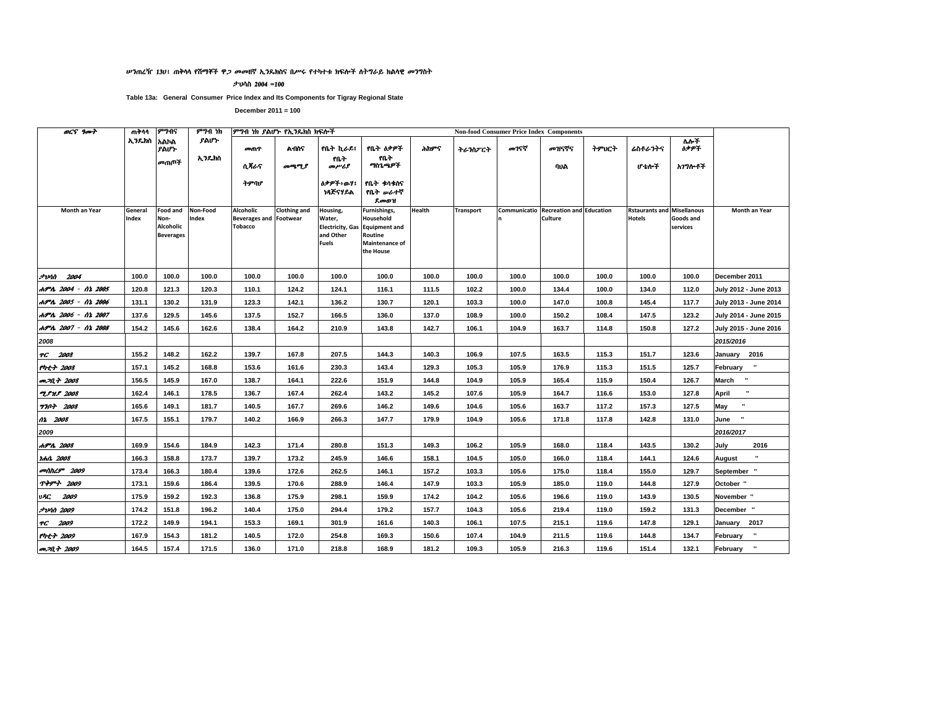#### ሥንጠረዥ 13ሀ፣ ጠቅሳሳ የሽማቾች ዋ*ጋ መመ*ዘኛ ኢንዴክስና በሥሩ የተካተቱ ክፍሎች ስትግራይ ክልሳዊ መንግስት

ታህሳስ 2004 =100

Table 13a: General Consumer Price Index and Its Components for Tigray Regional State

| <b>OCS</b> 9007            | ጠቅሳሳ             | ምንብና                                                     | ምንብ ነክ            | ምግብ ነክ ያልሆኑ የኢንዴክስ ክፍሎች                                      |                     |                                                                            |                                                                                             |        |                  |       | <b>Non-food Consumer Price Index Components</b>  |       |                                                    |                       |                          |
|----------------------------|------------------|----------------------------------------------------------|-------------------|--------------------------------------------------------------|---------------------|----------------------------------------------------------------------------|---------------------------------------------------------------------------------------------|--------|------------------|-------|--------------------------------------------------|-------|----------------------------------------------------|-----------------------|--------------------------|
|                            | ኢንዴክስ            | አልኮል<br>ያልሆኑ                                             | ያልሆነ·             | መጠዋ                                                          | <b>A105</b>         | የቤት ኪራይ፤                                                                   | የቤት ዕቃዎች                                                                                    | ሕክዎና   | ትራንስፖርት          | መገናኛ  | መዝናኛና                                            | ትምህርት | ሬስቶራንትና                                            | ለሎች<br><b>ስቃዎች</b>    |                          |
|                            |                  | መጠጦች                                                     | ኢንዴክስ             | ሲጻራና                                                         | መጫሚያ                | የቤት<br>محرمسرهم                                                            | የቤት<br>ግስጌጫዎች                                                                               |        |                  |       | ባህል                                              |       | ሆ ቴሎች                                              | አገግሎቶች                |                          |
|                            |                  |                                                          |                   | ትምባሆ                                                         |                     | <b>ስቃዎች፥ውሃ፤</b><br>ነጻጅናሃይል                                                 | የቤት ቁሳቁስና<br>የቤት <i>ው</i> ራተኛ<br>ደመወዝ                                                       |        |                  |       |                                                  |       |                                                    |                       |                          |
| Month an Year              | General<br>Index | <b>Food and</b><br>Non-<br>Alcoholic<br><b>Beverages</b> | Non-Food<br>Index | Alcoholic<br><b>Beverages and Footwear</b><br><b>Tobacco</b> | <b>Clothing and</b> | Housing,<br>Water,<br><b>Electricity, Gas</b><br>and Other<br><b>Fuels</b> | Furnishings,<br>Household<br><b>Equipment and</b><br>Routine<br>Maintenance of<br>the House | Health | <b>Transport</b> |       | Communicatio Recreation and Education<br>Culture |       | <b>Rstaurants and Misellanous</b><br><b>Hotels</b> | Goods and<br>services | Month an Year            |
| $7$ <i>vin</i> $2004$      | 100.0            | 100.0                                                    | 100.0             | 100.0                                                        | 100.0               | 100.0                                                                      | 100.0                                                                                       | 100.0  | 100.0            | 100.0 | 100.0                                            | 100.0 | 100.0                                              | 100.0                 | December 2011            |
| ሐምሌ 2004 - ሰኔ 2005         | 120.8            | 121.3                                                    | 120.3             | 110.1                                                        | 124.2               | 124.1                                                                      | 116.1                                                                                       | 111.5  | 102.2            | 100.0 | 134.4                                            | 100.0 | 134.0                                              | 112.0                 | July 2012 - June 2013    |
| ሐምሌ 2005 - ሰኔ 2006         | 131.1            | 130.2                                                    | 131.9             | 123.3                                                        | 142.1               | 136.2                                                                      | 130.7                                                                                       | 120.1  | 103.3            | 100.0 | 147.0                                            | 100.8 | 145.4                                              | 117.7                 | July 2013 - June 2014    |
| ሐምሌ 2006 - ሰኔ 2007         | 137.6            | 129.5                                                    | 145.6             | 137.5                                                        | 152.7               | 166.5                                                                      | 136.0                                                                                       | 137.0  | 108.9            | 100.0 | 150.2                                            | 108.4 | 147.5                                              | 123.2                 | July 2014 - June 2015    |
| ሐምሌ 2007 - ሰኔ 2008         | 154.2            | 145.6                                                    | 162.6             | 138.4                                                        | 164.2               | 210.9                                                                      | 143.8                                                                                       | 142.7  | 106.1            | 104.9 | 163.7                                            | 114.8 | 150.8                                              | 127.2                 | July 2015 - June 2016    |
| 2008                       |                  |                                                          |                   |                                                              |                     |                                                                            |                                                                                             |        |                  |       |                                                  |       |                                                    |                       | 2015/2016                |
| TG 2008                    | 155.2            | 148.2                                                    | 162.2             | 139.7                                                        | 167.8               | 207.5                                                                      | 144.3                                                                                       | 140.3  | 106.9            | 107.5 | 163.5                                            | 115.3 | 151.7                                              | 123.6                 | January 2016             |
| የካቲት 2008                  | 157.1            | 145.2                                                    | 168.8             | 153.6                                                        | 161.6               | 230.3                                                                      | 143.4                                                                                       | 129.3  | 105.3            | 105.9 | 176.9                                            | 115.3 | 151.5                                              | 125.7                 | February "               |
| <b>PP.M.+ 2008</b>         | 156.5            | 145.9                                                    | 167.0             | 138.7                                                        | 164.1               | 222.6                                                                      | 151.9                                                                                       | 144.8  | 104.9            | 105.9 | 165.4                                            | 115.9 | 150.4                                              | 126.7                 | March "                  |
| <b>TPHP</b> 2008           | 162.4            | 146.1                                                    | 178.5             | 136.7                                                        | 167.4               | 262.4                                                                      | 143.2                                                                                       | 145.2  | 107.6            | 105.9 | 164.7                                            | 116.6 | 153.0                                              | 127.8                 | $\mathbf{u}$<br>April    |
| <b>770+ 2008</b>           | 165.6            | 149.1                                                    | 181.7             | 140.5                                                        | 167.7               | 269.6                                                                      | 146.2                                                                                       | 149.6  | 104.6            | 105.6 | 163.7                                            | 117.2 | 157.3                                              | 127.5                 | u,<br>May                |
| 02 2008                    | 167.5            | 155.1                                                    | 179.7             | 140.2                                                        | 166.9               | 266.3                                                                      | 147.7                                                                                       | 179.9  | 104.9            | 105.6 | 171.8                                            | 117.8 | 142.8                                              | 131.0                 | $\cdot$<br>June          |
| 2009                       |                  |                                                          |                   |                                                              |                     |                                                                            |                                                                                             |        |                  |       |                                                  |       |                                                    |                       | 2016/2017                |
| ሐምሌ 2008                   | 169.9            | 154.6                                                    | 184.9             | 142.3                                                        | 171.4               | 280.8                                                                      | 151.3                                                                                       | 149.3  | 106.2            | 105.9 | 168.0                                            | 118.4 | 143.5                                              | 130.2                 | July<br>2016             |
| <i><b>Idhit 2008</b></i>   | 166.3            | 158.8                                                    | 173.7             | 139.7                                                        | 173.2               | 245.9                                                                      | 146.6                                                                                       | 158.1  | 104.5            | 105.0 | 166.0                                            | 118.4 | 144.1                                              | 124.6                 | $\blacksquare$<br>August |
| <b><i>colthL9</i></b> 2009 | 173.4            | 166.3                                                    | 180.4             | 139.6                                                        | 172.6               | 262.5                                                                      | 146.1                                                                                       | 157.2  | 103.3            | 105.6 | 175.0                                            | 118.4 | 155.0                                              | 129.7                 | September                |
| <b>ጥቅምት 2009</b>           | 173.1            | 159.6                                                    | 186.4             | 139.5                                                        | 170.6               | 288.9                                                                      | 146.4                                                                                       | 147.9  | 103.3            | 105.9 | 185.0                                            | 119.0 | 144.8                                              | 127.9                 | October "                |
| 2009<br>VAC.               | 175.9            | 159.2                                                    | 192.3             | 136.8                                                        | 175.9               | 298.1                                                                      | 159.9                                                                                       | 174.2  | 104.2            | 105.6 | 196.6                                            | 119.0 | 143.9                                              | 130.5                 | November "               |
| <i><b>JvAN 2009</b></i>    | 174.2            | 151.8                                                    | 196.2             | 140.4                                                        | 175.0               | 294.4                                                                      | 179.2                                                                                       | 157.7  | 104.3            | 105.6 | 219.4                                            | 119.0 | 159.2                                              | 131.3                 | December "               |
| TG 2009                    | 172.2            | 149.9                                                    | 194.1             | 153.3                                                        | 169.1               | 301.9                                                                      | 161.6                                                                                       | 140.3  | 106.1            | 107.5 | 215.1                                            | 119.6 | 147.8                                              | 129.1                 | 2017<br>January          |
| የካቲት 2009                  | 167.9            | 154.3                                                    | 181.2             | 140.5                                                        | 172.0               | 254.8                                                                      | 169.3                                                                                       | 150.6  | 107.4            | 104.9 | 211.5                                            | 119.6 | 144.8                                              | 134.7                 | $\mathbf{u}$<br>February |
| <i>መጋቢት 2009</i>           | 164.5            | 157.4                                                    | 171.5             | 136.0                                                        | 171.0               | 218.8                                                                      | 168.9                                                                                       | 181.2  | 109.3            | 105.9 | 216.3                                            | 119.6 | 151.4                                              | 132.1                 | $\mathbf{u}$<br>February |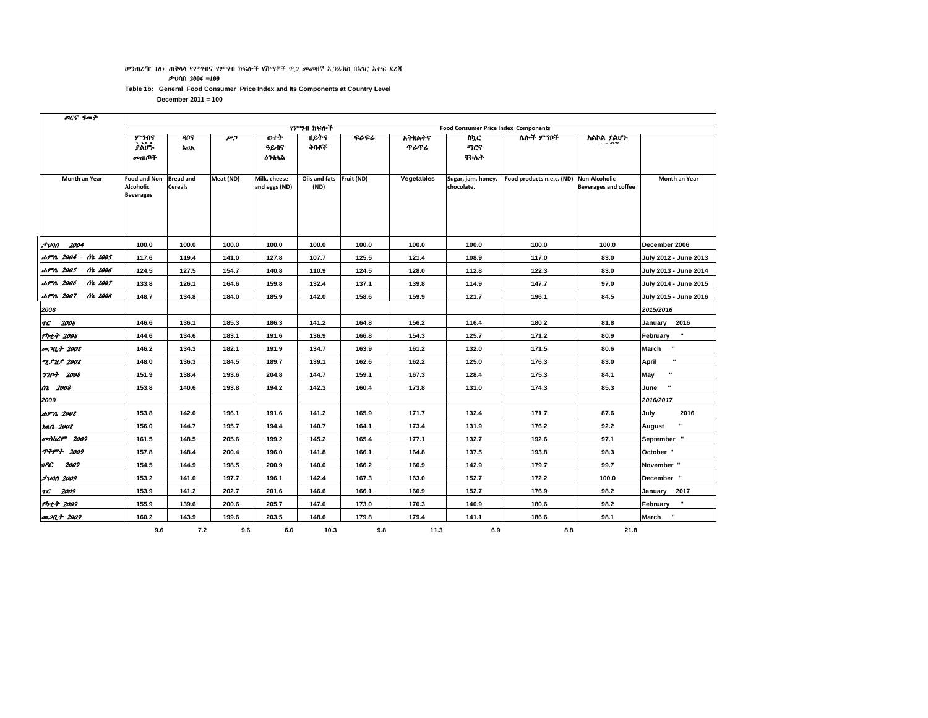#### ሥንጠረዥ 1ስ፤ ጠቅሳሳ የምግብና የምግብ ክፍሎች የሽማቾች ዋ*ጋ መመ*ዘኛ ኢንዴክስ በአገር አቀፍ ደረጃ

ታህሳስ 2004 =100

Table 1b: General Food Consumer Price Index and Its Components at Country Level

| ወርና ዓመተ              |                                                              |                                    |           |                               |                       |            |                       |                                             |                           |                                                     |                        |
|----------------------|--------------------------------------------------------------|------------------------------------|-----------|-------------------------------|-----------------------|------------|-----------------------|---------------------------------------------|---------------------------|-----------------------------------------------------|------------------------|
|                      |                                                              |                                    |           |                               | የምግብ ክፍሎች             |            |                       | <b>Food Consumer Price Index Components</b> |                           |                                                     |                        |
|                      | ምንብና<br>፟ፆል፟ቮ፞<br>መጠጦች                                       | 805<br><b>AUA</b>                  | כיק       | ውትት<br>ዓይብና<br>ዕንቀሳል          | 11ይተና<br>ትባቶች         | ፍራፍሬ       | አትክልትና<br><b>ጥራጥራ</b> | ስኳር<br>ማርና<br><b>TMAT</b>                   | ሌሎች ምግቦች                  | አልኮል ያልሆኑ<br>---                                    |                        |
| <b>Month an Year</b> | <b>Food and Non-</b><br><b>Alcoholic</b><br><b>Beverages</b> | <b>Bread and</b><br><b>Cereals</b> | Meat (ND) | Milk, cheese<br>and eggs (ND) | Oils and fats<br>(ND) | Fruit (ND) | Vegetables            | Sugar, jam, honey,<br>chocolate.            | Food products n.e.c. (ND) | <b>Non-Alcoholic</b><br><b>Beverages and coffee</b> | Month an Year          |
| $J$ <i>vnn</i> 2004  | 100.0                                                        | 100.0                              | 100.0     | 100.0                         | 100.0                 | 100.0      | 100.0                 | 100.0                                       | 100.0                     | 100.0                                               | December 2006          |
| ሐምሌ 2004 - ሰኔ 2005   | 117.6                                                        | 119.4                              | 141.0     | 127.8                         | 107.7                 | 125.5      | 121.4                 | 108.9                                       | 117.0                     | 83.0                                                | July 2012 - June 2013  |
| ሐምሌ 2005 - ሰኔ 2006   | 124.5                                                        | 127.5                              | 154.7     | 140.8                         | 110.9                 | 124.5      | 128.0                 | 112.8                                       | 122.3                     | 83.0                                                | July 2013 - June 2014  |
| ሐምሌ 2006 - ሰኔ 2007   | 133.8                                                        | 126.1                              | 164.6     | 159.8                         | 132.4                 | 137.1      | 139.8                 | 114.9                                       | 147.7                     | 97.0                                                | July 2014 - June 2015  |
| ሐምሌ 2007 - ሰኔ 2008   | 148.7                                                        | 134.8                              | 184.0     | 185.9                         | 142.0                 | 158.6      | 159.9                 | 121.7                                       | 196.1                     | 84.5                                                | July 2015 - June 2016  |
| 2008                 |                                                              |                                    |           |                               |                       |            |                       |                                             |                           |                                                     | 2015/2016              |
| 2008<br>H.           | 146.6                                                        | 136.1                              | 185.3     | 186.3                         | 141.2                 | 164.8      | 156.2                 | 116.4                                       | 180.2                     | 81.8                                                | January 2016           |
| የካቲት 2008            | 144.6                                                        | 134.6                              | 183.1     | 191.6                         | 136.9                 | 166.8      | 154.3                 | 125.7                                       | 171.2                     | 80.9                                                | $\bf u$<br>February    |
| መጋቢት 2008            | 146.2                                                        | 134.3                              | 182.1     | 191.9                         | 134.7                 | 163.9      | 161.2                 | 132.0                                       | 171.5                     | 80.6                                                | $\cdot$<br>March       |
| <b>ZPMP</b> 2008     | 148.0                                                        | 136.3                              | 184.5     | 189.7                         | 139.1                 | 162.6      | 162.2                 | 125.0                                       | 176.3                     | 83.0                                                | $\mathbf{u}$<br>April  |
| <b>7707 2008</b>     | 151.9                                                        | 138.4                              | 193.6     | 204.8                         | 144.7                 | 159.1      | 167.3                 | 128.4                                       | 175.3                     | 84.1                                                | $\mathbf{u}$<br>May    |
| 12 2008              | 153.8                                                        | 140.6                              | 193.8     | 194.2                         | 142.3                 | 160.4      | 173.8                 | 131.0                                       | 174.3                     | 85.3                                                | $\blacksquare$<br>June |
| 2009                 |                                                              |                                    |           |                               |                       |            |                       |                                             |                           |                                                     | 2016/2017              |
| ሐምሌ 2008             | 153.8                                                        | 142.0                              | 196.1     | 191.6                         | 141.2                 | 165.9      | 171.7                 | 132.4                                       | 171.7                     | 87.6                                                | 2016<br>July           |
| r.h.h. 2008          | 156.0                                                        | 144.7                              | 195.7     | 194.4                         | 140.7                 | 164.1      | 173.4                 | 131.9                                       | 176.2                     | 92.2                                                | u<br>August            |
| መስከረም 2009           | 161.5                                                        | 148.5                              | 205.6     | 199.2                         | 145.2                 | 165.4      | 177.1                 | 132.7                                       | 192.6                     | 97.1                                                | September "            |
| <b>ጥቅም</b> 2009      | 157.8                                                        | 148.4                              | 200.4     | 196.0                         | 141.8                 | 166.1      | 164.8                 | 137.5                                       | 193.8                     | 98.3                                                | October "              |
| 2009<br>vÆ.          | 154.5                                                        | 144.9                              | 198.5     | 200.9                         | 140.0                 | 166.2      | 160.9                 | 142.9                                       | 179.7                     | 99.7                                                | November "             |
| <b>JUAN 2009</b>     | 153.2                                                        | 141.0                              | 197.7     | 196.1                         | 142.4                 | 167.3      | 163.0                 | 152.7                                       | 172.2                     | 100.0                                               | December "             |
| 2009<br>ŦС           | 153.9                                                        | 141.2                              | 202.7     | 201.6                         | 146.6                 | 166.1      | 160.9                 | 152.7                                       | 176.9                     | 98.2                                                | January 2017           |
| የካቲት 2009            | 155.9                                                        | 139.6                              | 200.6     | 205.7                         | 147.0                 | 173.0      | 170.3                 | 140.9                                       | 180.6                     | 98.2                                                | ×<br>February          |
| መጋቢት 2009            | 160.2                                                        | 143.9                              | 199.6     | 203.5                         | 148.6                 | 179.8      | 179.4                 | 141.1                                       | 186.6                     | 98.1                                                | March "                |
|                      | 9.6                                                          | 7.2                                | 9.6       | 6.0                           | 10.3                  | 9.8        | 11.3                  | 6.9                                         | 8.8                       | 21.8                                                |                        |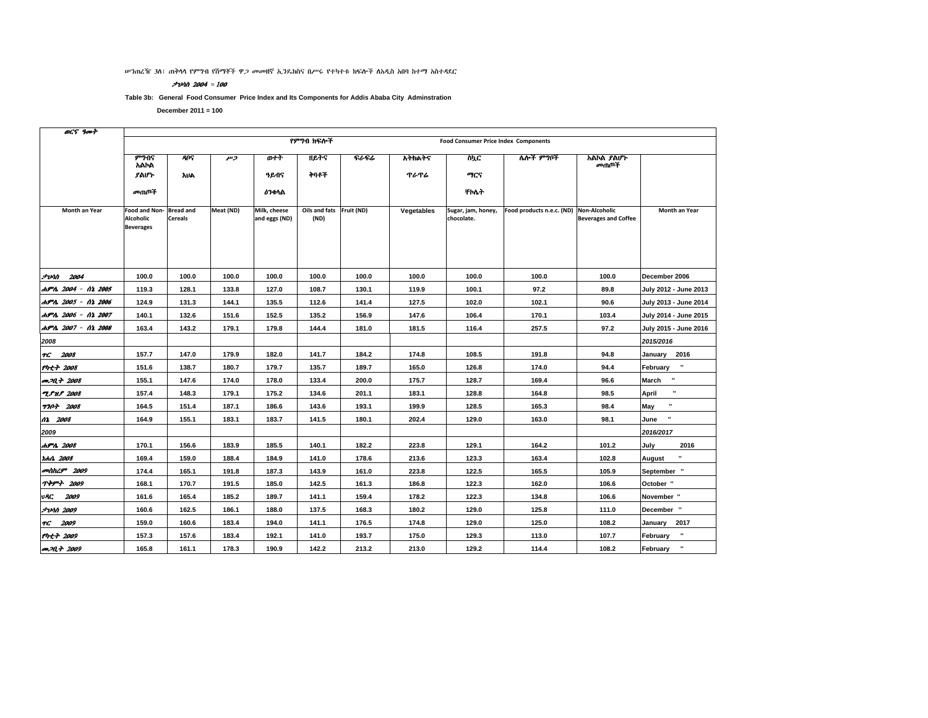ሥንጠረዥ 3ስ፤ ጠቅሳሳ የምግብ የሽማቾች ዋ*ጋ መመ*ዘኛ ኢንዴክስና በሥሩ የተካተቱ ክፍሎች ስአዲስ አበባ ከተማ አስተዳደር

#### **לוטיל** = 100

Table 3b: General Food Consumer Price Index and Its Components for Addis Ababa City Adminstration

| OCS goot                |                                                       |                                    |           |                               |                       |             |             |                                             |                           |                                                     |                           |
|-------------------------|-------------------------------------------------------|------------------------------------|-----------|-------------------------------|-----------------------|-------------|-------------|---------------------------------------------|---------------------------|-----------------------------------------------------|---------------------------|
|                         |                                                       |                                    |           |                               | የምንበ ክፍሎች             |             |             | <b>Food Consumer Price Index Components</b> |                           |                                                     |                           |
|                         | ምንብና<br>አልኮል                                          | ዳቦና                                | وسر       | ወተት                           | ዘይትና                  | <b>ናራፍራ</b> | አትክልትና      | ስኪር                                         | ሌሎች ምግቦች                  | አልኮል ያልሆኑ<br>መጠቦች                                   |                           |
|                         | ያልሆኑ                                                  | <b>AUA</b>                         |           | ዓይብና                          | ትባቶች                  |             | <b>ጥራጥራ</b> | ማርና                                         |                           |                                                     |                           |
|                         | መጠጦች                                                  |                                    |           | <b>ዕንቀ</b> ሳል                 |                       |             |             | ተለት                                         |                           |                                                     |                           |
| Month an Year           | Food and Non-<br><b>Alcoholic</b><br><b>Beverages</b> | <b>Bread and</b><br><b>Cereals</b> | Meat (ND) | Milk, cheese<br>and eggs (ND) | Oils and fats<br>(ND) | Fruit (ND)  | Vegetables  | Sugar, jam, honey,<br>chocolate.            | Food products n.e.c. (ND) | <b>Non-Alcoholic</b><br><b>Beverages and Coffee</b> | Month an Year             |
| <b><i>Avin 2004</i></b> | 100.0                                                 | 100.0                              | 100.0     | 100.0                         | 100.0                 | 100.0       | 100.0       | 100.0                                       | 100.0                     | 100.0                                               | December 2006             |
| ሐምሌ 2004 - ሰኔ 2005      | 119.3                                                 | 128.1                              | 133.8     | 127.0                         | 108.7                 | 130.1       | 119.9       | 100.1                                       | 97.2                      | 89.8                                                | July 2012 - June 2013     |
| ሐምሌ 2005 - ሰኔ 2006      | 124.9                                                 | 131.3                              | 144.1     | 135.5                         | 112.6                 | 141.4       | 127.5       | 102.0                                       | 102.1                     | 90.6                                                | July 2013 - June 2014     |
| ሐምሌ 2006 - ሰኔ 2007      | 140.1                                                 | 132.6                              | 151.6     | 152.5                         | 135.2                 | 156.9       | 147.6       | 106.4                                       | 170.1                     | 103.4                                               | July 2014 - June 2015     |
| ሐምሌ 2007 - ሰኔ 2008      | 163.4                                                 | 143.2                              | 179.1     | 179.8                         | 144.4                 | 181.0       | 181.5       | 116.4                                       | 257.5                     | 97.2                                                | July 2015 - June 2016     |
| 2008                    |                                                       |                                    |           |                               |                       |             |             |                                             |                           |                                                     | 2015/2016                 |
| TG 2008                 | 157.7                                                 | 147.0                              | 179.9     | 182.0                         | 141.7                 | 184.2       | 174.8       | 108.5                                       | 191.8                     | 94.8                                                | January 2016              |
| የካቲት 2008               | 151.6                                                 | 138.7                              | 180.7     | 179.7                         | 135.7                 | 189.7       | 165.0       | 126.8                                       | 174.0                     | 94.4                                                | $\bf u$<br>February       |
| መጋቢት 2008               | 155.1                                                 | 147.6                              | 174.0     | 178.0                         | 133.4                 | 200.0       | 175.7       | 128.7                                       | 169.4                     | 96.6                                                | $\blacksquare$<br>March   |
| <b>T.PH.P 2008</b>      | 157.4                                                 | 148.3                              | 179.1     | 175.2                         | 134.6                 | 201.1       | 183.1       | 128.8                                       | 164.8                     | 98.5                                                | $\mathbf{u}$<br>April     |
| <b>770+ 2008</b>        | 164.5                                                 | 151.4                              | 187.1     | 186.6                         | 143.6                 | 193.1       | 199.9       | 128.5                                       | 165.3                     | 98.4                                                | May                       |
| 02 2008                 | 164.9                                                 | 155.1                              | 183.1     | 183.7                         | 141.5                 | 180.1       | 202.4       | 129.0                                       | 163.0                     | 98.1                                                | $\pmb{\cdot}$<br>June     |
| 2009                    |                                                       |                                    |           |                               |                       |             |             |                                             |                           |                                                     | 2016/2017                 |
| ሐምሌ 2008                | 170.1                                                 | 156.6                              | 183.9     | 185.5                         | 140.1                 | 182.2       | 223.8       | 129.1                                       | 164.2                     | 101.2                                               | July<br>2016              |
| <i>rent 2008</i>        | 169.4                                                 | 159.0                              | 188.4     | 184.9                         | 141.0                 | 178.6       | 213.6       | 123.3                                       | 163.4                     | 102.8                                               | $\blacksquare$<br>August  |
| መስከረም 2009              | 174.4                                                 | 165.1                              | 191.8     | 187.3                         | 143.9                 | 161.0       | 223.8       | 122.5                                       | 165.5                     | 105.9                                               | September "               |
| <b>ጥቅምት 2009</b>        | 168.1                                                 | 170.7                              | 191.5     | 185.0                         | 142.5                 | 161.3       | 186.8       | 122.3                                       | 162.0                     | 106.6                                               | October "                 |
| 2009<br>vAC             | 161.6                                                 | 165.4                              | 185.2     | 189.7                         | 141.1                 | 159.4       | 178.2       | 122.3                                       | 134.8                     | 106.6                                               | November "                |
| <i><b>JUAN 2009</b></i> | 160.6                                                 | 162.5                              | 186.1     | 188.0                         | 137.5                 | 168.3       | 180.2       | 129.0                                       | 125.8                     | 111.0                                               | December "                |
| TG 2009                 | 159.0                                                 | 160.6                              | 183.4     | 194.0                         | 141.1                 | 176.5       | 174.8       | 129.0                                       | 125.0                     | 108.2                                               | January<br>2017           |
| የካቲት 2009               | 157.3                                                 | 157.6                              | 183.4     | 192.1                         | 141.0                 | 193.7       | 175.0       | 129.3                                       | 113.0                     | 107.7                                               | $\pmb{\cdot}$<br>February |
| <b>P.M.T. 2009</b>      | 165.8                                                 | 161.1                              | 178.3     | 190.9                         | 142.2                 | 213.2       | 213.0       | 129.2                                       | 114.4                     | 108.2                                               | $\mathbf{u}$<br>February  |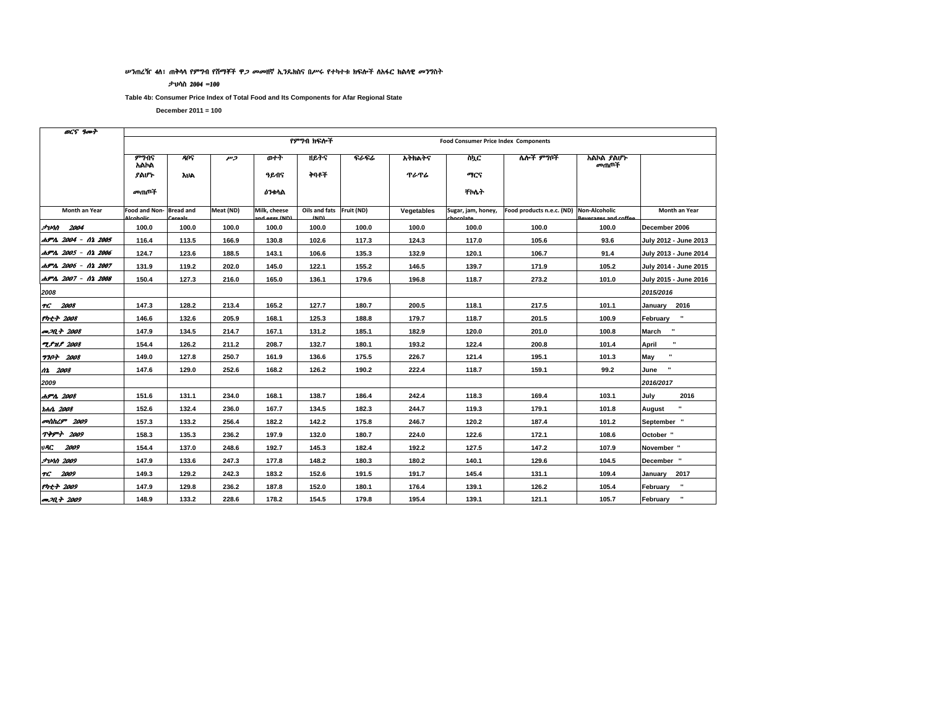#### ሥንጠረዥ 4ሰ፤ ጠቅሳሳ የምግብ የሽማቾች ዋ*ጋ መመ*ዘኛ ኢንዴክስና በሥሩ የተካተቱ ክፍሎች ስአፋር ክልሳዊ መንግስት

#### ታህሳስ 2004 =100

Table 4b: Consumer Price Index of Total Food and Its Components for Afar Regional State

| OCS goot                   |               |                  |                |                              |                                     |       |             |                                             |                                         |                      |                         |
|----------------------------|---------------|------------------|----------------|------------------------------|-------------------------------------|-------|-------------|---------------------------------------------|-----------------------------------------|----------------------|-------------------------|
|                            |               |                  |                |                              | የምንበ ክፍሎች                           |       |             | <b>Food Consumer Price Index Components</b> |                                         |                      |                         |
|                            | ምንብና<br>አልኮል  | <b>ANS</b>       | $\overline{r}$ | ወተት                          | ዘይትና                                | ፍራፍሬ  | አትክልትና      | ስኳር                                         | ሌሎች ምግቦች                                | አልኮል ያልሆኑ<br>መጠቦች    |                         |
|                            | ያልሆኑ          | አህል              |                | ዓይብና                         | ትባቶች                                |       | <b>ጥራጥራ</b> | ግርና                                         |                                         |                      |                         |
|                            | መጠጦች          |                  |                | <b>ዕን</b> ቁሳል                |                                     |       |             | <b>TMA</b>                                  |                                         |                      |                         |
| Month an Year              | Food and Non- | <b>Bread and</b> | Meat (ND)      | Milk, cheese<br>nd ogge (ND) | Oils and fats Fruit (ND)<br>$\mu$ D |       | Vegetables  | Sugar, jam, honey,                          | Food products n.e.c. (ND) Non-Alcoholic | Roversees and coffee | Month an Year           |
| <i><b>Junn 2004</b></i>    | 100.0         | 100.0            | 100.0          | 100.0                        | 100.0                               | 100.0 | 100.0       | 100.0                                       | 100.0                                   | 100.0                | December 2006           |
| ሐምሌ 2004 - ሰኔ 2005         | 116.4         | 113.5            | 166.9          | 130.8                        | 102.6                               | 117.3 | 124.3       | 117.0                                       | 105.6                                   | 93.6                 | July 2012 - June 2013   |
| ሐምሌ 2005 - ሰኔ 2006         | 124.7         | 123.6            | 188.5          | 143.1                        | 106.6                               | 135.3 | 132.9       | 120.1                                       | 106.7                                   | 91.4                 | July 2013 - June 2014   |
| ሐምሌ 2006 - ሰኔ 2007         | 131.9         | 119.2            | 202.0          | 145.0                        | 122.1                               | 155.2 | 146.5       | 139.7                                       | 171.9                                   | 105.2                | July 2014 - June 2015   |
| ሐምሌ 2007 - ሰኔ 2008         | 150.4         | 127.3            | 216.0          | 165.0                        | 136.1                               | 179.6 | 196.8       | 118.7                                       | 273.2                                   | 101.0                | July 2015 - June 2016   |
| 2008                       |               |                  |                |                              |                                     |       |             |                                             |                                         |                      | 2015/2016               |
| TG 2008                    | 147.3         | 128.2            | 213.4          | 165.2                        | 127.7                               | 180.7 | 200.5       | 118.1                                       | 217.5                                   | 101.1                | January 2016            |
| $Pnt + 2008$               | 146.6         | 132.6            | 205.9          | 168.1                        | 125.3                               | 188.8 | 179.7       | 118.7                                       | 201.5                                   | 100.9                | February                |
| መጋቢት 2008                  | 147.9         | 134.5            | 214.7          | 167.1                        | 131.2                               | 185.1 | 182.9       | 120.0                                       | 201.0                                   | 100.8                | $\mathbf{u}$<br>March   |
| <b>TPMP</b> 2008           | 154.4         | 126.2            | 211.2          | 208.7                        | 132.7                               | 180.1 | 193.2       | 122.4                                       | 200.8                                   | 101.4                | $\blacksquare$<br>April |
| <b>770+ 2008</b>           | 149.0         | 127.8            | 250.7          | 161.9                        | 136.6                               | 175.5 | 226.7       | 121.4                                       | 195.1                                   | 101.3                | May                     |
| 02 2008                    | 147.6         | 129.0            | 252.6          | 168.2                        | 126.2                               | 190.2 | 222.4       | 118.7                                       | 159.1                                   | 99.2                 | June                    |
| 2009                       |               |                  |                |                              |                                     |       |             |                                             |                                         |                      | 2016/2017               |
| ሐምሌ 2008                   | 151.6         | 131.1            | 234.0          | 168.1                        | 138.7                               | 186.4 | 242.4       | 118.3                                       | 169.4                                   | 103.1                | July<br>2016            |
| <b>tch0. 2008</b>          | 152.6         | 132.4            | 236.0          | 167.7                        | 134.5                               | 182.3 | 244.7       | 119.3                                       | 179.1                                   | 101.8                | August                  |
| <b><i>colthL9</i></b> 2009 | 157.3         | 133.2            | 256.4          | 182.2                        | 142.2                               | 175.8 | 246.7       | 120.2                                       | 187.4                                   | 101.2                | September "             |
| TPPT 2009                  | 158.3         | 135.3            | 236.2          | 197.9                        | 132.0                               | 180.7 | 224.0       | 122.6                                       | 172.1                                   | 108.6                | October "               |
| vAC.<br>2009               | 154.4         | 137.0            | 248.6          | 192.7                        | 145.3                               | 182.4 | 192.2       | 127.5                                       | 147.2                                   | 107.9                | November "              |
| <b><i>Funn 2009</i></b>    | 147.9         | 133.6            | 247.3          | 177.8                        | 148.2                               | 180.3 | 180.2       | 140.1                                       | 129.6                                   | 104.5                | December "              |
| 2009<br>TC.                | 149.3         | 129.2            | 242.3          | 183.2                        | 152.6                               | 191.5 | 191.7       | 145.4                                       | 131.1                                   | 109.4                | January 2017            |
| የካቲት 2009                  | 147.9         | 129.8            | 236.2          | 187.8                        | 152.0                               | 180.1 | 176.4       | 139.1                                       | 126.2                                   | 105.4                | February                |
| <b>PRA</b> 2009            | 148.9         | 133.2            | 228.6          | 178.2                        | 154.5                               | 179.8 | 195.4       | 139.1                                       | 121.1                                   | 105.7                | $\bf u$<br>February     |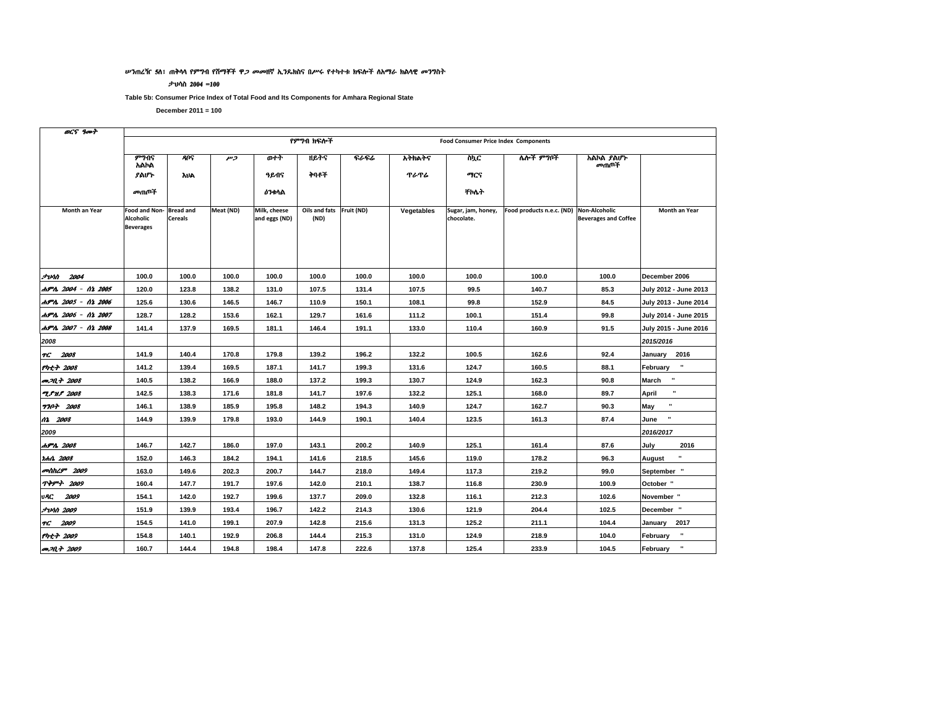#### ሥንጠረዥ 5ሰ፣ ጠቅሳሳ የምግብ የሽማቾች ዋ*ጋ መመ*ዘኛ ኢንዴክስና በሥሩ የተካተቱ ክፍሎች ስአማራ ክልሳዊ መንግስት

#### ታህሳስ 2004 =100

Table 5b: Consumer Price Index of Total Food and Its Components for Amhara Regional State

December  $2011 = 100$ 

 $\overline{a}$ 

| DLY YMT                 |                                                       |                                    |           |                               |                                  |       |             |                                             |                                         |                             |                            |
|-------------------------|-------------------------------------------------------|------------------------------------|-----------|-------------------------------|----------------------------------|-------|-------------|---------------------------------------------|-----------------------------------------|-----------------------------|----------------------------|
|                         |                                                       |                                    |           |                               | የምንበ ክፍሎች                        |       |             | <b>Food Consumer Price Index Components</b> |                                         |                             |                            |
|                         | ምንብና<br>አልኮል                                          | <b>ANS</b>                         | כית       | ውነት                           | ዘይትና                             | ፍራፍሬ  | አትክልትና      | ስኪር                                         | ሌሎች ምግቦች                                | አልኮል ያልሆኑ<br>መጠቦች           |                            |
|                         | ያልሆኑ                                                  | <b>AUA</b>                         |           | ዓይብና                          | ትባቶች                             |       | <b>ጥራጥራ</b> | ማርና                                         |                                         |                             |                            |
|                         | መጠጦች                                                  |                                    |           | <b>ዕንቀሳል</b>                  |                                  |       |             | <b>ቸስሴት</b>                                 |                                         |                             |                            |
| Month an Year           | Food and Non-<br><b>Alcoholic</b><br><b>Beverages</b> | <b>Bread and</b><br><b>Cereals</b> | Meat (ND) | Milk, cheese<br>and eggs (ND) | Oils and fats Fruit (ND)<br>(ND) |       | Vegetables  | Sugar, jam, honey,<br>chocolate.            | Food products n.e.c. (ND) Non-Alcoholic | <b>Beverages and Coffee</b> | Month an Year              |
|                         |                                                       |                                    |           |                               |                                  |       |             |                                             |                                         |                             |                            |
| <b><i>Junn 2004</i></b> | 100.0                                                 | 100.0                              | 100.0     | 100.0                         | 100.0                            | 100.0 | 100.0       | 100.0                                       | 100.0                                   | 100.0                       | December 2006              |
| ሐምሌ 2004 - ሰኔ 2005      | 120.0                                                 | 123.8                              | 138.2     | 131.0                         | 107.5                            | 131.4 | 107.5       | 99.5                                        | 140.7                                   | 85.3                        | July 2012 - June 2013      |
| ሐምሌ 2005 - ሰኔ 2006      | 125.6                                                 | 130.6                              | 146.5     | 146.7                         | 110.9                            | 150.1 | 108.1       | 99.8                                        | 152.9                                   | 84.5                        | July 2013 - June 2014      |
| ሐምሌ 2006 - ሰኔ 2007      | 128.7                                                 | 128.2                              | 153.6     | 162.1                         | 129.7                            | 161.6 | 111.2       | 100.1                                       | 151.4                                   | 99.8                        | July 2014 - June 2015      |
| ለምሌ 2007 - ሰኔ 2008      | 141.4                                                 | 137.9                              | 169.5     | 181.1                         | 146.4                            | 191.1 | 133.0       | 110.4                                       | 160.9                                   | 91.5                        | July 2015 - June 2016      |
| 2008                    |                                                       |                                    |           |                               |                                  |       |             |                                             |                                         |                             | 2015/2016                  |
| TC 2008                 | 141.9                                                 | 140.4                              | 170.8     | 179.8                         | 139.2                            | 196.2 | 132.2       | 100.5                                       | 162.6                                   | 92.4                        | January 2016               |
| $Pnt + 2008$            | 141.2                                                 | 139.4                              | 169.5     | 187.1                         | 141.7                            | 199.3 | 131.6       | 124.7                                       | 160.5                                   | 88.1                        | $\cdot$<br>February        |
| <b>መጋቢት</b> 2008        | 140.5                                                 | 138.2                              | 166.9     | 188.0                         | 137.2                            | 199.3 | 130.7       | 124.9                                       | 162.3                                   | 90.8                        | $\blacksquare$<br>March    |
| <b>T.S.N.S. 2008</b>    | 142.5                                                 | 138.3                              | 171.6     | 181.8                         | 141.7                            | 197.6 | 132.2       | 125.1                                       | 168.0                                   | 89.7                        | $\mathbf{u}$<br>April      |
| <b>7707 2008</b>        | 146.1                                                 | 138.9                              | 185.9     | 195.8                         | 148.2                            | 194.3 | 140.9       | 124.7                                       | 162.7                                   | 90.3                        | $\blacksquare$<br>May      |
| 02 2008                 | 144.9                                                 | 139.9                              | 179.8     | 193.0                         | 144.9                            | 190.1 | 140.4       | 123.5                                       | 161.3                                   | 87.4                        | ×<br>June                  |
| 2009                    |                                                       |                                    |           |                               |                                  |       |             |                                             |                                         |                             | 2016/2017                  |
| ሐምሌ 2008                | 146.7                                                 | 142.7                              | 186.0     | 197.0                         | 143.1                            | 200.2 | 140.9       | 125.1                                       | 161.4                                   | 87.6                        | July<br>2016               |
| <i>hhn 2008</i>         | 152.0                                                 | 146.3                              | 184.2     | 194.1                         | 141.6                            | 218.5 | 145.6       | 119.0                                       | 178.2                                   | 96.3                        | $\blacksquare$<br>August   |
| መስከረም 2009              | 163.0                                                 | 149.6                              | 202.3     | 200.7                         | 144.7                            | 218.0 | 149.4       | 117.3                                       | 219.2                                   | 99.0                        | September "                |
| <b>ጥቅምት 2009</b>        | 160.4                                                 | 147.7                              | 191.7     | 197.6                         | 142.0                            | 210.1 | 138.7       | 116.8                                       | 230.9                                   | 100.9                       | October "                  |
| <b>URC 2009</b>         | 154.1                                                 | 142.0                              | 192.7     | 199.6                         | 137.7                            | 209.0 | 132.8       | 116.1                                       | 212.3                                   | 102.6                       | November "                 |
| <i><b>Jvnn 2009</b></i> | 151.9                                                 | 139.9                              | 193.4     | 196.7                         | 142.2                            | 214.3 | 130.6       | 121.9                                       | 204.4                                   | 102.5                       | December "                 |
| TG 2009                 | 154.5                                                 | 141.0                              | 199.1     | 207.9                         | 142.8                            | 215.6 | 131.3       | 125.2                                       | 211.1                                   | 104.4                       | January 2017               |
| የካቲት 2009               | 154.8                                                 | 140.1                              | 192.9     | 206.8                         | 144.4                            | 215.3 | 131.0       | 124.9                                       | 218.9                                   | 104.0                       | $\bf u$<br>February        |
| <b><i>an</i></b> 2009   | 160.7                                                 | 144.4                              | 194.8     | 198.4                         | 147.8                            | 222.6 | 137.8       | 125.4                                       | 233.9                                   | 104.5                       | $\blacksquare$<br>February |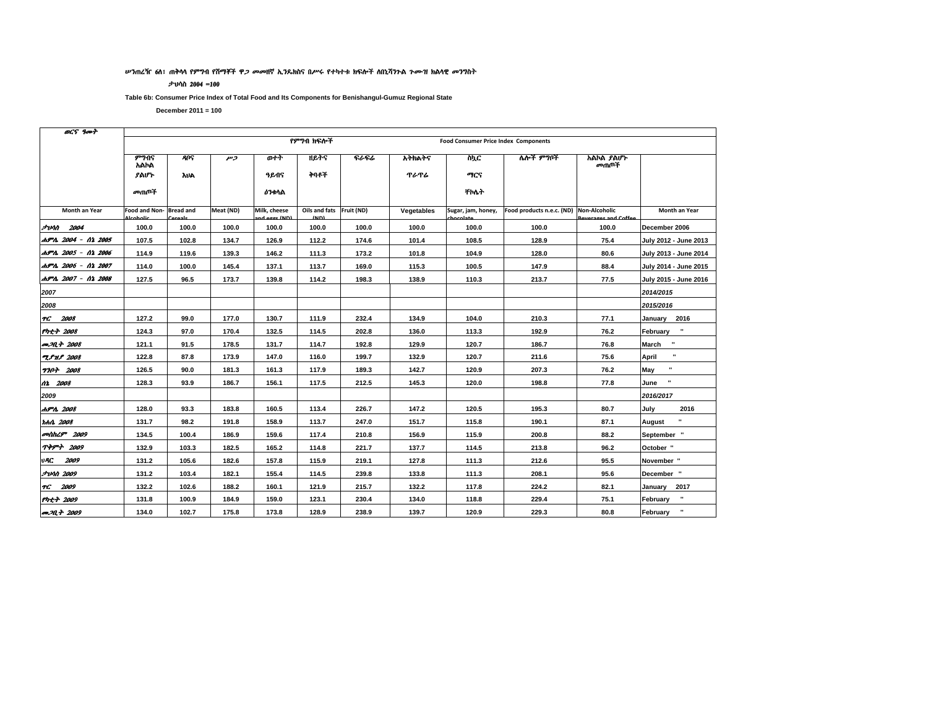#### ሥንጠረዥ 6ሰ፣ ጠቅላላ የምግብ የሽማቾች ዋ*ጋ መመ*ዘኛ ኢንዴክስና በሥሩ የተካተቱ ክፍሎች ለበኒሻንጉል *ጉሙዝ* ክልላዊ *መገ*ግስት

#### ታህሳስ 2004 =100

Table 6b: Consumer Price Index of Total Food and Its Components for Benishangul-Gumuz Regional State

| OCS goot                   |                          |                  |           |                              |                                 |       |             |                                             |                           |                                       |                          |
|----------------------------|--------------------------|------------------|-----------|------------------------------|---------------------------------|-------|-------------|---------------------------------------------|---------------------------|---------------------------------------|--------------------------|
|                            |                          |                  |           |                              | የምንበ ክፍሎች                       |       |             | <b>Food Consumer Price Index Components</b> |                           |                                       |                          |
|                            | ምንብና<br>አልኮል             | <b>ANS</b>       | وسر       | ወተት                          | ዘይትና                            | ፍራፍሬ  | አትክልትና      | w)ር                                         | ሌሎች ምግቦች                  | አልኮል ያልሆኑ<br>መጠቦች                     |                          |
|                            | ያልሆኑ                     | <b>AUA</b>       |           | ዓይብና                         | ትባቶች                            |       | <b>ጥራጥራ</b> | ማርና                                         |                           |                                       |                          |
|                            | መጠጦች                     |                  |           | <b>ዕንቀሳል</b>                 |                                 |       |             | <b>TIMT</b>                                 |                           |                                       |                          |
| Month an Year              | Food and Non-<br>تلمظمما | <b>Bread and</b> | Meat (ND) | Milk, cheese<br>nd ogge (ND) | Oils and fats Fruit (ND)<br>(n) |       | Vegetables  | Sugar, jam, honey,<br>بمساسمات              | Food products n.e.c. (ND) | Non-Alcoholic<br>Roverzage and Coffee | Month an Year            |
| <b><i>Junn</i></b> 2004    | 100.0                    | 100.0            | 100.0     | 100.0                        | 100.0                           | 100.0 | 100.0       | 100.0                                       | 100.0                     | 100.0                                 | December 2006            |
| ሐምሌ 2004 - ሰኔ 2005         | 107.5                    | 102.8            | 134.7     | 126.9                        | 112.2                           | 174.6 | 101.4       | 108.5                                       | 128.9                     | 75.4                                  | July 2012 - June 2013    |
| ሐምሌ 2005 - ሰኔ 2006         | 114.9                    | 119.6            | 139.3     | 146.2                        | 111.3                           | 173.2 | 101.8       | 104.9                                       | 128.0                     | 80.6                                  | July 2013 - June 2014    |
| ሐምሌ 2006 - ሰኔ 2007         | 114.0                    | 100.0            | 145.4     | 137.1                        | 113.7                           | 169.0 | 115.3       | 100.5                                       | 147.9                     | 88.4                                  | July 2014 - June 2015    |
| ሐምሌ 2007 - ሰኔ 2008         | 127.5                    | 96.5             | 173.7     | 139.8                        | 114.2                           | 198.3 | 138.9       | 110.3                                       | 213.7                     | 77.5                                  | July 2015 - June 2016    |
| 2007                       |                          |                  |           |                              |                                 |       |             |                                             |                           |                                       | 2014/2015                |
| 2008                       |                          |                  |           |                              |                                 |       |             |                                             |                           |                                       | 2015/2016                |
| TC 2008                    | 127.2                    | 99.0             | 177.0     | 130.7                        | 111.9                           | 232.4 | 134.9       | 104.0                                       | 210.3                     | 77.1                                  | January 2016             |
| የካቲት 2008                  | 124.3                    | 97.0             | 170.4     | 132.5                        | 114.5                           | 202.8 | 136.0       | 113.3                                       | 192.9                     | 76.2                                  | February                 |
| <b><i>co</i></b> 2008      | 121.1                    | 91.5             | 178.5     | 131.7                        | 114.7                           | 192.8 | 129.9       | 120.7                                       | 186.7                     | 76.8                                  | March<br>$\bf{u}$        |
| <b>TPHS</b> 2008           | 122.8                    | 87.8             | 173.9     | 147.0                        | 116.0                           | 199.7 | 132.9       | 120.7                                       | 211.6                     | 75.6                                  | $\mathbf{u}$<br>April    |
| <b>7707 2008</b>           | 126.5                    | 90.0             | 181.3     | 161.3                        | 117.9                           | 189.3 | 142.7       | 120.9                                       | 207.3                     | 76.2                                  | May                      |
| 02 2008                    | 128.3                    | 93.9             | 186.7     | 156.1                        | 117.5                           | 212.5 | 145.3       | 120.0                                       | 198.8                     | 77.8                                  | June                     |
| 2009                       |                          |                  |           |                              |                                 |       |             |                                             |                           |                                       | 2016/2017                |
| ሐምሌ 2008                   | 128.0                    | 93.3             | 183.8     | 160.5                        | 113.4                           | 226.7 | 147.2       | 120.5                                       | 195.3                     | 80.7                                  | 2016<br>July             |
| tch0 2008                  | 131.7                    | 98.2             | 191.8     | 158.9                        | 113.7                           | 247.0 | 151.7       | 115.8                                       | 190.1                     | 87.1                                  | $\blacksquare$<br>August |
| <b><i>contras 2009</i></b> | 134.5                    | 100.4            | 186.9     | 159.6                        | 117.4                           | 210.8 | 156.9       | 115.9                                       | 200.8                     | 88.2                                  | September "              |
| <b>ጥቅምት 2009</b>           | 132.9                    | 103.3            | 182.5     | 165.2                        | 114.8                           | 221.7 | 137.7       | 114.5                                       | 213.8                     | 96.2                                  | October "                |
| VAC.<br>2009               | 131.2                    | 105.6            | 182.6     | 157.8                        | 115.9                           | 219.1 | 127.8       | 111.3                                       | 212.6                     | 95.5                                  | November "               |
| <b>JUM 2009</b>            | 131.2                    | 103.4            | 182.1     | 155.4                        | 114.5                           | 239.8 | 133.8       | 111.3                                       | 208.1                     | 95.6                                  | December "               |
| TG 2009                    | 132.2                    | 102.6            | 188.2     | 160.1                        | 121.9                           | 215.7 | 132.2       | 117.8                                       | 224.2                     | 82.1                                  | January 2017             |
| የካቲት 2009                  | 131.8                    | 100.9            | 184.9     | 159.0                        | 123.1                           | 230.4 | 134.0       | 118.8                                       | 229.4                     | 75.1                                  | $\bf u$<br>February      |
| <b>መጋቢት</b> 2009           | 134.0                    | 102.7            | 175.8     | 173.8                        | 128.9                           | 238.9 | 139.7       | 120.9                                       | 229.3                     | 80.8                                  | $\bf u$<br>February      |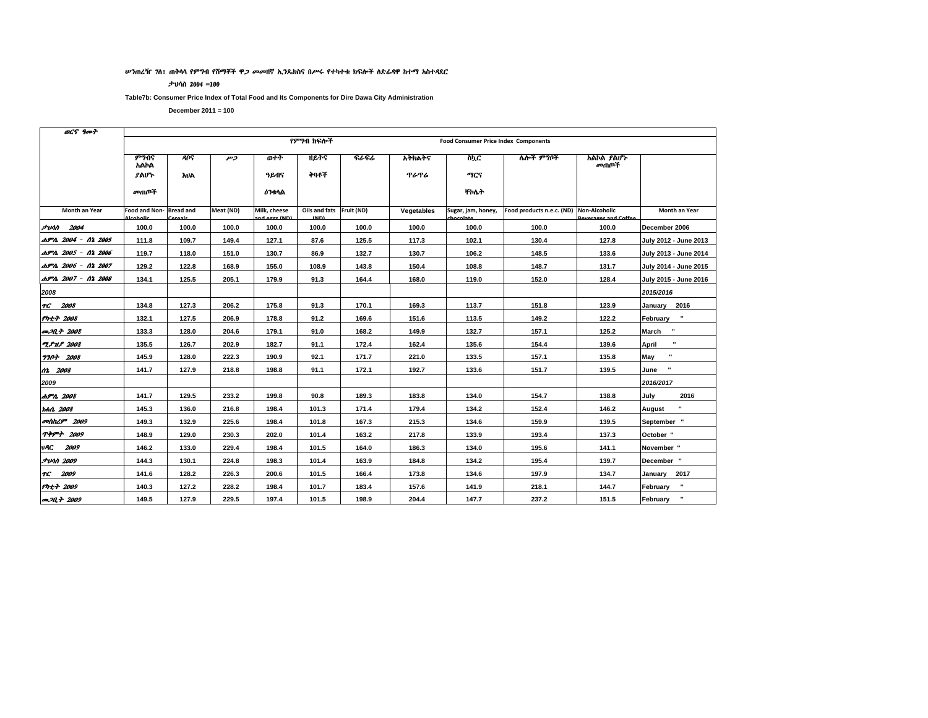#### ሥንጠረዥ 7ስ፣ ጠቅሳሳ የምግብ የሽማቾች ዋ*ጋ መመ*ዘኛ ኢንዴክስና በሥሩ የተካተቱ ክፍሎች ስድራዳዋ ከተማ አስተዳደር

#### ታህሳስ 2004 =100

Table7b: Consumer Price Index of Total Food and Its Components for Dire Dawa City Administration

| OCS goot                   |               |                  |                |                              |                                     |       |             |                                             |                                         |                     |                         |
|----------------------------|---------------|------------------|----------------|------------------------------|-------------------------------------|-------|-------------|---------------------------------------------|-----------------------------------------|---------------------|-------------------------|
|                            |               |                  |                |                              | የምንበ ክፍሎች                           |       |             | <b>Food Consumer Price Index Components</b> |                                         |                     |                         |
|                            | ምንብና<br>አልኮል  | <b>ANS</b>       | $\overline{r}$ | ወተት                          | ዘይትና                                | ፍራፍሬ  | አትክልትና      | ስኳር                                         | ሌሎች ምግቦች                                | አልኮል ያልሆኑ<br>መጠቦች   |                         |
|                            | ያልሆኑ          | አህል              |                | ዓይብና                         | ትባቶች                                |       | <b>ጥራጥራ</b> | ግርና                                         |                                         |                     |                         |
|                            | መጠጦች          |                  |                | <b>ዕን</b> ቁሳል                |                                     |       |             | <b>TMA</b>                                  |                                         |                     |                         |
| Month an Year              | Food and Non- | <b>Bread and</b> | Meat (ND)      | Milk, cheese<br>nd ogge (ND) | Oils and fats Fruit (ND)<br>$\mu$ D |       | Vegetables  | Sugar, jam, honey,                          | Food products n.e.c. (ND) Non-Alcoholic | Roversees and Coffe | Month an Year           |
| <i><b>Junn 2004</b></i>    | 100.0         | 100.0            | 100.0          | 100.0                        | 100.0                               | 100.0 | 100.0       | 100.0                                       | 100.0                                   | 100.0               | December 2006           |
| ሐምሌ 2004 - ሰኔ 2005         | 111.8         | 109.7            | 149.4          | 127.1                        | 87.6                                | 125.5 | 117.3       | 102.1                                       | 130.4                                   | 127.8               | July 2012 - June 2013   |
| ሐምሌ 2005 - ሰኔ 2006         | 119.7         | 118.0            | 151.0          | 130.7                        | 86.9                                | 132.7 | 130.7       | 106.2                                       | 148.5                                   | 133.6               | July 2013 - June 2014   |
| ሐምሌ 2006 - ሰኔ 2007         | 129.2         | 122.8            | 168.9          | 155.0                        | 108.9                               | 143.8 | 150.4       | 108.8                                       | 148.7                                   | 131.7               | July 2014 - June 2015   |
| ሐምሌ 2007 - ሰኔ 2008         | 134.1         | 125.5            | 205.1          | 179.9                        | 91.3                                | 164.4 | 168.0       | 119.0                                       | 152.0                                   | 128.4               | July 2015 - June 2016   |
| 2008                       |               |                  |                |                              |                                     |       |             |                                             |                                         |                     | 2015/2016               |
| TG 2008                    | 134.8         | 127.3            | 206.2          | 175.8                        | 91.3                                | 170.1 | 169.3       | 113.7                                       | 151.8                                   | 123.9               | January 2016            |
| $Pnt + 2008$               | 132.1         | 127.5            | 206.9          | 178.8                        | 91.2                                | 169.6 | 151.6       | 113.5                                       | 149.2                                   | 122.2               | February                |
| መጋቢት 2008                  | 133.3         | 128.0            | 204.6          | 179.1                        | 91.0                                | 168.2 | 149.9       | 132.7                                       | 157.1                                   | 125.2               | $\mathbf{u}$<br>March   |
| <b>TPMP</b> 2008           | 135.5         | 126.7            | 202.9          | 182.7                        | 91.1                                | 172.4 | 162.4       | 135.6                                       | 154.4                                   | 139.6               | $\blacksquare$<br>April |
| <b>770+ 2008</b>           | 145.9         | 128.0            | 222.3          | 190.9                        | 92.1                                | 171.7 | 221.0       | 133.5                                       | 157.1                                   | 135.8               | May                     |
| 02 2008                    | 141.7         | 127.9            | 218.8          | 198.8                        | 91.1                                | 172.1 | 192.7       | 133.6                                       | 151.7                                   | 139.5               | June                    |
| 2009                       |               |                  |                |                              |                                     |       |             |                                             |                                         |                     | 2016/2017               |
| ሐምሌ 2008                   | 141.7         | 129.5            | 233.2          | 199.8                        | 90.8                                | 189.3 | 183.8       | 134.0                                       | 154.7                                   | 138.8               | July<br>2016            |
| <b>tch0. 2008</b>          | 145.3         | 136.0            | 216.8          | 198.4                        | 101.3                               | 171.4 | 179.4       | 134.2                                       | 152.4                                   | 146.2               | August                  |
| <b><i>colthL9</i></b> 2009 | 149.3         | 132.9            | 225.6          | 198.4                        | 101.8                               | 167.3 | 215.3       | 134.6                                       | 159.9                                   | 139.5               | September "             |
| <b>ጥቅምት 2009</b>           | 148.9         | 129.0            | 230.3          | 202.0                        | 101.4                               | 163.2 | 217.8       | 133.9                                       | 193.4                                   | 137.3               | October "               |
| vAC.<br>2009               | 146.2         | 133.0            | 229.4          | 198.4                        | 101.5                               | 164.0 | 186.3       | 134.0                                       | 195.6                                   | 141.1               | November "              |
| <b><i>Funn 2009</i></b>    | 144.3         | 130.1            | 224.8          | 198.3                        | 101.4                               | 163.9 | 184.8       | 134.2                                       | 195.4                                   | 139.7               | December "              |
| 2009<br>TC.                | 141.6         | 128.2            | 226.3          | 200.6                        | 101.5                               | 166.4 | 173.8       | 134.6                                       | 197.9                                   | 134.7               | January 2017            |
| የካቲት 2009                  | 140.3         | 127.2            | 228.2          | 198.4                        | 101.7                               | 183.4 | 157.6       | 141.9                                       | 218.1                                   | 144.7               | February                |
| <b>PRA</b> 2009            | 149.5         | 127.9            | 229.5          | 197.4                        | 101.5                               | 198.9 | 204.4       | 147.7                                       | 237.2                                   | 151.5               | $\bf u$<br>February     |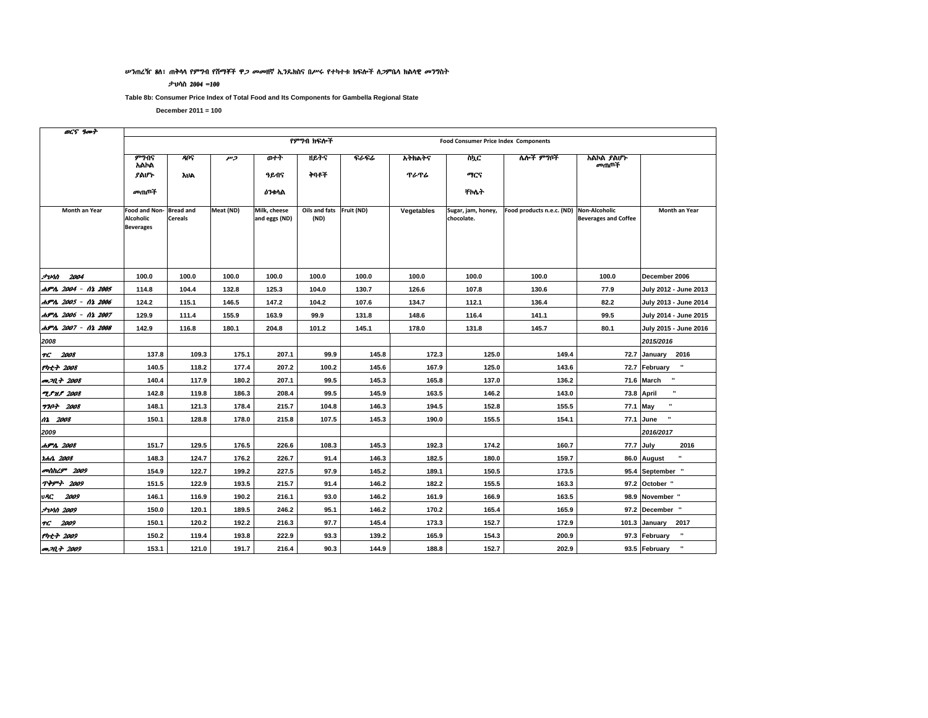#### ሥንጠረዥ 8ስ፣ ጠቅሳሳ የምግብ የሽማቾች ዋ*ጋ መመ*ዘኛ ኢንጴክስና በሥሩ የተካተቱ ክፍሎች ስ*ጋ*ምቤሳ ክልሳዊ *መገ*ግስት

#### ታህሳስ 2004 =100

Table 8b: Consumer Price Index of Total Food and Its Components for Gambella Regional State

December  $2011 = 100$ 

 $\frac{1}{2}$ 

| <i><b>DL.7 7007</b></i>   |                                                       |                                                                                                                                                         |           |                               |                                  |       |            |                                  |                                         |                             |                               |  |  |  |  |
|---------------------------|-------------------------------------------------------|---------------------------------------------------------------------------------------------------------------------------------------------------------|-----------|-------------------------------|----------------------------------|-------|------------|----------------------------------|-----------------------------------------|-----------------------------|-------------------------------|--|--|--|--|
|                           |                                                       | የምንበ ክፍሎች<br><b>Food Consumer Price Index Components</b><br><b>A</b> ng<br>ዘይትና<br>ፍራፍሬ<br>አልኮል ያልሆኑ<br>ወተት<br>አትክልትና<br>ስኳር<br>ሌሎች ምግቦች<br>وسر<br>መጠቦች |           |                               |                                  |       |            |                                  |                                         |                             |                               |  |  |  |  |
|                           | ምንብና<br>አልኮል                                          |                                                                                                                                                         |           |                               |                                  |       |            |                                  |                                         |                             |                               |  |  |  |  |
|                           | ያልሆኑ                                                  | <b>AUA</b>                                                                                                                                              |           | ዓይብና                          | ትባቶች                             |       | ጥራጥራ       | ግርና                              |                                         |                             |                               |  |  |  |  |
|                           | መጠጦች                                                  |                                                                                                                                                         |           | <b>ዕንቀሳል</b>                  |                                  |       |            | ቸስሴት                             |                                         |                             |                               |  |  |  |  |
| Month an Year             | Food and Non-<br><b>Alcoholic</b><br><b>Beverages</b> | <b>Bread and</b><br><b>Cereals</b>                                                                                                                      | Meat (ND) | Milk, cheese<br>and eggs (ND) | Oils and fats Fruit (ND)<br>(ND) |       | Vegetables | Sugar, jam, honey,<br>chocolate. | Food products n.e.c. (ND) Non-Alcoholic | <b>Beverages and Coffee</b> | Month an Year                 |  |  |  |  |
| <b><i>FUNN 2004</i></b>   | 100.0                                                 | 100.0                                                                                                                                                   | 100.0     | 100.0                         | 100.0                            | 100.0 | 100.0      | 100.0                            | 100.0                                   | 100.0                       | December 2006                 |  |  |  |  |
| ሐምሌ 2004 - ሰኔ 2005        | 114.8                                                 | 104.4                                                                                                                                                   | 132.8     | 125.3                         | 104.0                            | 130.7 | 126.6      | 107.8                            | 130.6                                   | 77.9                        | July 2012 - June 2013         |  |  |  |  |
| ሐምሌ 2005 - ሰኔ 2006        | 124.2                                                 | 115.1                                                                                                                                                   | 146.5     | 147.2                         | 104.2                            | 107.6 | 134.7      | 112.1                            | 136.4                                   | 82.2                        | July 2013 - June 2014         |  |  |  |  |
| ሐምሌ 2006 - ሰኔ 2007        | 129.9                                                 | 111.4                                                                                                                                                   | 155.9     | 163.9                         | 99.9                             | 131.8 | 148.6      | 116.4                            | 141.1                                   | 99.5                        | July 2014 - June 2015         |  |  |  |  |
| ሐምሌ 2007 - ሰኔ 2008        | 142.9                                                 | 116.8                                                                                                                                                   | 180.1     | 204.8                         | 101.2                            | 145.1 | 178.0      | 131.8                            | 145.7                                   | 80.1                        | July 2015 - June 2016         |  |  |  |  |
| 2008                      |                                                       |                                                                                                                                                         |           |                               |                                  |       |            |                                  |                                         |                             | 2015/2016                     |  |  |  |  |
| <b>TC</b> 2008            | 137.8                                                 | 109.3                                                                                                                                                   | 175.1     | 207.1                         | 99.9                             | 145.8 | 172.3      | 125.0                            | 149.4                                   |                             | 72.7 January 2016             |  |  |  |  |
| <b>Pht+ 2008</b>          | 140.5                                                 | 118.2                                                                                                                                                   | 177.4     | 207.2                         | 100.2                            | 145.6 | 167.9      | 125.0                            | 143.6                                   |                             | $\cdot$<br>72.7 February      |  |  |  |  |
| <b>መጋቢት</b> 2008          | 140.4                                                 | 117.9                                                                                                                                                   | 180.2     | 207.1                         | 99.5                             | 145.3 | 165.8      | 137.0                            | 136.2                                   |                             | ×<br>71.6 March               |  |  |  |  |
| <b>TPMP</b> 2008          | 142.8                                                 | 119.8                                                                                                                                                   | 186.3     | 208.4                         | 99.5                             | 145.9 | 163.5      | 146.2                            | 143.0                                   |                             | $\mathbf{u}$<br>73.8 April    |  |  |  |  |
| <b>7707 2008</b>          | 148.1                                                 | 121.3                                                                                                                                                   | 178.4     | 215.7                         | 104.8                            | 146.3 | 194.5      | 152.8                            | 155.5                                   | 77.1 May                    | $\blacksquare$                |  |  |  |  |
| 02 2008                   | 150.1                                                 | 128.8                                                                                                                                                   | 178.0     | 215.8                         | 107.5                            | 145.3 | 190.0      | 155.5                            | 154.1                                   |                             | ×<br>77.1 June                |  |  |  |  |
| 2009                      |                                                       |                                                                                                                                                         |           |                               |                                  |       |            |                                  |                                         |                             | 2016/2017                     |  |  |  |  |
| ሐምሌ 2008                  | 151.7                                                 | 129.5                                                                                                                                                   | 176.5     | 226.6                         | 108.3                            | 145.3 | 192.3      | 174.2                            | 160.7                                   | 77.7 July                   | 2016                          |  |  |  |  |
| <i><b>IchA 2008</b></i>   | 148.3                                                 | 124.7                                                                                                                                                   | 176.2     | 226.7                         | 91.4                             | 146.3 | 182.5      | 180.0                            | 159.7                                   |                             | $\mathbf{u}$<br>86.0 August   |  |  |  |  |
| <b><i>anthL9</i></b> 2009 | 154.9                                                 | 122.7                                                                                                                                                   | 199.2     | 227.5                         | 97.9                             | 145.2 | 189.1      | 150.5                            | 173.5                                   |                             | 95.4 September "              |  |  |  |  |
| <b>ጥቅምት 2009</b>          | 151.5                                                 | 122.9                                                                                                                                                   | 193.5     | 215.7                         | 91.4                             | 146.2 | 182.2      | 155.5                            | 163.3                                   |                             | 97.2 October "                |  |  |  |  |
| vAC<br>2009               | 146.1                                                 | 116.9                                                                                                                                                   | 190.2     | 216.1                         | 93.0                             | 146.2 | 161.9      | 166.9                            | 163.5                                   |                             | 98.9 November "               |  |  |  |  |
| <i><b>Jvnn 2009</b></i>   | 150.0                                                 | 120.1                                                                                                                                                   | 189.5     | 246.2                         | 95.1                             | 146.2 | 170.2      | 165.4                            | 165.9                                   |                             | 97.2 December "               |  |  |  |  |
| TG 2009                   | 150.1                                                 | 120.2                                                                                                                                                   | 192.2     | 216.3                         | 97.7                             | 145.4 | 173.3      | 152.7                            | 172.9                                   |                             | 101.3 January<br>2017         |  |  |  |  |
| <b>Pht+ 2009</b>          | 150.2                                                 | 119.4                                                                                                                                                   | 193.8     | 222.9                         | 93.3                             | 139.2 | 165.9      | 154.3                            | 200.9                                   |                             | $\mathbf{u}$<br>97.3 February |  |  |  |  |
| <b>P.M.+ 2009</b>         | 153.1                                                 | 121.0                                                                                                                                                   | 191.7     | 216.4                         | 90.3                             | 144.9 | 188.8      | 152.7                            | 202.9                                   |                             | $\mathbf{u}$<br>93.5 February |  |  |  |  |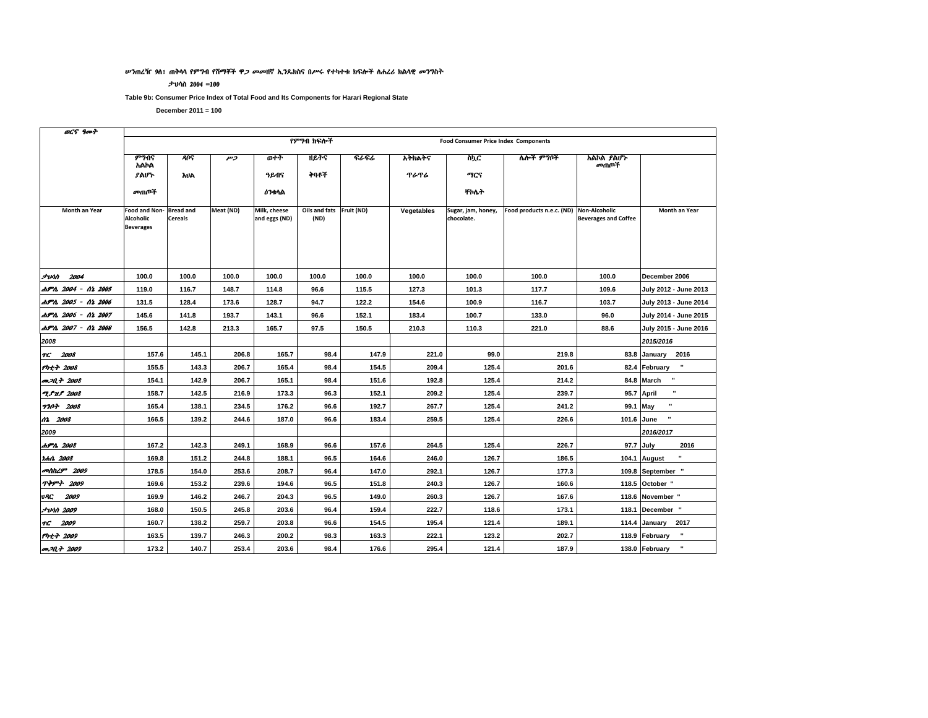#### ሥንጠረዥ 9ሰ፣ ጠቅሳሳ የምግብ የሽማቾች ዋ*ጋ መመ*ዘኛ ኢንዴክስና በሥሩ የተካተቱ ክፍሎች ስሐረሪ ክልሳዊ መንግስት

#### ታህሳስ 2004 =100

Table 9b: Consumer Price Index of Total Food and Its Components for Harari Regional State

December  $2011 = 100$ 

 $\frac{1}{2}$ 

| OC'i Yort                           |                                                |                                    |           |                               |                                  |       |             |                                             |                                         |                             |                                |
|-------------------------------------|------------------------------------------------|------------------------------------|-----------|-------------------------------|----------------------------------|-------|-------------|---------------------------------------------|-----------------------------------------|-----------------------------|--------------------------------|
|                                     |                                                |                                    |           |                               | የምንበ ክፍሎች                        |       |             | <b>Food Consumer Price Index Components</b> |                                         |                             |                                |
|                                     | ምንብና<br>አልኮል                                   | <b>AUS</b>                         | وسر       | ውነት                           | ዘይትና                             | ፍራፍሬ  | አትክልትና      | ስኳር                                         | ሌሎች ምግቦች                                | አልኮል ያልሆኑ<br>መጠቦች           |                                |
|                                     | ያልሆኑ                                           | <b>AUA</b>                         |           | ዓይብና                          | ትባቶች                             |       | <b>ጥራጥራ</b> | ግርና                                         |                                         |                             |                                |
|                                     | መጠጦች                                           |                                    |           | <b><i>ዕን</i>ቀ</b> ላል          |                                  |       |             | ቸስሴት                                        |                                         |                             |                                |
| Month an Year                       | Food and Non-<br>Alcoholic<br><b>Beverages</b> | <b>Bread and</b><br><b>Cereals</b> | Meat (ND) | Milk, cheese<br>and eggs (ND) | Oils and fats Fruit (ND)<br>(ND) |       | Vegetables  | Sugar, jam, honey,<br>chocolate.            | Food products n.e.c. (ND) Non-Alcoholic | <b>Beverages and Coffee</b> | <b>Month an Year</b>           |
| <b>Juhn</b> 2004                    | 100.0                                          | 100.0                              | 100.0     | 100.0                         | 100.0                            | 100.0 | 100.0       | 100.0                                       | 100.0                                   | 100.0                       | December 2006                  |
| ሐምሌ 2004 - ሰኔ 2005                  | 119.0                                          | 116.7                              | 148.7     | 114.8                         | 96.6                             | 115.5 | 127.3       | 101.3                                       | 117.7                                   | 109.6                       | July 2012 - June 2013          |
| ሐምሌ 2005 - ሰኔ 2006                  | 131.5                                          | 128.4                              | 173.6     | 128.7                         | 94.7                             | 122.2 | 154.6       | 100.9                                       | 116.7                                   | 103.7                       | July 2013 - June 2014          |
| ሐምሌ 2006 - ሰኔ 2007                  | 145.6                                          | 141.8                              | 193.7     | 143.1                         | 96.6                             | 152.1 | 183.4       | 100.7                                       | 133.0                                   | 96.0                        | July 2014 - June 2015          |
| ሐምሌ 2007 - ሰኔ 2008                  | 156.5                                          | 142.8                              | 213.3     | 165.7                         | 97.5                             | 150.5 | 210.3       | 110.3                                       | 221.0                                   | 88.6                        | July 2015 - June 2016          |
| 2008                                |                                                |                                    |           |                               |                                  |       |             |                                             |                                         |                             | 2015/2016                      |
| TG 2008                             | 157.6                                          | 145.1                              | 206.8     | 165.7                         | 98.4                             | 147.9 | 221.0       | 99.0                                        | 219.8                                   |                             | 83.8 January 2016              |
| የካቲት 2008                           | 155.5                                          | 143.3                              | 206.7     | 165.4                         | 98.4                             | 154.5 | 209.4       | 125.4                                       | 201.6                                   |                             | $\mathbf{u}$<br>82.4 February  |
| <b><i>m<sub>20.4</sub></i></b> 2008 | 154.1                                          | 142.9                              | 206.7     | 165.1                         | 98.4                             | 151.6 | 192.8       | 125.4                                       | 214.2                                   |                             | $\cdot$<br>84.8 March          |
| <b>ZSUS 2008</b>                    | 158.7                                          | 142.5                              | 216.9     | 173.3                         | 96.3                             | 152.1 | 209.2       | 125.4                                       | 239.7                                   |                             | $\mathbf{u}$<br>95.7 April     |
| <b>770+ 2008</b>                    | 165.4                                          | 138.1                              | 234.5     | 176.2                         | 96.6                             | 192.7 | 267.7       | 125.4                                       | 241.2                                   | 99.1 May                    | $\blacksquare$                 |
| 02 2008                             | 166.5                                          | 139.2                              | 244.6     | 187.0                         | 96.6                             | 183.4 | 259.5       | 125.4                                       | 226.6                                   | 101.6 June                  | $\blacksquare$                 |
| 2009                                |                                                |                                    |           |                               |                                  |       |             |                                             |                                         |                             | 2016/2017                      |
| ሐምሌ 2008                            | 167.2                                          | 142.3                              | 249.1     | 168.9                         | 96.6                             | 157.6 | 264.5       | 125.4                                       | 226.7                                   | 97.7 July                   | 2016                           |
| <i>rhn 2008</i>                     | 169.8                                          | 151.2                              | 244.8     | 188.1                         | 96.5                             | 164.6 | 246.0       | 126.7                                       | 186.5                                   |                             | $\mathbf{u}$<br>104.1 August   |
| መስከረም 2009                          | 178.5                                          | 154.0                              | 253.6     | 208.7                         | 96.4                             | 147.0 | 292.1       | 126.7                                       | 177.3                                   |                             | 109.8 September "              |
| <b>ጥቅምት 2009</b>                    | 169.6                                          | 153.2                              | 239.6     | 194.6                         | 96.5                             | 151.8 | 240.3       | 126.7                                       | 160.6                                   |                             | 118.5 October "                |
| vAC.<br>2009                        | 169.9                                          | 146.2                              | 246.7     | 204.3                         | 96.5                             | 149.0 | 260.3       | 126.7                                       | 167.6                                   |                             | 118.6 November "               |
| <i><b>Jvnn 2009</b></i>             | 168.0                                          | 150.5                              | 245.8     | 203.6                         | 96.4                             | 159.4 | 222.7       | 118.6                                       | 173.1                                   |                             | 118.1 December "               |
| TG 2009                             | 160.7                                          | 138.2                              | 259.7     | 203.8                         | 96.6                             | 154.5 | 195.4       | 121.4                                       | 189.1                                   |                             | 114.4 January<br>2017          |
| የካቲት 2009                           | 163.5                                          | 139.7                              | 246.3     | 200.2                         | 98.3                             | 163.3 | 222.1       | 123.2                                       | 202.7                                   |                             | $\mathbf{u}$<br>118.9 February |
| <b><i>an</i></b> 2009               | 173.2                                          | 140.7                              | 253.4     | 203.6                         | 98.4                             | 176.6 | 295.4       | 121.4                                       | 187.9                                   |                             | $\mathbf{u}$<br>138.0 February |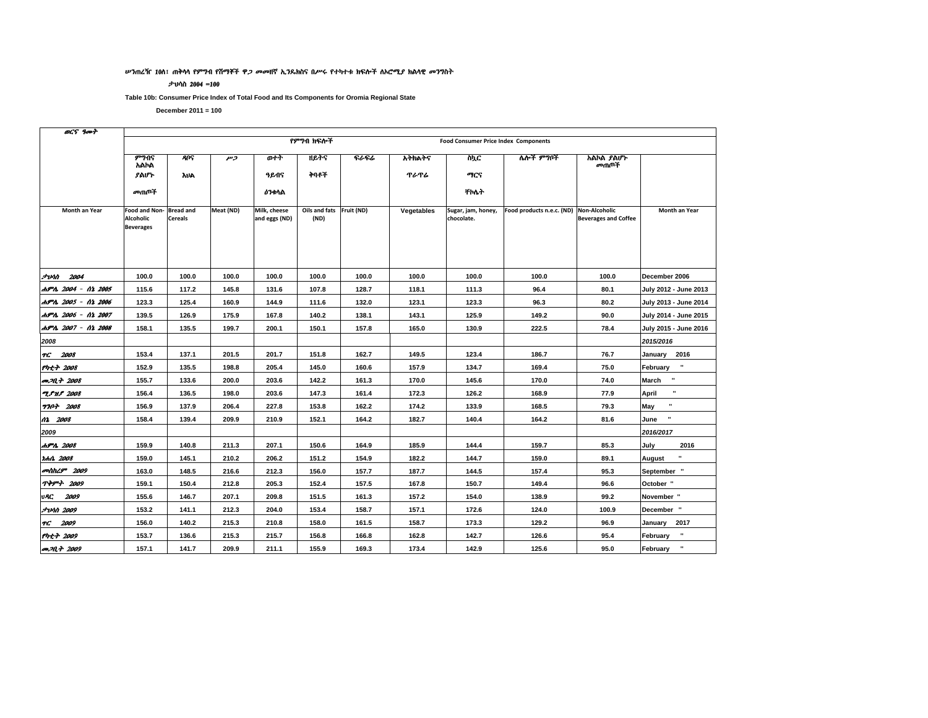#### ሥንጠረዥ 10ሰ፤ ጠቅሳሳ የምግብ የሽማቾች ዋ*ጋ መመ*ዘኛ ኢንዴክስና በሥሩ የተካተቱ ክፍሎች ለኦሮሚ*ያ* ክልሳዊ *መን*ግስት

#### ታህሳስ 2004 =100

Table 10b: Consumer Price Index of Total Food and Its Components for Oromia Regional State

| OC'S YAPT               |                                                |                                    |           |                               |                                  |       |             |                                             |                                         |                             |                            |
|-------------------------|------------------------------------------------|------------------------------------|-----------|-------------------------------|----------------------------------|-------|-------------|---------------------------------------------|-----------------------------------------|-----------------------------|----------------------------|
|                         |                                                |                                    |           |                               | የምንበ ክፍሎች                        |       |             | <b>Food Consumer Price Index Components</b> |                                         |                             |                            |
|                         | ምንብና<br>አልኮል                                   | <b>AUS</b>                         | وسر       | ወተት                           | <b>ዘይ</b> ተና                     | ፍራፍሬ  | አትክልትና      | ስኪር                                         | ሌሎች ምግቦች                                | አልኮል ያልሆኑ<br>መጠጦች           |                            |
|                         | ያልሆኑ                                           | <b>AUA</b>                         |           | ዓይብና                          | ትባቶች                             |       | <b>ጥራጥራ</b> | ግርና                                         |                                         |                             |                            |
|                         | መጠቦች                                           |                                    |           | <b><i>ዕን</i>ቀ</b> ላል          |                                  |       |             | ተለት                                         |                                         |                             |                            |
| Month an Year           | Food and Non-<br>Alcoholic<br><b>Beverages</b> | <b>Bread and</b><br><b>Cereals</b> | Meat (ND) | Milk, cheese<br>and eggs (ND) | Oils and fats Fruit (ND)<br>(ND) |       | Vegetables  | Sugar, jam, honey,<br>chocolate.            | Food products n.e.c. (ND) Non-Alcoholic | <b>Beverages and Coffee</b> | <b>Month an Year</b>       |
| <i><b>Junn 2004</b></i> | 100.0                                          | 100.0                              | 100.0     | 100.0                         | 100.0                            | 100.0 | 100.0       | 100.0                                       | 100.0                                   | 100.0                       | December 2006              |
| ሐምሌ 2004 - ሰኔ 2005      | 115.6                                          | 117.2                              | 145.8     | 131.6                         | 107.8                            | 128.7 | 118.1       | 111.3                                       | 96.4                                    | 80.1                        | July 2012 - June 2013      |
| ሐምሌ 2005 - ሰኔ 2006      | 123.3                                          | 125.4                              | 160.9     | 144.9                         | 111.6                            | 132.0 | 123.1       | 123.3                                       | 96.3                                    | 80.2                        | July 2013 - June 2014      |
| ሐምሌ 2006 - ሰኔ 2007      | 139.5                                          | 126.9                              | 175.9     | 167.8                         | 140.2                            | 138.1 | 143.1       | 125.9                                       | 149.2                                   | 90.0                        | July 2014 - June 2015      |
| ሐምሌ 2007 - ሰኔ 2008      | 158.1                                          | 135.5                              | 199.7     | 200.1                         | 150.1                            | 157.8 | 165.0       | 130.9                                       | 222.5                                   | 78.4                        | July 2015 - June 2016      |
| 2008                    |                                                |                                    |           |                               |                                  |       |             |                                             |                                         |                             | 2015/2016                  |
| TG 2008                 | 153.4                                          | 137.1                              | 201.5     | 201.7                         | 151.8                            | 162.7 | 149.5       | 123.4                                       | 186.7                                   | 76.7                        | January 2016               |
| የካቲት 2008               | 152.9                                          | 135.5                              | 198.8     | 205.4                         | 145.0                            | 160.6 | 157.9       | 134.7                                       | 169.4                                   | 75.0                        | $\mathbf{u}$<br>February   |
| <i>መጋ</i> ቢት 2008       | 155.7                                          | 133.6                              | 200.0     | 203.6                         | 142.2                            | 161.3 | 170.0       | 145.6                                       | 170.0                                   | 74.0                        | $\bf{u}$<br>March          |
| <b>"L.S. 31.S. 2008</b> | 156.4                                          | 136.5                              | 198.0     | 203.6                         | 147.3                            | 161.4 | 172.3       | 126.2                                       | 168.9                                   | 77.9                        | April                      |
| <b>770+ 2008</b>        | 156.9                                          | 137.9                              | 206.4     | 227.8                         | 153.8                            | 162.2 | 174.2       | 133.9                                       | 168.5                                   | 79.3                        | $\blacksquare$<br>May      |
| 02 2008                 | 158.4                                          | 139.4                              | 209.9     | 210.9                         | 152.1                            | 164.2 | 182.7       | 140.4                                       | 164.2                                   | 81.6                        | $\bf{u}$<br>June           |
| 2009                    |                                                |                                    |           |                               |                                  |       |             |                                             |                                         |                             | 2016/2017                  |
| ሐምሌ 2008                | 159.9                                          | 140.8                              | 211.3     | 207.1                         | 150.6                            | 164.9 | 185.9       | 144.4                                       | 159.7                                   | 85.3                        | July<br>2016               |
| ነሐሴ 2008                | 159.0                                          | 145.1                              | 210.2     | 206.2                         | 151.2                            | 154.9 | 182.2       | 144.7                                       | 159.0                                   | 89.1                        | $\blacksquare$<br>August   |
| መስከረም 2009              | 163.0                                          | 148.5                              | 216.6     | 212.3                         | 156.0                            | 157.7 | 187.7       | 144.5                                       | 157.4                                   | 95.3                        | September "                |
| <b>ጥቅምት 2009</b>        | 159.1                                          | 150.4                              | 212.8     | 205.3                         | 152.4                            | 157.5 | 167.8       | 150.7                                       | 149.4                                   | 96.6                        | October "                  |
| <b>UAC 2009</b>         | 155.6                                          | 146.7                              | 207.1     | 209.8                         | 151.5                            | 161.3 | 157.2       | 154.0                                       | 138.9                                   | 99.2                        | November "                 |
| <i><b>Juna 2009</b></i> | 153.2                                          | 141.1                              | 212.3     | 204.0                         | 153.4                            | 158.7 | 157.1       | 172.6                                       | 124.0                                   | 100.9                       | December "                 |
| TC 2009                 | 156.0                                          | 140.2                              | 215.3     | 210.8                         | 158.0                            | 161.5 | 158.7       | 173.3                                       | 129.2                                   | 96.9                        | January 2017               |
| የካቲት 2009               | 153.7                                          | 136.6                              | 215.3     | 215.7                         | 156.8                            | 166.8 | 162.8       | 142.7                                       | 126.6                                   | 95.4                        | $\blacksquare$<br>February |
| an 20, 7 2009           | 157.1                                          | 141.7                              | 209.9     | 211.1                         | 155.9                            | 169.3 | 173.4       | 142.9                                       | 125.6                                   | 95.0                        | $\mathbf{u}$<br>February   |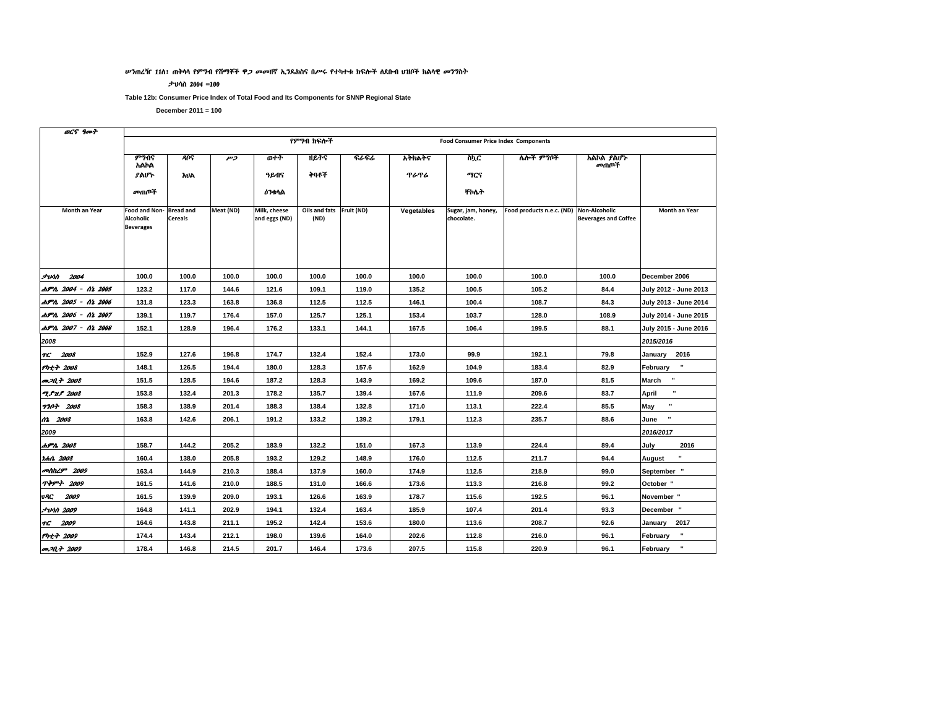#### ሥንጠረዥ 11ስ፣ ጠቅሳሳ የምግብ የሸማቾች ዋ*ጋ መመ*ዘኛ ኢንዴክስና በሥሩ የተካተቱ ክፍሎች ለደቡብ ሀዝቦች ክልሳዊ *መን*ግስት

#### ታህሳስ 2004 =100

Table 12b: Consumer Price Index of Total Food and Its Components for SNNP Regional State

| OCS 9007                |                                                       |                                    |           |                               |                       |             |             |                                             |                           |                                                     |                          |
|-------------------------|-------------------------------------------------------|------------------------------------|-----------|-------------------------------|-----------------------|-------------|-------------|---------------------------------------------|---------------------------|-----------------------------------------------------|--------------------------|
|                         |                                                       |                                    |           |                               | የምንበ ክፍሎች             |             |             | <b>Food Consumer Price Index Components</b> |                           |                                                     |                          |
|                         | ምንብና<br>አልኮል                                          | <b>RUS</b>                         | وسر       | ወተት                           | ዘይትና                  | <b>ናራፍራ</b> | አትክልትና      | ስኪር                                         | ሌሎች ምግቦች                  | አልኮል ያልሆኑ<br>መጠቦች                                   |                          |
|                         | ያልሆኑ                                                  | <b>AUA</b>                         |           | ዓይብና                          | ትባቶች                  |             | <b>ጥራጥራ</b> | ማርና                                         |                           |                                                     |                          |
|                         | መጠጦች                                                  |                                    |           | <b>ዕንቀ</b> ሳል                 |                       |             |             | ተለት                                         |                           |                                                     |                          |
| Month an Year           | Food and Non-<br><b>Alcoholic</b><br><b>Beverages</b> | <b>Bread and</b><br><b>Cereals</b> | Meat (ND) | Milk, cheese<br>and eggs (ND) | Oils and fats<br>(ND) | Fruit (ND)  | Vegetables  | Sugar, jam, honey,<br>chocolate.            | Food products n.e.c. (ND) | <b>Non-Alcoholic</b><br><b>Beverages and Coffee</b> | Month an Year            |
| <b><i>Avin 2004</i></b> | 100.0                                                 | 100.0                              | 100.0     | 100.0                         | 100.0                 | 100.0       | 100.0       | 100.0                                       | 100.0                     | 100.0                                               | December 2006            |
| ሐምሌ 2004 - ሰኔ 2005      | 123.2                                                 | 117.0                              | 144.6     | 121.6                         | 109.1                 | 119.0       | 135.2       | 100.5                                       | 105.2                     | 84.4                                                | July 2012 - June 2013    |
| ሐምሌ 2005 - ሰኔ 2006      | 131.8                                                 | 123.3                              | 163.8     | 136.8                         | 112.5                 | 112.5       | 146.1       | 100.4                                       | 108.7                     | 84.3                                                | July 2013 - June 2014    |
| ሐምሌ 2006 - ሰኔ 2007      | 139.1                                                 | 119.7                              | 176.4     | 157.0                         | 125.7                 | 125.1       | 153.4       | 103.7                                       | 128.0                     | 108.9                                               | July 2014 - June 2015    |
| ሐምሌ 2007 - ሰኔ 2008      | 152.1                                                 | 128.9                              | 196.4     | 176.2                         | 133.1                 | 144.1       | 167.5       | 106.4                                       | 199.5                     | 88.1                                                | July 2015 - June 2016    |
| 2008                    |                                                       |                                    |           |                               |                       |             |             |                                             |                           |                                                     | 2015/2016                |
| TG 2008                 | 152.9                                                 | 127.6                              | 196.8     | 174.7                         | 132.4                 | 152.4       | 173.0       | 99.9                                        | 192.1                     | 79.8                                                | January 2016             |
| የካቲት 2008               | 148.1                                                 | 126.5                              | 194.4     | 180.0                         | 128.3                 | 157.6       | 162.9       | 104.9                                       | 183.4                     | 82.9                                                | $\bf u$<br>February      |
| መጋቢት 2008               | 151.5                                                 | 128.5                              | 194.6     | 187.2                         | 128.3                 | 143.9       | 169.2       | 109.6                                       | 187.0                     | 81.5                                                | $\blacksquare$<br>March  |
| <b>T.PH.P 2008</b>      | 153.8                                                 | 132.4                              | 201.3     | 178.2                         | 135.7                 | 139.4       | 167.6       | 111.9                                       | 209.6                     | 83.7                                                | $\mathbf{u}$<br>April    |
| <b>770+ 2008</b>        | 158.3                                                 | 138.9                              | 201.4     | 188.3                         | 138.4                 | 132.8       | 171.0       | 113.1                                       | 222.4                     | 85.5                                                | May                      |
| 02 2008                 | 163.8                                                 | 142.6                              | 206.1     | 191.2                         | 133.2                 | 139.2       | 179.1       | 112.3                                       | 235.7                     | 88.6                                                | $\pmb{\cdot}$<br>June    |
| 2009                    |                                                       |                                    |           |                               |                       |             |             |                                             |                           |                                                     | 2016/2017                |
| ሐምሌ 2008                | 158.7                                                 | 144.2                              | 205.2     | 183.9                         | 132.2                 | 151.0       | 167.3       | 113.9                                       | 224.4                     | 89.4                                                | July<br>2016             |
| <i>rent 2008</i>        | 160.4                                                 | 138.0                              | 205.8     | 193.2                         | 129.2                 | 148.9       | 176.0       | 112.5                                       | 211.7                     | 94.4                                                | $\blacksquare$<br>August |
| መስከረም 2009              | 163.4                                                 | 144.9                              | 210.3     | 188.4                         | 137.9                 | 160.0       | 174.9       | 112.5                                       | 218.9                     | 99.0                                                | September "              |
| <b>ጥቅምት 2009</b>        | 161.5                                                 | 141.6                              | 210.0     | 188.5                         | 131.0                 | 166.6       | 173.6       | 113.3                                       | 216.8                     | 99.2                                                | October "                |
| 2009<br>vAC             | 161.5                                                 | 139.9                              | 209.0     | 193.1                         | 126.6                 | 163.9       | 178.7       | 115.6                                       | 192.5                     | 96.1                                                | November "               |
| <i><b>JUAN 2009</b></i> | 164.8                                                 | 141.1                              | 202.9     | 194.1                         | 132.4                 | 163.4       | 185.9       | 107.4                                       | 201.4                     | 93.3                                                | December "               |
| TG 2009                 | 164.6                                                 | 143.8                              | 211.1     | 195.2                         | 142.4                 | 153.6       | 180.0       | 113.6                                       | 208.7                     | 92.6                                                | January<br>2017          |
| የካቲት 2009               | 174.4                                                 | 143.4                              | 212.1     | 198.0                         | 139.6                 | 164.0       | 202.6       | 112.8                                       | 216.0                     | 96.1                                                | $\mathbf{u}$<br>February |
| <b>P.M.T. 2009</b>      | 178.4                                                 | 146.8                              | 214.5     | 201.7                         | 146.4                 | 173.6       | 207.5       | 115.8                                       | 220.9                     | 96.1                                                | $\mathbf{u}$<br>February |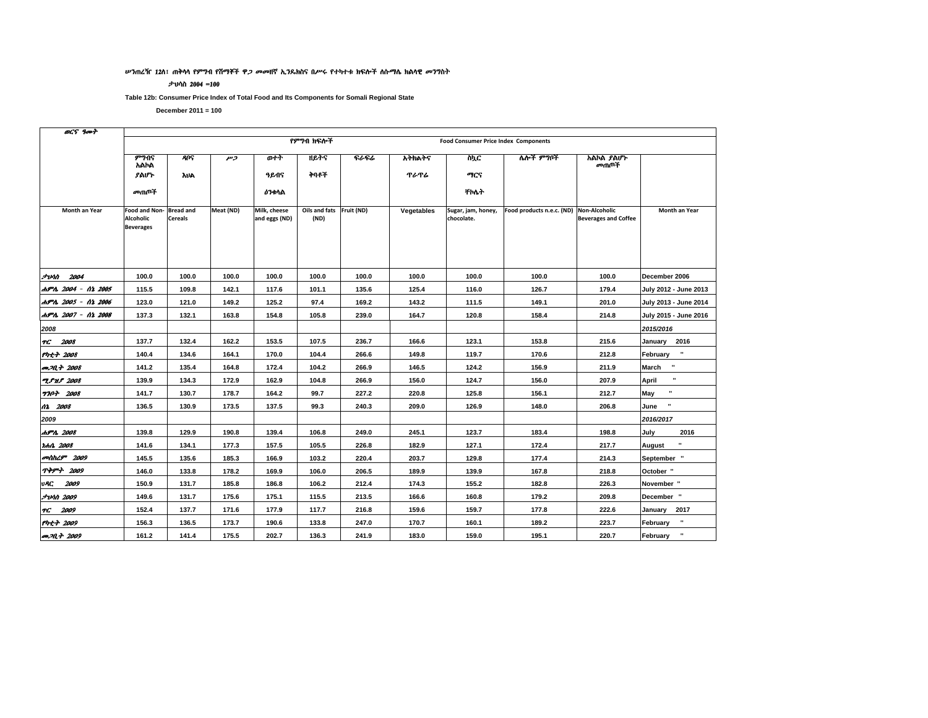#### ሥንጠረዥ 12ሰ፣ ጠቅሳሳ የምግብ የሽማቾች ዋ*ጋ መመ*ዘኛ ኢንዴክስና በሥሩ የተካተቱ ክፍሎች ለሱማሌ ክልሳዊ *መን*ግስት

#### ታህሳስ 2004 =100

Table 12b: Consumer Price Index of Total Food and Its Components for Somali Regional State

| OCS goot                   |                                                       |                                    |           |                               |                                  |       |            |                                             |                           |                                              |                                 |
|----------------------------|-------------------------------------------------------|------------------------------------|-----------|-------------------------------|----------------------------------|-------|------------|---------------------------------------------|---------------------------|----------------------------------------------|---------------------------------|
|                            |                                                       |                                    |           |                               | የምንብ ክፍሎች                        |       |            | <b>Food Consumer Price Index Components</b> |                           |                                              |                                 |
|                            | ምንብና<br>አልኮል                                          | ዳቦና                                | وسر       | ውተት                           |                                  | ፍራፍሬ  | አትክልትና     | ስኳር                                         | ሌሎች ምግቦች                  | አልኮል ያልሆኑ<br>መጠጦች                            |                                 |
|                            | ያልሆኑ                                                  | <b>AUA</b>                         |           | ዓይብና                          | ትባቶች                             |       | ጥራጥራ       | ማርና                                         |                           |                                              |                                 |
|                            | መጠጦች                                                  |                                    |           | <b>ዕንቀ</b> ሳል                 |                                  |       |            | <b>Tro</b> ት                                |                           |                                              |                                 |
| Month an Year              | Food and Non-<br><b>Alcoholic</b><br><b>Beverages</b> | <b>Bread and</b><br><b>Cereals</b> | Meat (ND) | Milk, cheese<br>and eggs (ND) | Oils and fats Fruit (ND)<br>(ND) |       | Vegetables | Sugar, jam, honey,<br>chocolate.            | Food products n.e.c. (ND) | Non-Alcoholic<br><b>Beverages and Coffee</b> | Month an Year                   |
|                            |                                                       |                                    |           |                               |                                  |       |            |                                             |                           |                                              |                                 |
| <i><b>Junn</b></i> 2004    | 100.0                                                 | 100.0                              | 100.0     | 100.0                         | 100.0                            | 100.0 | 100.0      | 100.0                                       | 100.0                     | 100.0                                        | December 2006                   |
| ሐምሌ 2004 - ሰኔ 2005         | 115.5                                                 | 109.8                              | 142.1     | 117.6                         | 101.1                            | 135.6 | 125.4      | 116.0                                       | 126.7                     | 179.4                                        | July 2012 - June 2013           |
| ሐምሌ 2005 - ሰኔ 2006         | 123.0                                                 | 121.0                              | 149.2     | 125.2                         | 97.4                             | 169.2 | 143.2      | 111.5                                       | 149.1                     | 201.0                                        | July 2013 - June 2014           |
| ሐምሌ 2007 - ሰኔ 2008         | 137.3                                                 | 132.1                              | 163.8     | 154.8                         | 105.8                            | 239.0 | 164.7      | 120.8                                       | 158.4                     | 214.8                                        | July 2015 - June 2016           |
| 2008                       |                                                       |                                    |           |                               |                                  |       |            |                                             |                           |                                              | 2015/2016                       |
| TC 2008                    | 137.7                                                 | 132.4                              | 162.2     | 153.5                         | 107.5                            | 236.7 | 166.6      | 123.1                                       | 153.8                     | 215.6                                        | January 2016                    |
| የካቲት 2008                  | 140.4                                                 | 134.6                              | 164.1     | 170.0                         | 104.4                            | 266.6 | 149.8      | 119.7                                       | 170.6                     | 212.8                                        | $\mathbf{u}$<br>February        |
| መጋቢት 2008                  | 141.2                                                 | 135.4                              | 164.8     | 172.4                         | 104.2                            | 266.9 | 146.5      | 124.2                                       | 156.9                     | 211.9                                        | $\blacksquare$<br>March         |
| <b>TPHP 2008</b>           | 139.9                                                 | 134.3                              | 172.9     | 162.9                         | 104.8                            | 266.9 | 156.0      | 124.7                                       | 156.0                     | 207.9                                        | $\mathbf{u}$<br>April           |
| <b>7707 2008</b>           | 141.7                                                 | 130.7                              | 178.7     | 164.2                         | 99.7                             | 227.2 | 220.8      | 125.8                                       | 156.1                     | 212.7                                        | May                             |
| 12 2008                    | 136.5                                                 | 130.9                              | 173.5     | 137.5                         | 99.3                             | 240.3 | 209.0      | 126.9                                       | 148.0                     | 206.8                                        | $\mathbf{u}$<br>June            |
| 2009                       |                                                       |                                    |           |                               |                                  |       |            |                                             |                           |                                              | 2016/2017                       |
| ሐምሌ 2008                   | 139.8                                                 | 129.9                              | 190.8     | 139.4                         | 106.8                            | 249.0 | 245.1      | 123.7                                       | 183.4                     | 198.8                                        | 2016<br>July                    |
| r.h.h. 2008                | 141.6                                                 | 134.1                              | 177.3     | 157.5                         | 105.5                            | 226.8 | 182.9      | 127.1                                       | 172.4                     | 217.7                                        | $\blacksquare$<br><b>August</b> |
| <b><i>antihLT</i></b> 2009 | 145.5                                                 | 135.6                              | 185.3     | 166.9                         | 103.2                            | 220.4 | 203.7      | 129.8                                       | 177.4                     | 214.3                                        | September "                     |
| <b>ጥቅምት 2009</b>           | 146.0                                                 | 133.8                              | 178.2     | 169.9                         | 106.0                            | 206.5 | 189.9      | 139.9                                       | 167.8                     | 218.8                                        | October "                       |
| 2009<br>VAC.               | 150.9                                                 | 131.7                              | 185.8     | 186.8                         | 106.2                            | 212.4 | 174.3      | 155.2                                       | 182.8                     | 226.3                                        | November "                      |
| <b>JUAN 2009</b>           | 149.6                                                 | 131.7                              | 175.6     | 175.1                         | 115.5                            | 213.5 | 166.6      | 160.8                                       | 179.2                     | 209.8                                        | December "                      |
| FC 2009                    | 152.4                                                 | 137.7                              | 171.6     | 177.9                         | 117.7                            | 216.8 | 159.6      | 159.7                                       | 177.8                     | 222.6                                        | 2017<br>January                 |
| የካቲት 2009                  | 156.3                                                 | 136.5                              | 173.7     | 190.6                         | 133.8                            | 247.0 | 170.7      | 160.1                                       | 189.2                     | 223.7                                        | $\mathbf{u}$<br>February        |
| <i>መጋቢት 2009</i>           | 161.2                                                 | 141.4                              | 175.5     | 202.7                         | 136.3                            | 241.9 | 183.0      | 159.0                                       | 195.1                     | 220.7                                        | $\pmb{\cdot}$<br>February       |